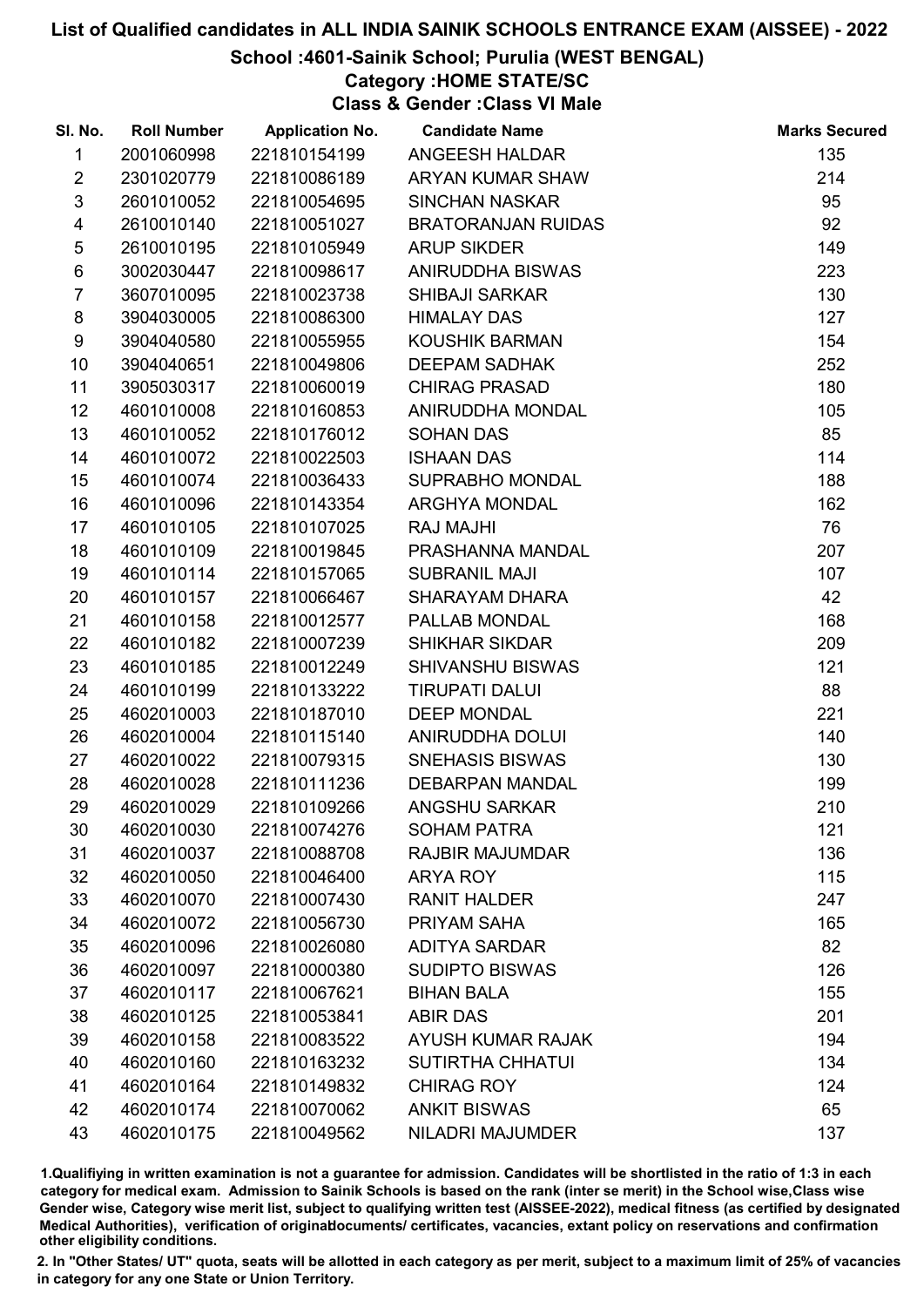# School :4601-Sainik School; Purulia (WEST BENGAL)

# Category :HOME STATE/SC

Class & Gender :Class VI Male

| SI. No.                 | <b>Roll Number</b> | <b>Application No.</b> | <b>Candidate Name</b>     | <b>Marks Secured</b> |
|-------------------------|--------------------|------------------------|---------------------------|----------------------|
| 1                       | 2001060998         | 221810154199           | ANGEESH HALDAR            | 135                  |
| $\overline{2}$          | 2301020779         | 221810086189           | ARYAN KUMAR SHAW          | 214                  |
| $\mathfrak{S}$          | 2601010052         | 221810054695           | <b>SINCHAN NASKAR</b>     | 95                   |
| $\overline{\mathbf{4}}$ | 2610010140         | 221810051027           | <b>BRATORANJAN RUIDAS</b> | 92                   |
| $\sqrt{5}$              | 2610010195         | 221810105949           | <b>ARUP SIKDER</b>        | 149                  |
| $\,6$                   | 3002030447         | 221810098617           | ANIRUDDHA BISWAS          | 223                  |
| $\overline{7}$          | 3607010095         | 221810023738           | <b>SHIBAJI SARKAR</b>     | 130                  |
| 8                       | 3904030005         | 221810086300           | <b>HIMALAY DAS</b>        | 127                  |
| 9                       | 3904040580         | 221810055955           | KOUSHIK BARMAN            | 154                  |
| 10                      | 3904040651         | 221810049806           | <b>DEEPAM SADHAK</b>      | 252                  |
| 11                      | 3905030317         | 221810060019           | <b>CHIRAG PRASAD</b>      | 180                  |
| 12                      | 4601010008         | 221810160853           | ANIRUDDHA MONDAL          | 105                  |
| 13                      | 4601010052         | 221810176012           | <b>SOHAN DAS</b>          | 85                   |
| 14                      | 4601010072         | 221810022503           | <b>ISHAAN DAS</b>         | 114                  |
| 15                      | 4601010074         | 221810036433           | <b>SUPRABHO MONDAL</b>    | 188                  |
| 16                      | 4601010096         | 221810143354           | <b>ARGHYA MONDAL</b>      | 162                  |
| 17                      | 4601010105         | 221810107025           | <b>RAJ MAJHI</b>          | 76                   |
| 18                      | 4601010109         | 221810019845           | PRASHANNA MANDAL          | 207                  |
| 19                      | 4601010114         | 221810157065           | <b>SUBRANIL MAJI</b>      | 107                  |
| 20                      | 4601010157         | 221810066467           | <b>SHARAYAM DHARA</b>     | 42                   |
| 21                      | 4601010158         | 221810012577           | PALLAB MONDAL             | 168                  |
| 22                      | 4601010182         | 221810007239           | <b>SHIKHAR SIKDAR</b>     | 209                  |
| 23                      | 4601010185         | 221810012249           | <b>SHIVANSHU BISWAS</b>   | 121                  |
| 24                      | 4601010199         | 221810133222           | <b>TIRUPATI DALUI</b>     | 88                   |
| 25                      | 4602010003         | 221810187010           | <b>DEEP MONDAL</b>        | 221                  |
| 26                      | 4602010004         | 221810115140           | <b>ANIRUDDHA DOLUI</b>    | 140                  |
| 27                      | 4602010022         | 221810079315           | <b>SNEHASIS BISWAS</b>    | 130                  |
| 28                      | 4602010028         | 221810111236           | <b>DEBARPAN MANDAL</b>    | 199                  |
| 29                      | 4602010029         | 221810109266           | <b>ANGSHU SARKAR</b>      | 210                  |
| 30                      | 4602010030         | 221810074276           | <b>SOHAM PATRA</b>        | 121                  |
| 31                      | 4602010037         | 221810088708           | <b>RAJBIR MAJUMDAR</b>    | 136                  |
| 32                      | 4602010050         | 221810046400           | <b>ARYA ROY</b>           | 115                  |
| 33                      | 4602010070         | 221810007430           | <b>RANIT HALDER</b>       | 247                  |
| 34                      | 4602010072         | 221810056730           | PRIYAM SAHA               | 165                  |
| 35                      | 4602010096         | 221810026080           | <b>ADITYA SARDAR</b>      | 82                   |
| 36                      | 4602010097         | 221810000380           | <b>SUDIPTO BISWAS</b>     | 126                  |
| 37                      | 4602010117         | 221810067621           | <b>BIHAN BALA</b>         | 155                  |
| 38                      | 4602010125         | 221810053841           | <b>ABIR DAS</b>           | 201                  |
| 39                      | 4602010158         | 221810083522           | <b>AYUSH KUMAR RAJAK</b>  | 194                  |
| 40                      | 4602010160         | 221810163232           | <b>SUTIRTHA CHHATUI</b>   | 134                  |
| 41                      | 4602010164         | 221810149832           | <b>CHIRAG ROY</b>         | 124                  |
| 42                      | 4602010174         | 221810070062           | <b>ANKIT BISWAS</b>       | 65                   |
| 43                      | 4602010175         | 221810049562           | <b>NILADRI MAJUMDER</b>   | 137                  |

1.Qualifiying in written examination is not a guarantee for admission. Candidates will be shortlisted in the ratio of 1:3 in each category for medical exam. Admission to Sainik Schools is based on the rank (inter se merit) in the School wise,Class wise Gender wise, Category wise merit list, subject to qualifying written test (AISSEE-2022), medical fitness (as certified by designated Medical Authorities), verification of originablocuments/ certificates, vacancies, extant policy on reservations and confirmation other eligibility conditions.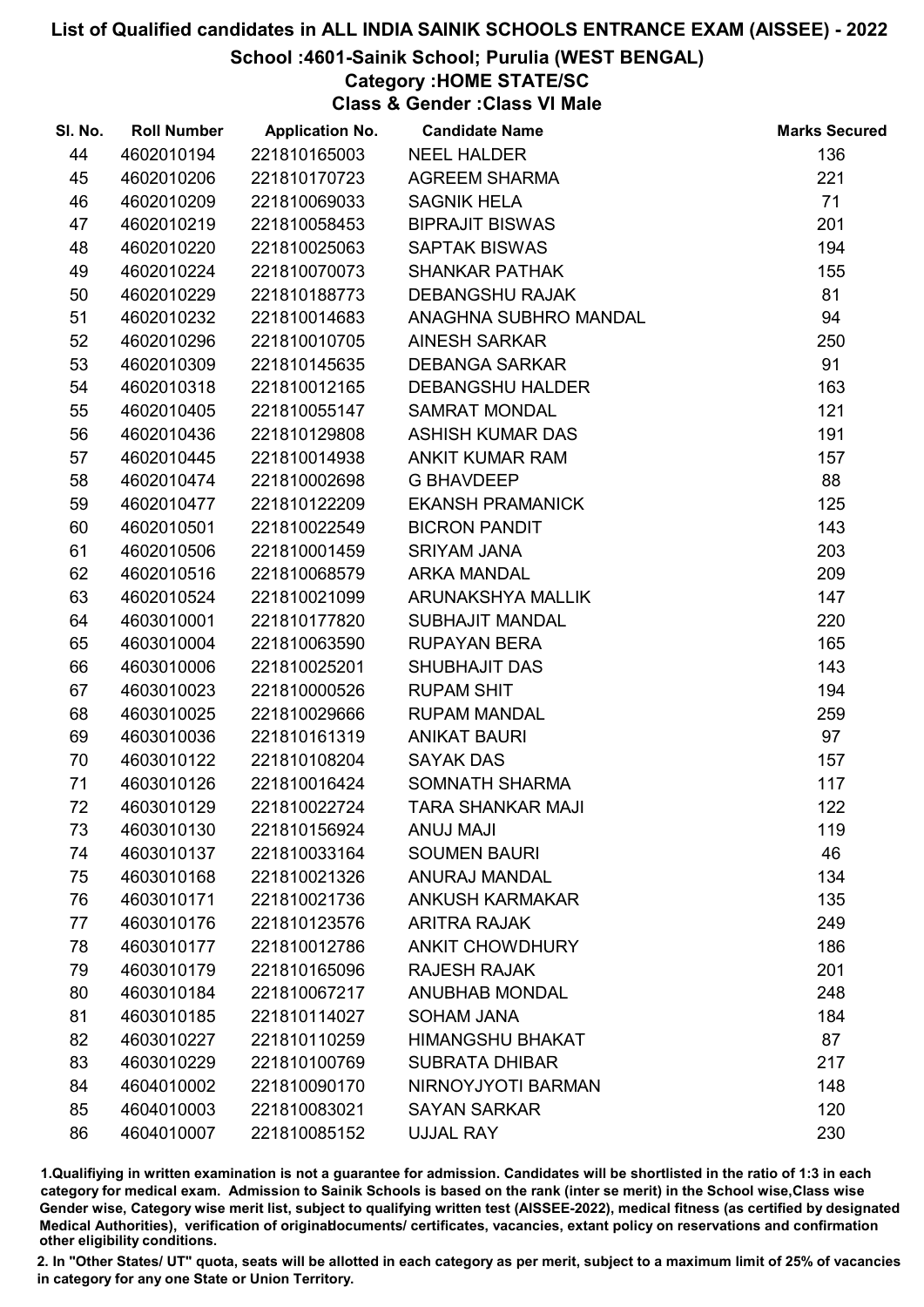School :4601-Sainik School; Purulia (WEST BENGAL)

# Category :HOME STATE/SC

Class & Gender :Class VI Male

| SI. No. | <b>Roll Number</b> | <b>Application No.</b> | <b>Candidate Name</b>    | <b>Marks Secured</b> |
|---------|--------------------|------------------------|--------------------------|----------------------|
| 44      | 4602010194         | 221810165003           | <b>NEEL HALDER</b>       | 136                  |
| 45      | 4602010206         | 221810170723           | <b>AGREEM SHARMA</b>     | 221                  |
| 46      | 4602010209         | 221810069033           | <b>SAGNIK HELA</b>       | 71                   |
| 47      | 4602010219         | 221810058453           | <b>BIPRAJIT BISWAS</b>   | 201                  |
| 48      | 4602010220         | 221810025063           | <b>SAPTAK BISWAS</b>     | 194                  |
| 49      | 4602010224         | 221810070073           | <b>SHANKAR PATHAK</b>    | 155                  |
| 50      | 4602010229         | 221810188773           | <b>DEBANGSHU RAJAK</b>   | 81                   |
| 51      | 4602010232         | 221810014683           | ANAGHNA SUBHRO MANDAL    | 94                   |
| 52      | 4602010296         | 221810010705           | <b>AINESH SARKAR</b>     | 250                  |
| 53      | 4602010309         | 221810145635           | <b>DEBANGA SARKAR</b>    | 91                   |
| 54      | 4602010318         | 221810012165           | <b>DEBANGSHU HALDER</b>  | 163                  |
| 55      | 4602010405         | 221810055147           | <b>SAMRAT MONDAL</b>     | 121                  |
| 56      | 4602010436         | 221810129808           | <b>ASHISH KUMAR DAS</b>  | 191                  |
| 57      | 4602010445         | 221810014938           | ANKIT KUMAR RAM          | 157                  |
| 58      | 4602010474         | 221810002698           | <b>G BHAVDEEP</b>        | 88                   |
| 59      | 4602010477         | 221810122209           | <b>EKANSH PRAMANICK</b>  | 125                  |
| 60      | 4602010501         | 221810022549           | <b>BICRON PANDIT</b>     | 143                  |
| 61      | 4602010506         | 221810001459           | <b>SRIYAM JANA</b>       | 203                  |
| 62      | 4602010516         | 221810068579           | <b>ARKA MANDAL</b>       | 209                  |
| 63      | 4602010524         | 221810021099           | ARUNAKSHYA MALLIK        | 147                  |
| 64      | 4603010001         | 221810177820           | <b>SUBHAJIT MANDAL</b>   | 220                  |
| 65      | 4603010004         | 221810063590           | <b>RUPAYAN BERA</b>      | 165                  |
| 66      | 4603010006         | 221810025201           | SHUBHAJIT DAS            | 143                  |
| 67      | 4603010023         | 221810000526           | <b>RUPAM SHIT</b>        | 194                  |
| 68      | 4603010025         | 221810029666           | <b>RUPAM MANDAL</b>      | 259                  |
| 69      | 4603010036         | 221810161319           | <b>ANIKAT BAURI</b>      | 97                   |
| 70      | 4603010122         | 221810108204           | <b>SAYAK DAS</b>         | 157                  |
| 71      | 4603010126         | 221810016424           | SOMNATH SHARMA           | 117                  |
| 72      | 4603010129         | 221810022724           | <b>TARA SHANKAR MAJI</b> | 122                  |
| 73      | 4603010130         | 221810156924           | <b>ANUJ MAJI</b>         | 119                  |
| 74      | 4603010137         | 221810033164           | <b>SOUMEN BAURI</b>      | 46                   |
| 75      | 4603010168         | 221810021326           | ANURAJ MANDAL            | 134                  |
| 76      | 4603010171         | 221810021736           | <b>ANKUSH KARMAKAR</b>   | 135                  |
| 77      | 4603010176         | 221810123576           | <b>ARITRA RAJAK</b>      | 249                  |
| 78      | 4603010177         | 221810012786           | <b>ANKIT CHOWDHURY</b>   | 186                  |
| 79      | 4603010179         | 221810165096           | <b>RAJESH RAJAK</b>      | 201                  |
| 80      | 4603010184         | 221810067217           | <b>ANUBHAB MONDAL</b>    | 248                  |
| 81      | 4603010185         | 221810114027           | <b>SOHAM JANA</b>        | 184                  |
| 82      | 4603010227         | 221810110259           | <b>HIMANGSHU BHAKAT</b>  | 87                   |
| 83      | 4603010229         | 221810100769           | <b>SUBRATA DHIBAR</b>    | 217                  |
| 84      | 4604010002         | 221810090170           | NIRNOYJYOTI BARMAN       | 148                  |
| 85      | 4604010003         | 221810083021           | <b>SAYAN SARKAR</b>      | 120                  |
| 86      | 4604010007         | 221810085152           | <b>UJJAL RAY</b>         | 230                  |

1.Qualifiying in written examination is not a guarantee for admission. Candidates will be shortlisted in the ratio of 1:3 in each category for medical exam. Admission to Sainik Schools is based on the rank (inter se merit) in the School wise,Class wise Gender wise, Category wise merit list, subject to qualifying written test (AISSEE-2022), medical fitness (as certified by designated Medical Authorities), verification of originablocuments/ certificates, vacancies, extant policy on reservations and confirmation other eligibility conditions.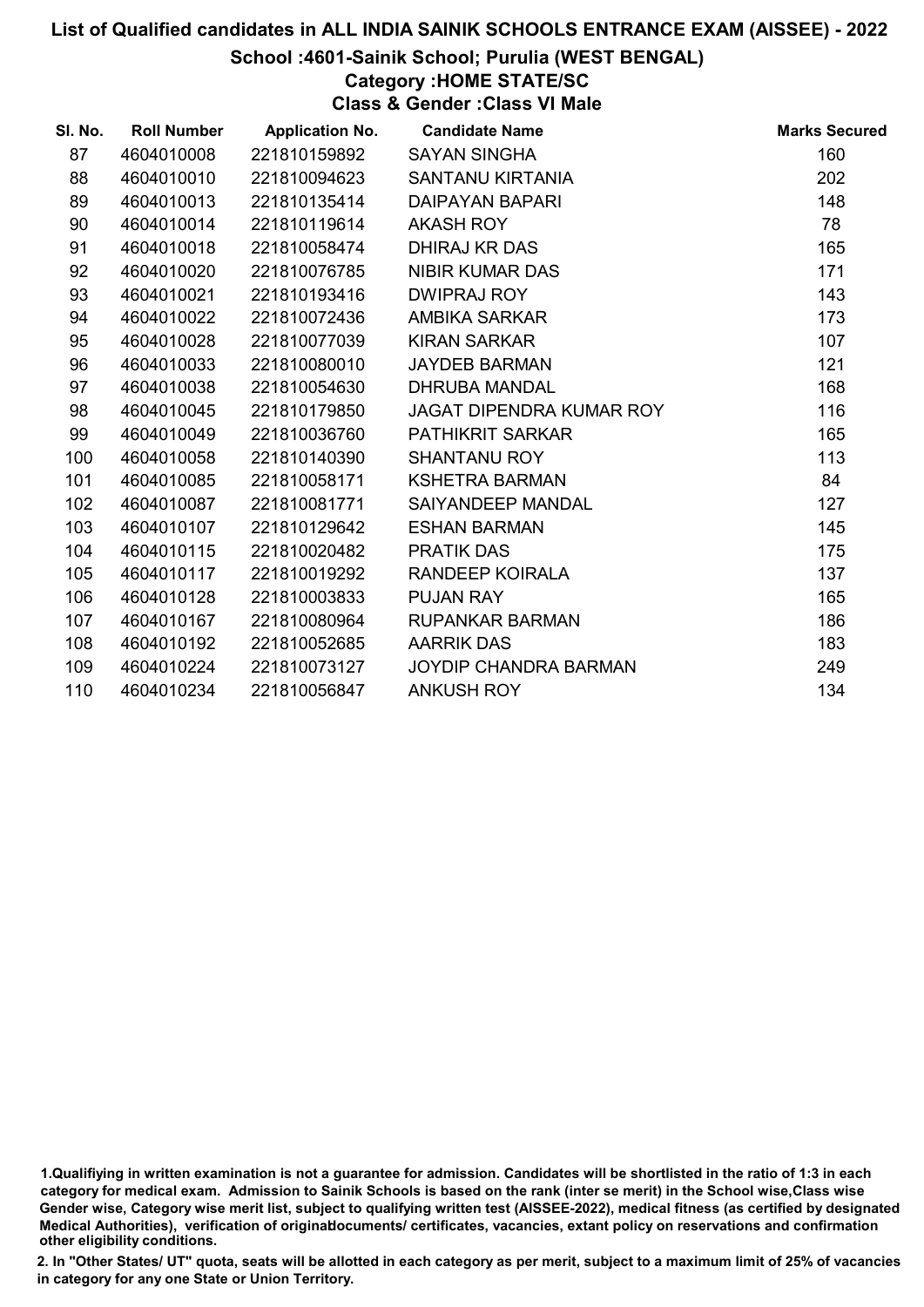# School :4601-Sainik School; Purulia (WEST BENGAL)

# Category :HOME STATE/SC

Class & Gender :Class VI Male

| SI. No. | <b>Roll Number</b> | <b>Application No.</b> | <b>Candidate Name</b>           | <b>Marks Secured</b> |
|---------|--------------------|------------------------|---------------------------------|----------------------|
| 87      | 4604010008         | 221810159892           | <b>SAYAN SINGHA</b>             | 160                  |
| 88      | 4604010010         | 221810094623           | <b>SANTANU KIRTANIA</b>         | 202                  |
| 89      | 4604010013         | 221810135414           | <b>DAIPAYAN BAPARI</b>          | 148                  |
| 90      | 4604010014         | 221810119614           | <b>AKASH ROY</b>                | 78                   |
| 91      | 4604010018         | 221810058474           | DHIRAJ KR DAS                   | 165                  |
| 92      | 4604010020         | 221810076785           | NIBIR KUMAR DAS                 | 171                  |
| 93      | 4604010021         | 221810193416           | <b>DWIPRAJ ROY</b>              | 143                  |
| 94      | 4604010022         | 221810072436           | AMBIKA SARKAR                   | 173                  |
| 95      | 4604010028         | 221810077039           | <b>KIRAN SARKAR</b>             | 107                  |
| 96      | 4604010033         | 221810080010           | <b>JAYDEB BARMAN</b>            | 121                  |
| 97      | 4604010038         | 221810054630           | <b>DHRUBA MANDAL</b>            | 168                  |
| 98      | 4604010045         | 221810179850           | <b>JAGAT DIPENDRA KUMAR ROY</b> | 116                  |
| 99      | 4604010049         | 221810036760           | <b>PATHIKRIT SARKAR</b>         | 165                  |
| 100     | 4604010058         | 221810140390           | <b>SHANTANU ROY</b>             | 113                  |
| 101     | 4604010085         | 221810058171           | <b>KSHETRA BARMAN</b>           | 84                   |
| 102     | 4604010087         | 221810081771           | SAIYANDEEP MANDAL               | 127                  |
| 103     | 4604010107         | 221810129642           | <b>ESHAN BARMAN</b>             | 145                  |
| 104     | 4604010115         | 221810020482           | <b>PRATIK DAS</b>               | 175                  |
| 105     | 4604010117         | 221810019292           | RANDEEP KOIRALA                 | 137                  |
| 106     | 4604010128         | 221810003833           | <b>PUJAN RAY</b>                | 165                  |
| 107     | 4604010167         | 221810080964           | <b>RUPANKAR BARMAN</b>          | 186                  |
| 108     | 4604010192         | 221810052685           | <b>AARRIK DAS</b>               | 183                  |
| 109     | 4604010224         | 221810073127           | <b>JOYDIP CHANDRA BARMAN</b>    | 249                  |
| 110     | 4604010234         | 221810056847           | <b>ANKUSH ROY</b>               | 134                  |

<sup>1.</sup>Qualifiying in written examination is not a guarantee for admission. Candidates will be shortlisted in the ratio of 1:3 in each category for medical exam. Admission to Sainik Schools is based on the rank (inter se merit) in the School wise,Class wise Gender wise, Category wise merit list, subject to qualifying written test (AISSEE-2022), medical fitness (as certified by designated Medical Authorities), verification of originablocuments/ certificates, vacancies, extant policy on reservations and confirmation other eligibility conditions.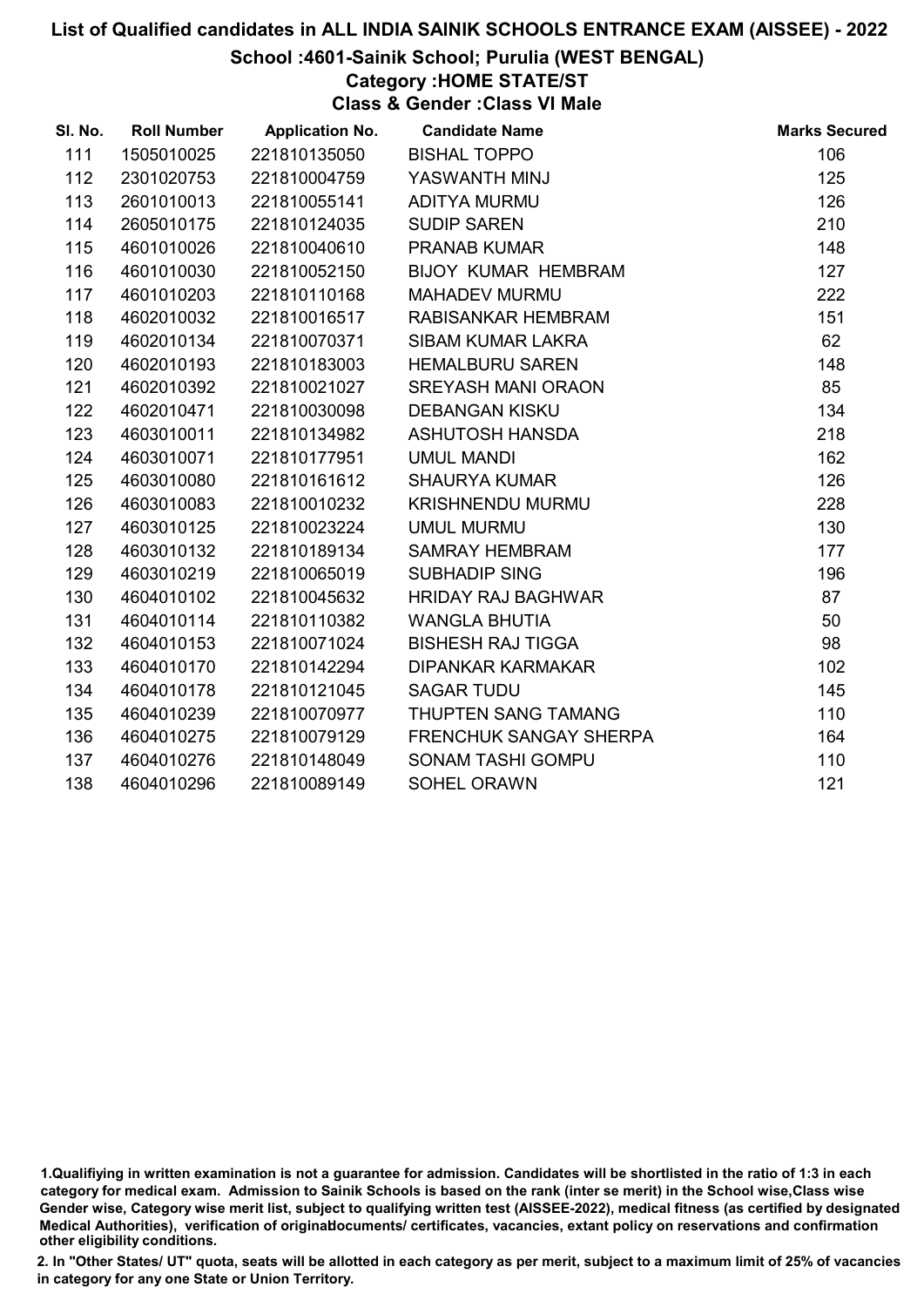School :4601-Sainik School; Purulia (WEST BENGAL)

# Category :HOME STATE/ST

Class & Gender :Class VI Male

| SI. No. | <b>Roll Number</b> | <b>Application No.</b> | <b>Candidate Name</b>         | <b>Marks Secured</b> |
|---------|--------------------|------------------------|-------------------------------|----------------------|
| 111     | 1505010025         | 221810135050           | <b>BISHAL TOPPO</b>           | 106                  |
| 112     | 2301020753         | 221810004759           | YASWANTH MINJ                 | 125                  |
| 113     | 2601010013         | 221810055141           | <b>ADITYA MURMU</b>           | 126                  |
| 114     | 2605010175         | 221810124035           | <b>SUDIP SAREN</b>            | 210                  |
| 115     | 4601010026         | 221810040610           | <b>PRANAB KUMAR</b>           | 148                  |
| 116     | 4601010030         | 221810052150           | <b>BIJOY KUMAR HEMBRAM</b>    | 127                  |
| 117     | 4601010203         | 221810110168           | <b>MAHADEV MURMU</b>          | 222                  |
| 118     | 4602010032         | 221810016517           | RABISANKAR HEMBRAM            | 151                  |
| 119     | 4602010134         | 221810070371           | SIBAM KUMAR LAKRA             | 62                   |
| 120     | 4602010193         | 221810183003           | <b>HEMALBURU SAREN</b>        | 148                  |
| 121     | 4602010392         | 221810021027           | <b>SREYASH MANI ORAON</b>     | 85                   |
| 122     | 4602010471         | 221810030098           | <b>DEBANGAN KISKU</b>         | 134                  |
| 123     | 4603010011         | 221810134982           | ASHUTOSH HANSDA               | 218                  |
| 124     | 4603010071         | 221810177951           | <b>UMUL MANDI</b>             | 162                  |
| 125     | 4603010080         | 221810161612           | <b>SHAURYA KUMAR</b>          | 126                  |
| 126     | 4603010083         | 221810010232           | <b>KRISHNENDU MURMU</b>       | 228                  |
| 127     | 4603010125         | 221810023224           | <b>UMUL MURMU</b>             | 130                  |
| 128     | 4603010132         | 221810189134           | <b>SAMRAY HEMBRAM</b>         | 177                  |
| 129     | 4603010219         | 221810065019           | <b>SUBHADIP SING</b>          | 196                  |
| 130     | 4604010102         | 221810045632           | <b>HRIDAY RAJ BAGHWAR</b>     | 87                   |
| 131     | 4604010114         | 221810110382           | <b>WANGLA BHUTIA</b>          | 50                   |
| 132     | 4604010153         | 221810071024           | <b>BISHESH RAJ TIGGA</b>      | 98                   |
| 133     | 4604010170         | 221810142294           | <b>DIPANKAR KARMAKAR</b>      | 102                  |
| 134     | 4604010178         | 221810121045           | <b>SAGAR TUDU</b>             | 145                  |
| 135     | 4604010239         | 221810070977           | THUPTEN SANG TAMANG           | 110                  |
| 136     | 4604010275         | 221810079129           | <b>FRENCHUK SANGAY SHERPA</b> | 164                  |
| 137     | 4604010276         | 221810148049           | <b>SONAM TASHI GOMPU</b>      | 110                  |
| 138     | 4604010296         | 221810089149           | <b>SOHEL ORAWN</b>            | 121                  |

<sup>1.</sup>Qualifiying in written examination is not a guarantee for admission. Candidates will be shortlisted in the ratio of 1:3 in each category for medical exam. Admission to Sainik Schools is based on the rank (inter se merit) in the School wise,Class wise Gender wise, Category wise merit list, subject to qualifying written test (AISSEE-2022), medical fitness (as certified by designated Medical Authorities), verification of originablocuments/ certificates, vacancies, extant policy on reservations and confirmation other eligibility conditions.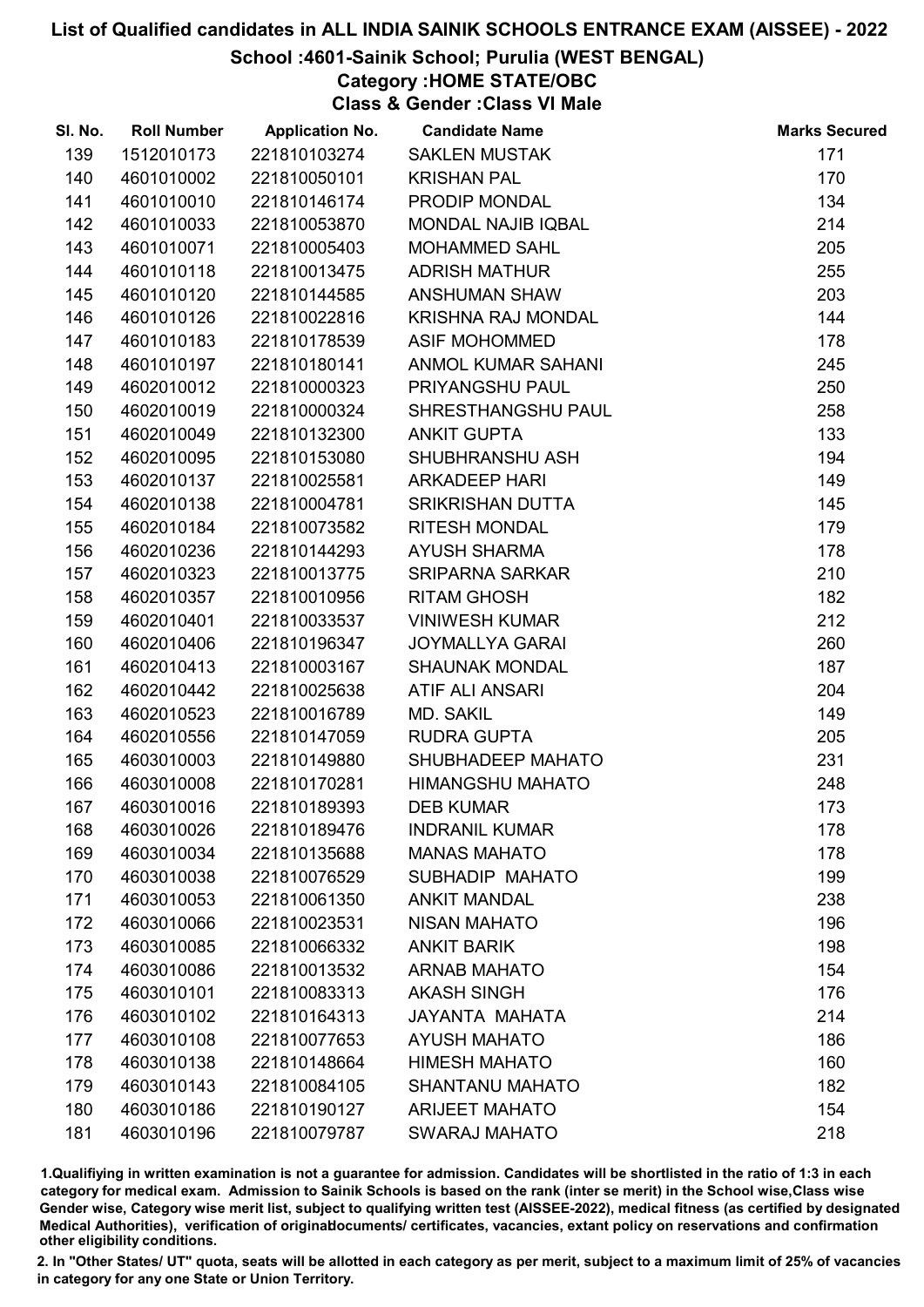### School :4601-Sainik School; Purulia (WEST BENGAL)

Category :HOME STATE/OBC

Class & Gender :Class VI Male

| SI. No. | <b>Roll Number</b> | <b>Application No.</b> | <b>Candidate Name</b>     | <b>Marks Secured</b> |
|---------|--------------------|------------------------|---------------------------|----------------------|
| 139     | 1512010173         | 221810103274           | <b>SAKLEN MUSTAK</b>      | 171                  |
| 140     | 4601010002         | 221810050101           | <b>KRISHAN PAL</b>        | 170                  |
| 141     | 4601010010         | 221810146174           | PRODIP MONDAL             | 134                  |
| 142     | 4601010033         | 221810053870           | <b>MONDAL NAJIB IQBAL</b> | 214                  |
| 143     | 4601010071         | 221810005403           | <b>MOHAMMED SAHL</b>      | 205                  |
| 144     | 4601010118         | 221810013475           | <b>ADRISH MATHUR</b>      | 255                  |
| 145     | 4601010120         | 221810144585           | <b>ANSHUMAN SHAW</b>      | 203                  |
| 146     | 4601010126         | 221810022816           | <b>KRISHNA RAJ MONDAL</b> | 144                  |
| 147     | 4601010183         | 221810178539           | <b>ASIF MOHOMMED</b>      | 178                  |
| 148     | 4601010197         | 221810180141           | <b>ANMOL KUMAR SAHANI</b> | 245                  |
| 149     | 4602010012         | 221810000323           | PRIYANGSHU PAUL           | 250                  |
| 150     | 4602010019         | 221810000324           | SHRESTHANGSHU PAUL        | 258                  |
| 151     | 4602010049         | 221810132300           | <b>ANKIT GUPTA</b>        | 133                  |
| 152     | 4602010095         | 221810153080           | SHUBHRANSHU ASH           | 194                  |
| 153     | 4602010137         | 221810025581           | <b>ARKADEEP HARI</b>      | 149                  |
| 154     | 4602010138         | 221810004781           | <b>SRIKRISHAN DUTTA</b>   | 145                  |
| 155     | 4602010184         | 221810073582           | <b>RITESH MONDAL</b>      | 179                  |
| 156     | 4602010236         | 221810144293           | <b>AYUSH SHARMA</b>       | 178                  |
| 157     | 4602010323         | 221810013775           | <b>SRIPARNA SARKAR</b>    | 210                  |
| 158     | 4602010357         | 221810010956           | <b>RITAM GHOSH</b>        | 182                  |
| 159     | 4602010401         | 221810033537           | <b>VINIWESH KUMAR</b>     | 212                  |
| 160     | 4602010406         | 221810196347           | <b>JOYMALLYA GARAI</b>    | 260                  |
| 161     | 4602010413         | 221810003167           | <b>SHAUNAK MONDAL</b>     | 187                  |
| 162     | 4602010442         | 221810025638           | <b>ATIF ALI ANSARI</b>    | 204                  |
| 163     | 4602010523         | 221810016789           | MD. SAKIL                 | 149                  |
| 164     | 4602010556         | 221810147059           | <b>RUDRA GUPTA</b>        | 205                  |
| 165     | 4603010003         | 221810149880           | SHUBHADEEP MAHATO         | 231                  |
| 166     | 4603010008         | 221810170281           | <b>HIMANGSHU MAHATO</b>   | 248                  |
| 167     | 4603010016         | 221810189393           | <b>DEB KUMAR</b>          | 173                  |
| 168     | 4603010026         | 221810189476           | <b>INDRANIL KUMAR</b>     | 178                  |
| 169     | 4603010034         | 221810135688           | <b>MANAS MAHATO</b>       | 178                  |
| 170     | 4603010038         | 221810076529           | SUBHADIP MAHATO           | 199                  |
| 171     | 4603010053         | 221810061350           | <b>ANKIT MANDAL</b>       | 238                  |
| 172     | 4603010066         | 221810023531           | <b>NISAN MAHATO</b>       | 196                  |
| 173     | 4603010085         | 221810066332           | <b>ANKIT BARIK</b>        | 198                  |
| 174     | 4603010086         | 221810013532           | <b>ARNAB MAHATO</b>       | 154                  |
| 175     | 4603010101         | 221810083313           | <b>AKASH SINGH</b>        | 176                  |
| 176     | 4603010102         | 221810164313           | JAYANTA MAHATA            | 214                  |
| 177     | 4603010108         | 221810077653           | <b>AYUSH MAHATO</b>       | 186                  |
| 178     | 4603010138         | 221810148664           | <b>HIMESH MAHATO</b>      | 160                  |
| 179     | 4603010143         | 221810084105           | <b>SHANTANU MAHATO</b>    | 182                  |
| 180     | 4603010186         | 221810190127           | <b>ARIJEET MAHATO</b>     | 154                  |
| 181     | 4603010196         | 221810079787           | <b>SWARAJ MAHATO</b>      | 218                  |

1.Qualifiying in written examination is not a guarantee for admission. Candidates will be shortlisted in the ratio of 1:3 in each category for medical exam. Admission to Sainik Schools is based on the rank (inter se merit) in the School wise,Class wise Gender wise, Category wise merit list, subject to qualifying written test (AISSEE-2022), medical fitness (as certified by designated Medical Authorities), verification of originablocuments/ certificates, vacancies, extant policy on reservations and confirmation other eligibility conditions.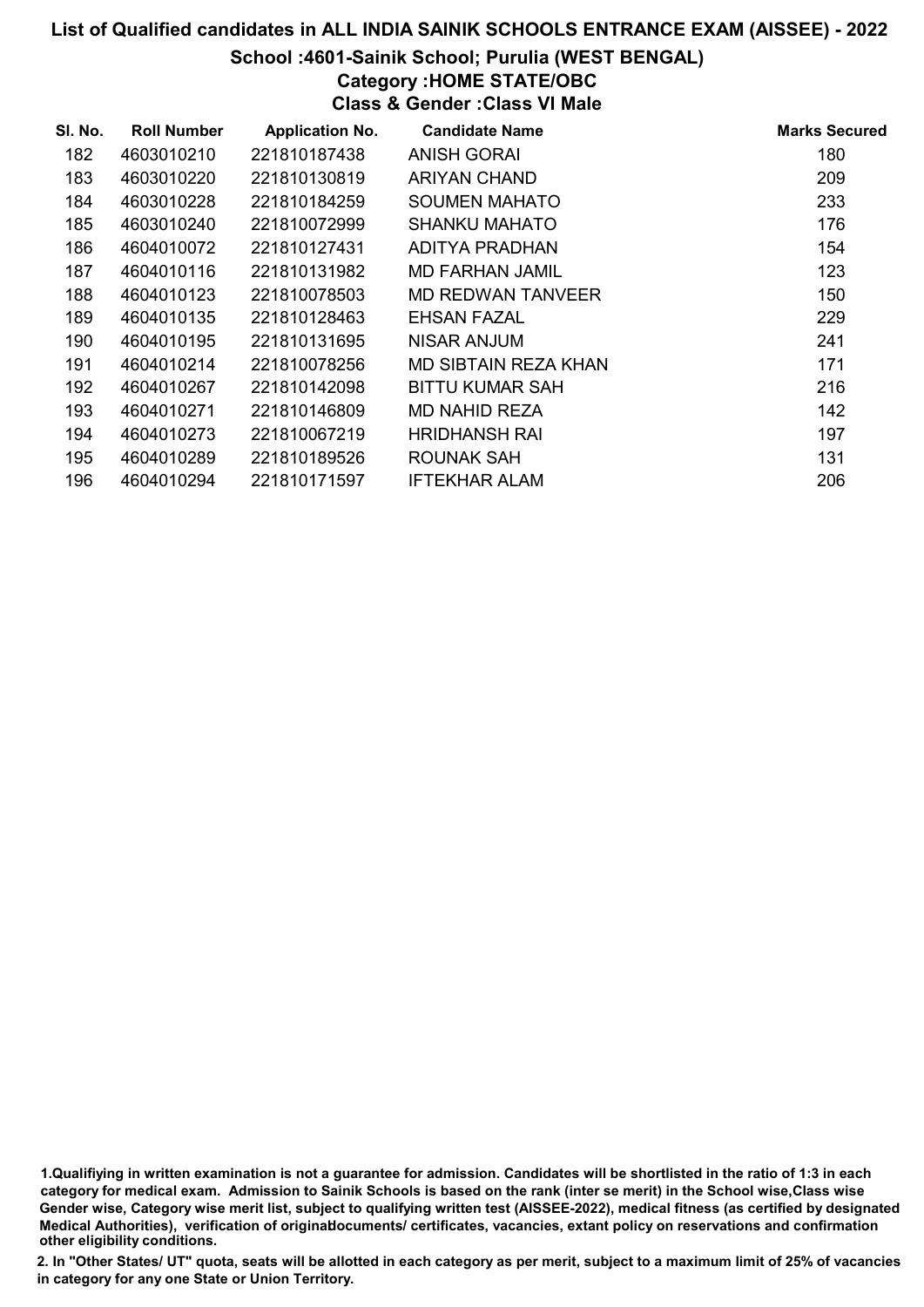# List of Qualified candidates in ALL INDIA SAINIK SCHOOLS ENTRANCE EXAM (AISSEE) - 2022 School :4601-Sainik School; Purulia (WEST BENGAL) Category :HOME STATE/OBC Class & Gender :Class VI Male

| SI. No. | <b>Roll Number</b> | <b>Application No.</b> | <b>Candidate Name</b>  | <b>Marks Secured</b> |
|---------|--------------------|------------------------|------------------------|----------------------|
| 182     | 4603010210         | 221810187438           | <b>ANISH GORAI</b>     | 180                  |
| 183     | 4603010220         | 221810130819           | ARIYAN CHAND           | 209                  |
| 184     | 4603010228         | 221810184259           | <b>SOUMEN MAHATO</b>   | 233                  |
| 185     | 4603010240         | 221810072999           | <b>SHANKU MAHATO</b>   | 176                  |
| 186     | 4604010072         | 221810127431           | ADITYA PRADHAN         | 154                  |
| 187     | 4604010116         | 221810131982           | <b>MD FARHAN JAMIL</b> | 123                  |
| 188     | 4604010123         | 221810078503           | MD REDWAN TANVEER      | 150                  |
| 189     | 4604010135         | 221810128463           | EHSAN FAZAL            | 229                  |
| 190     | 4604010195         | 221810131695           | NISAR ANJUM            | 241                  |
| 191     | 4604010214         | 221810078256           | MD SIBTAIN REZA KHAN   | 171                  |
| 192     | 4604010267         | 221810142098           | <b>BITTU KUMAR SAH</b> | 216                  |
| 193     | 4604010271         | 221810146809           | MD NAHID REZA          | 142                  |
| 194     | 4604010273         | 221810067219           | <b>HRIDHANSH RAI</b>   | 197                  |
| 195     | 4604010289         | 221810189526           | ROUNAK SAH             | 131                  |
| 196     | 4604010294         | 221810171597           | <b>IFTEKHAR ALAM</b>   | 206                  |

1.Qualifiying in written examination is not a guarantee for admission. Candidates will be shortlisted in the ratio of 1:3 in each category for medical exam. Admission to Sainik Schools is based on the rank (inter se merit) in the School wise,Class wise Gender wise, Category wise merit list, subject to qualifying written test (AISSEE-2022), medical fitness (as certified by designated Medical Authorities), verification of originablocuments/ certificates, vacancies, extant policy on reservations and confirmation other eligibility conditions.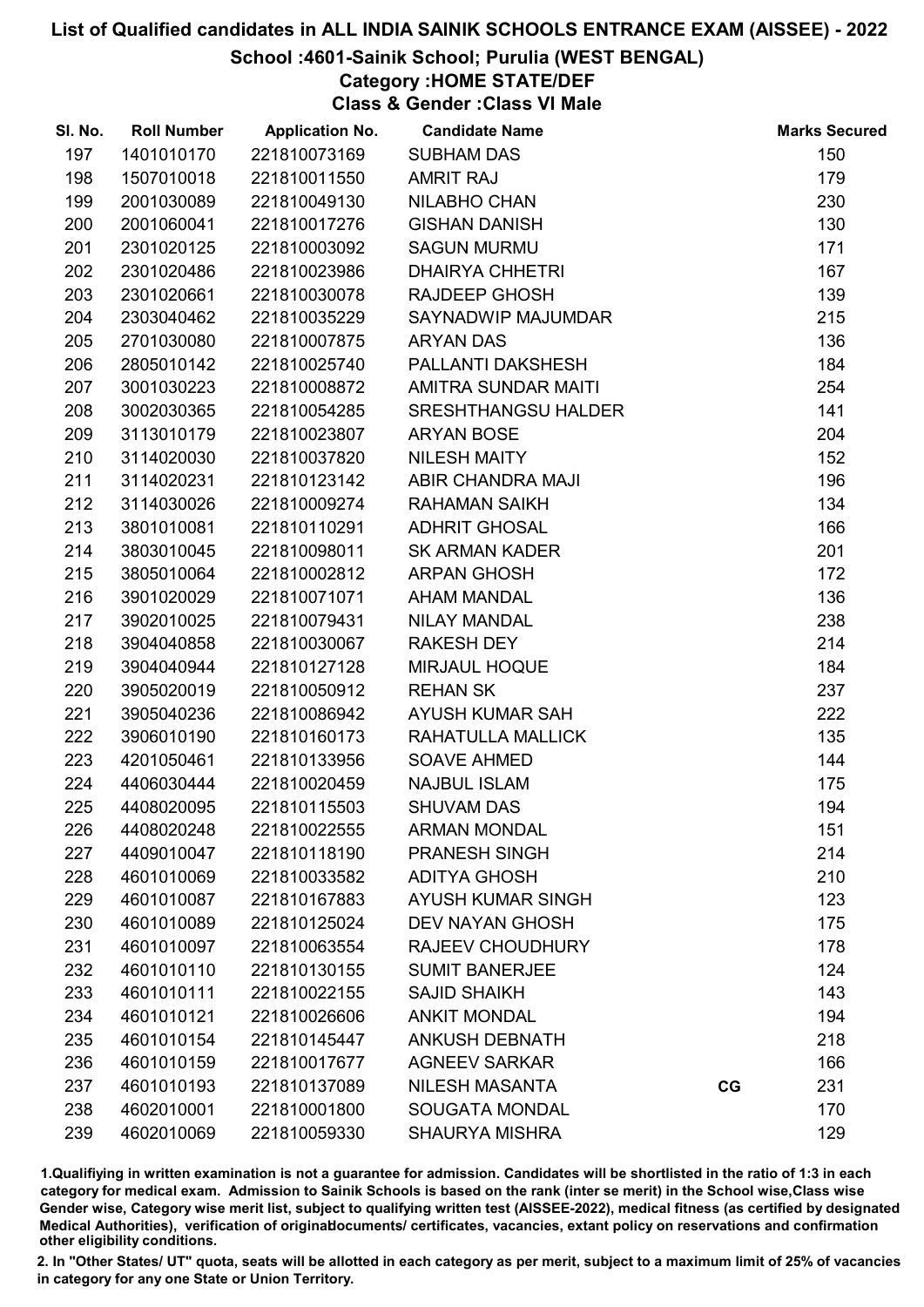# School :4601-Sainik School; Purulia (WEST BENGAL)

# Category :HOME STATE/DEF

Class & Gender :Class VI Male

| SI. No. | <b>Roll Number</b> | <b>Application No.</b> | <b>Candidate Name</b>      |    | <b>Marks Secured</b> |
|---------|--------------------|------------------------|----------------------------|----|----------------------|
| 197     | 1401010170         | 221810073169           | <b>SUBHAM DAS</b>          |    | 150                  |
| 198     | 1507010018         | 221810011550           | <b>AMRIT RAJ</b>           |    | 179                  |
| 199     | 2001030089         | 221810049130           | NILABHO CHAN               |    | 230                  |
| 200     | 2001060041         | 221810017276           | <b>GISHAN DANISH</b>       |    | 130                  |
| 201     | 2301020125         | 221810003092           | <b>SAGUN MURMU</b>         |    | 171                  |
| 202     | 2301020486         | 221810023986           | <b>DHAIRYA CHHETRI</b>     |    | 167                  |
| 203     | 2301020661         | 221810030078           | <b>RAJDEEP GHOSH</b>       |    | 139                  |
| 204     | 2303040462         | 221810035229           | SAYNADWIP MAJUMDAR         |    | 215                  |
| 205     | 2701030080         | 221810007875           | <b>ARYAN DAS</b>           |    | 136                  |
| 206     | 2805010142         | 221810025740           | PALLANTI DAKSHESH          |    | 184                  |
| 207     | 3001030223         | 221810008872           | AMITRA SUNDAR MAITI        |    | 254                  |
| 208     | 3002030365         | 221810054285           | <b>SRESHTHANGSU HALDER</b> |    | 141                  |
| 209     | 3113010179         | 221810023807           | <b>ARYAN BOSE</b>          |    | 204                  |
| 210     | 3114020030         | 221810037820           | <b>NILESH MAITY</b>        |    | 152                  |
| 211     | 3114020231         | 221810123142           | ABIR CHANDRA MAJI          |    | 196                  |
| 212     | 3114030026         | 221810009274           | <b>RAHAMAN SAIKH</b>       |    | 134                  |
| 213     | 3801010081         | 221810110291           | <b>ADHRIT GHOSAL</b>       |    | 166                  |
| 214     | 3803010045         | 221810098011           | <b>SK ARMAN KADER</b>      |    | 201                  |
| 215     | 3805010064         | 221810002812           | <b>ARPAN GHOSH</b>         |    | 172                  |
| 216     | 3901020029         | 221810071071           | <b>AHAM MANDAL</b>         |    | 136                  |
| 217     | 3902010025         | 221810079431           | <b>NILAY MANDAL</b>        |    | 238                  |
| 218     | 3904040858         | 221810030067           | <b>RAKESH DEY</b>          |    | 214                  |
| 219     | 3904040944         | 221810127128           | MIRJAUL HOQUE              |    | 184                  |
| 220     | 3905020019         | 221810050912           | <b>REHAN SK</b>            |    | 237                  |
| 221     | 3905040236         | 221810086942           | AYUSH KUMAR SAH            |    | 222                  |
| 222     | 3906010190         | 221810160173           | RAHATULLA MALLICK          |    | 135                  |
| 223     | 4201050461         | 221810133956           | <b>SOAVE AHMED</b>         |    | 144                  |
| 224     | 4406030444         | 221810020459           | <b>NAJBUL ISLAM</b>        |    | 175                  |
| 225     | 4408020095         | 221810115503           | <b>SHUVAM DAS</b>          |    | 194                  |
| 226     | 4408020248         | 221810022555           | <b>ARMAN MONDAL</b>        |    | 151                  |
| 227     | 4409010047         | 221810118190           | <b>PRANESH SINGH</b>       |    | 214                  |
| 228     | 4601010069         | 221810033582           | <b>ADITYA GHOSH</b>        |    | 210                  |
| 229     | 4601010087         | 221810167883           | <b>AYUSH KUMAR SINGH</b>   |    | 123                  |
| 230     | 4601010089         | 221810125024           | <b>DEV NAYAN GHOSH</b>     |    | 175                  |
| 231     | 4601010097         | 221810063554           | <b>RAJEEV CHOUDHURY</b>    |    | 178                  |
| 232     | 4601010110         | 221810130155           | <b>SUMIT BANERJEE</b>      |    | 124                  |
| 233     | 4601010111         | 221810022155           | <b>SAJID SHAIKH</b>        |    | 143                  |
| 234     | 4601010121         | 221810026606           | <b>ANKIT MONDAL</b>        |    | 194                  |
| 235     | 4601010154         | 221810145447           | <b>ANKUSH DEBNATH</b>      |    | 218                  |
| 236     | 4601010159         | 221810017677           | <b>AGNEEV SARKAR</b>       |    | 166                  |
| 237     | 4601010193         | 221810137089           | <b>NILESH MASANTA</b>      | CG | 231                  |
| 238     | 4602010001         | 221810001800           | <b>SOUGATA MONDAL</b>      |    | 170                  |
| 239     | 4602010069         | 221810059330           | <b>SHAURYA MISHRA</b>      |    | 129                  |

1.Qualifiying in written examination is not a guarantee for admission. Candidates will be shortlisted in the ratio of 1:3 in each category for medical exam. Admission to Sainik Schools is based on the rank (inter se merit) in the School wise,Class wise Gender wise, Category wise merit list, subject to qualifying written test (AISSEE-2022), medical fitness (as certified by designated Medical Authorities), verification of originablocuments/ certificates, vacancies, extant policy on reservations and confirmation other eligibility conditions.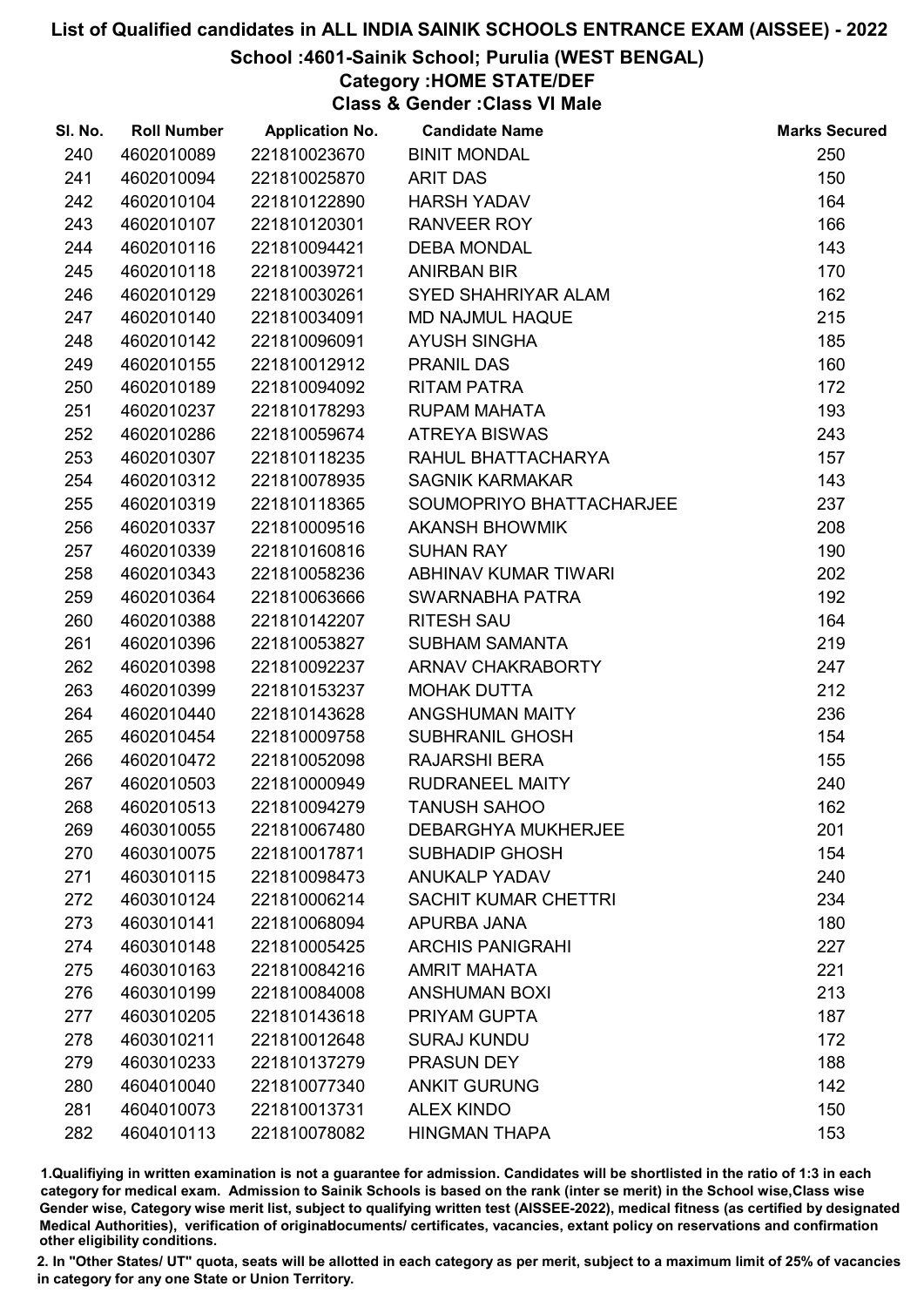# School :4601-Sainik School; Purulia (WEST BENGAL)

# Category :HOME STATE/DEF

Class & Gender :Class VI Male

| SI. No. | <b>Roll Number</b> | <b>Application No.</b> | <b>Candidate Name</b>       | <b>Marks Secured</b> |
|---------|--------------------|------------------------|-----------------------------|----------------------|
| 240     | 4602010089         | 221810023670           | <b>BINIT MONDAL</b>         | 250                  |
| 241     | 4602010094         | 221810025870           | <b>ARIT DAS</b>             | 150                  |
| 242     | 4602010104         | 221810122890           | <b>HARSH YADAV</b>          | 164                  |
| 243     | 4602010107         | 221810120301           | RANVEER ROY                 | 166                  |
| 244     | 4602010116         | 221810094421           | <b>DEBA MONDAL</b>          | 143                  |
| 245     | 4602010118         | 221810039721           | <b>ANIRBAN BIR</b>          | 170                  |
| 246     | 4602010129         | 221810030261           | SYED SHAHRIYAR ALAM         | 162                  |
| 247     | 4602010140         | 221810034091           | <b>MD NAJMUL HAQUE</b>      | 215                  |
| 248     | 4602010142         | 221810096091           | <b>AYUSH SINGHA</b>         | 185                  |
| 249     | 4602010155         | 221810012912           | <b>PRANIL DAS</b>           | 160                  |
| 250     | 4602010189         | 221810094092           | <b>RITAM PATRA</b>          | 172                  |
| 251     | 4602010237         | 221810178293           | RUPAM MAHATA                | 193                  |
| 252     | 4602010286         | 221810059674           | <b>ATREYA BISWAS</b>        | 243                  |
| 253     | 4602010307         | 221810118235           | RAHUL BHATTACHARYA          | 157                  |
| 254     | 4602010312         | 221810078935           | <b>SAGNIK KARMAKAR</b>      | 143                  |
| 255     | 4602010319         | 221810118365           | SOUMOPRIYO BHATTACHARJEE    | 237                  |
| 256     | 4602010337         | 221810009516           | <b>AKANSH BHOWMIK</b>       | 208                  |
| 257     | 4602010339         | 221810160816           | <b>SUHAN RAY</b>            | 190                  |
| 258     | 4602010343         | 221810058236           | ABHINAV KUMAR TIWARI        | 202                  |
| 259     | 4602010364         | 221810063666           | SWARNABHA PATRA             | 192                  |
| 260     | 4602010388         | 221810142207           | <b>RITESH SAU</b>           | 164                  |
| 261     | 4602010396         | 221810053827           | <b>SUBHAM SAMANTA</b>       | 219                  |
| 262     | 4602010398         | 221810092237           | ARNAV CHAKRABORTY           | 247                  |
| 263     | 4602010399         | 221810153237           | <b>MOHAK DUTTA</b>          | 212                  |
| 264     | 4602010440         | 221810143628           | ANGSHUMAN MAITY             | 236                  |
| 265     | 4602010454         | 221810009758           | <b>SUBHRANIL GHOSH</b>      | 154                  |
| 266     | 4602010472         | 221810052098           | <b>RAJARSHI BERA</b>        | 155                  |
| 267     | 4602010503         | 221810000949           | RUDRANEEL MAITY             | 240                  |
| 268     | 4602010513         | 221810094279           | <b>TANUSH SAHOO</b>         | 162                  |
| 269     | 4603010055         | 221810067480           | <b>DEBARGHYA MUKHERJEE</b>  | 201                  |
| 270     | 4603010075         | 221810017871           | <b>SUBHADIP GHOSH</b>       | 154                  |
| 271     | 4603010115         | 221810098473           | <b>ANUKALP YADAV</b>        | 240                  |
| 272     | 4603010124         | 221810006214           | <b>SACHIT KUMAR CHETTRI</b> | 234                  |
| 273     | 4603010141         | 221810068094           | APURBA JANA                 | 180                  |
| 274     | 4603010148         | 221810005425           | <b>ARCHIS PANIGRAHI</b>     | 227                  |
| 275     | 4603010163         | 221810084216           | <b>AMRIT MAHATA</b>         | 221                  |
| 276     | 4603010199         | 221810084008           | <b>ANSHUMAN BOXI</b>        | 213                  |
| 277     | 4603010205         | 221810143618           | PRIYAM GUPTA                | 187                  |
| 278     | 4603010211         | 221810012648           | <b>SURAJ KUNDU</b>          | 172                  |
| 279     | 4603010233         | 221810137279           | PRASUN DEY                  | 188                  |
| 280     | 4604010040         | 221810077340           | <b>ANKIT GURUNG</b>         | 142                  |
| 281     | 4604010073         | 221810013731           | <b>ALEX KINDO</b>           | 150                  |
| 282     | 4604010113         | 221810078082           | <b>HINGMAN THAPA</b>        | 153                  |

1.Qualifiying in written examination is not a guarantee for admission. Candidates will be shortlisted in the ratio of 1:3 in each category for medical exam. Admission to Sainik Schools is based on the rank (inter se merit) in the School wise,Class wise Gender wise, Category wise merit list, subject to qualifying written test (AISSEE-2022), medical fitness (as certified by designated Medical Authorities), verification of originablocuments/ certificates, vacancies, extant policy on reservations and confirmation other eligibility conditions.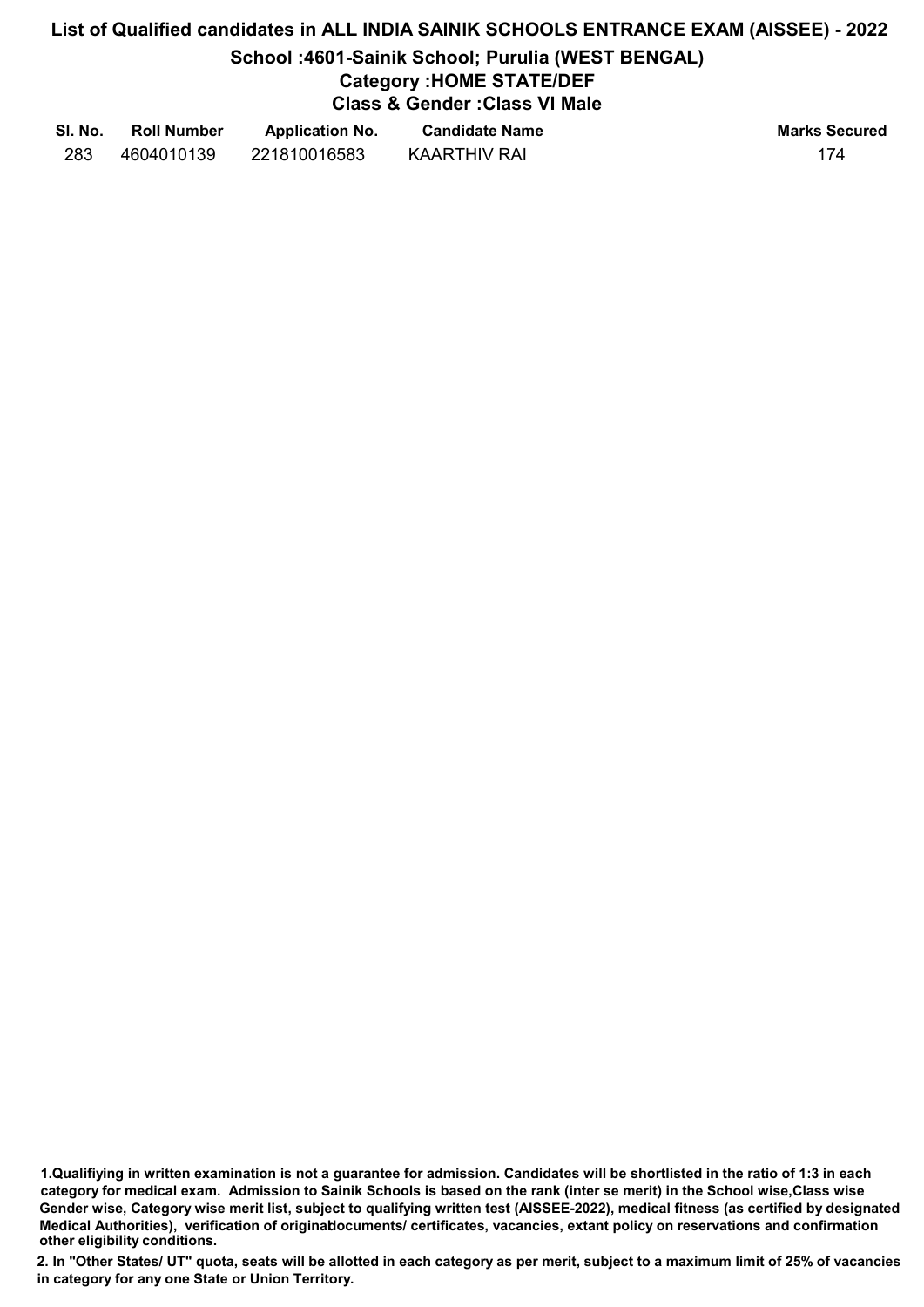# List of Qualified candidates in ALL INDIA SAINIK SCHOOLS ENTRANCE EXAM (AISSEE) - 2022 School :4601-Sainik School; Purulia (WEST BENGAL) Category :HOME STATE/DEF Class & Gender :Class VI Male

| SI. No. | <b>Roll Number</b> | <b>Application No.</b> | <b>Candidate Name</b> | <b>Marks Secured</b> |
|---------|--------------------|------------------------|-----------------------|----------------------|
| 283     | 4604010139         | 221810016583           | KAARTHIV RAI          | 174                  |

<sup>1.</sup>Qualifiying in written examination is not a guarantee for admission. Candidates will be shortlisted in the ratio of 1:3 in each category for medical exam. Admission to Sainik Schools is based on the rank (inter se merit) in the School wise,Class wise Gender wise, Category wise merit list, subject to qualifying written test (AISSEE-2022), medical fitness (as certified by designated Medical Authorities), verification of originablocuments/ certificates, vacancies, extant policy on reservations and confirmation other eligibility conditions.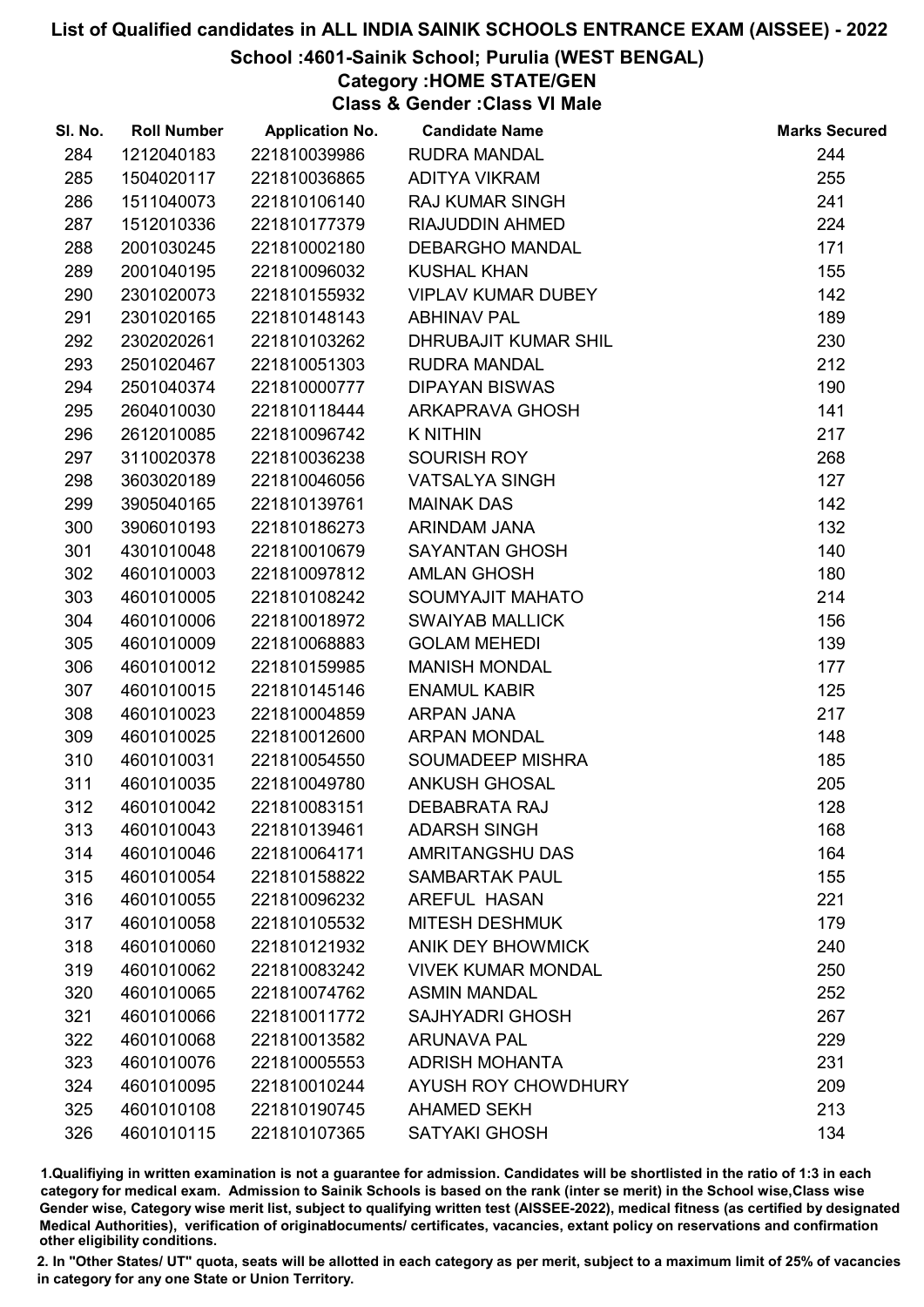# School :4601-Sainik School; Purulia (WEST BENGAL)

# Category :HOME STATE/GEN

Class & Gender :Class VI Male

| SI. No. | <b>Roll Number</b> | <b>Application No.</b> | <b>Candidate Name</b>      | <b>Marks Secured</b> |
|---------|--------------------|------------------------|----------------------------|----------------------|
| 284     | 1212040183         | 221810039986           | <b>RUDRA MANDAL</b>        | 244                  |
| 285     | 1504020117         | 221810036865           | <b>ADITYA VIKRAM</b>       | 255                  |
| 286     | 1511040073         | 221810106140           | <b>RAJ KUMAR SINGH</b>     | 241                  |
| 287     | 1512010336         | 221810177379           | RIAJUDDIN AHMED            | 224                  |
| 288     | 2001030245         | 221810002180           | <b>DEBARGHO MANDAL</b>     | 171                  |
| 289     | 2001040195         | 221810096032           | <b>KUSHAL KHAN</b>         | 155                  |
| 290     | 2301020073         | 221810155932           | <b>VIPLAV KUMAR DUBEY</b>  | 142                  |
| 291     | 2301020165         | 221810148143           | <b>ABHINAV PAL</b>         | 189                  |
| 292     | 2302020261         | 221810103262           | DHRUBAJIT KUMAR SHIL       | 230                  |
| 293     | 2501020467         | 221810051303           | <b>RUDRA MANDAL</b>        | 212                  |
| 294     | 2501040374         | 221810000777           | <b>DIPAYAN BISWAS</b>      | 190                  |
| 295     | 2604010030         | 221810118444           | ARKAPRAVA GHOSH            | 141                  |
| 296     | 2612010085         | 221810096742           | <b>K NITHIN</b>            | 217                  |
| 297     | 3110020378         | 221810036238           | SOURISH ROY                | 268                  |
| 298     | 3603020189         | 221810046056           | <b>VATSALYA SINGH</b>      | 127                  |
| 299     | 3905040165         | 221810139761           | <b>MAINAK DAS</b>          | 142                  |
| 300     | 3906010193         | 221810186273           | ARINDAM JANA               | 132                  |
| 301     | 4301010048         | 221810010679           | <b>SAYANTAN GHOSH</b>      | 140                  |
| 302     | 4601010003         | 221810097812           | <b>AMLAN GHOSH</b>         | 180                  |
| 303     | 4601010005         | 221810108242           | SOUMYAJIT MAHATO           | 214                  |
| 304     | 4601010006         | 221810018972           | <b>SWAIYAB MALLICK</b>     | 156                  |
| 305     | 4601010009         | 221810068883           | <b>GOLAM MEHEDI</b>        | 139                  |
| 306     | 4601010012         | 221810159985           | <b>MANISH MONDAL</b>       | 177                  |
| 307     | 4601010015         | 221810145146           | <b>ENAMUL KABIR</b>        | 125                  |
| 308     | 4601010023         | 221810004859           | ARPAN JANA                 | 217                  |
| 309     | 4601010025         | 221810012600           | <b>ARPAN MONDAL</b>        | 148                  |
| 310     | 4601010031         | 221810054550           | SOUMADEEP MISHRA           | 185                  |
| 311     | 4601010035         | 221810049780           | <b>ANKUSH GHOSAL</b>       | 205                  |
| 312     | 4601010042         | 221810083151           | <b>DEBABRATA RAJ</b>       | 128                  |
| 313     | 4601010043         | 221810139461           | <b>ADARSH SINGH</b>        | 168                  |
| 314     | 4601010046         | 221810064171           | <b>AMRITANGSHU DAS</b>     | 164                  |
| 315     | 4601010054         | 221810158822           | <b>SAMBARTAK PAUL</b>      | 155                  |
| 316     | 4601010055         | 221810096232           | <b>AREFUL HASAN</b>        | 221                  |
| 317     | 4601010058         | 221810105532           | <b>MITESH DESHMUK</b>      | 179                  |
| 318     | 4601010060         | 221810121932           | <b>ANIK DEY BHOWMICK</b>   | 240                  |
| 319     | 4601010062         | 221810083242           | <b>VIVEK KUMAR MONDAL</b>  | 250                  |
| 320     | 4601010065         | 221810074762           | <b>ASMIN MANDAL</b>        | 252                  |
| 321     | 4601010066         | 221810011772           | <b>SAJHYADRI GHOSH</b>     | 267                  |
| 322     | 4601010068         | 221810013582           | <b>ARUNAVA PAL</b>         | 229                  |
| 323     | 4601010076         | 221810005553           | <b>ADRISH MOHANTA</b>      | 231                  |
| 324     | 4601010095         | 221810010244           | <b>AYUSH ROY CHOWDHURY</b> | 209                  |
| 325     | 4601010108         | 221810190745           | <b>AHAMED SEKH</b>         | 213                  |
| 326     | 4601010115         | 221810107365           | <b>SATYAKI GHOSH</b>       | 134                  |

1.Qualifiying in written examination is not a guarantee for admission. Candidates will be shortlisted in the ratio of 1:3 in each category for medical exam. Admission to Sainik Schools is based on the rank (inter se merit) in the School wise,Class wise Gender wise, Category wise merit list, subject to qualifying written test (AISSEE-2022), medical fitness (as certified by designated Medical Authorities), verification of originablocuments/ certificates, vacancies, extant policy on reservations and confirmation other eligibility conditions.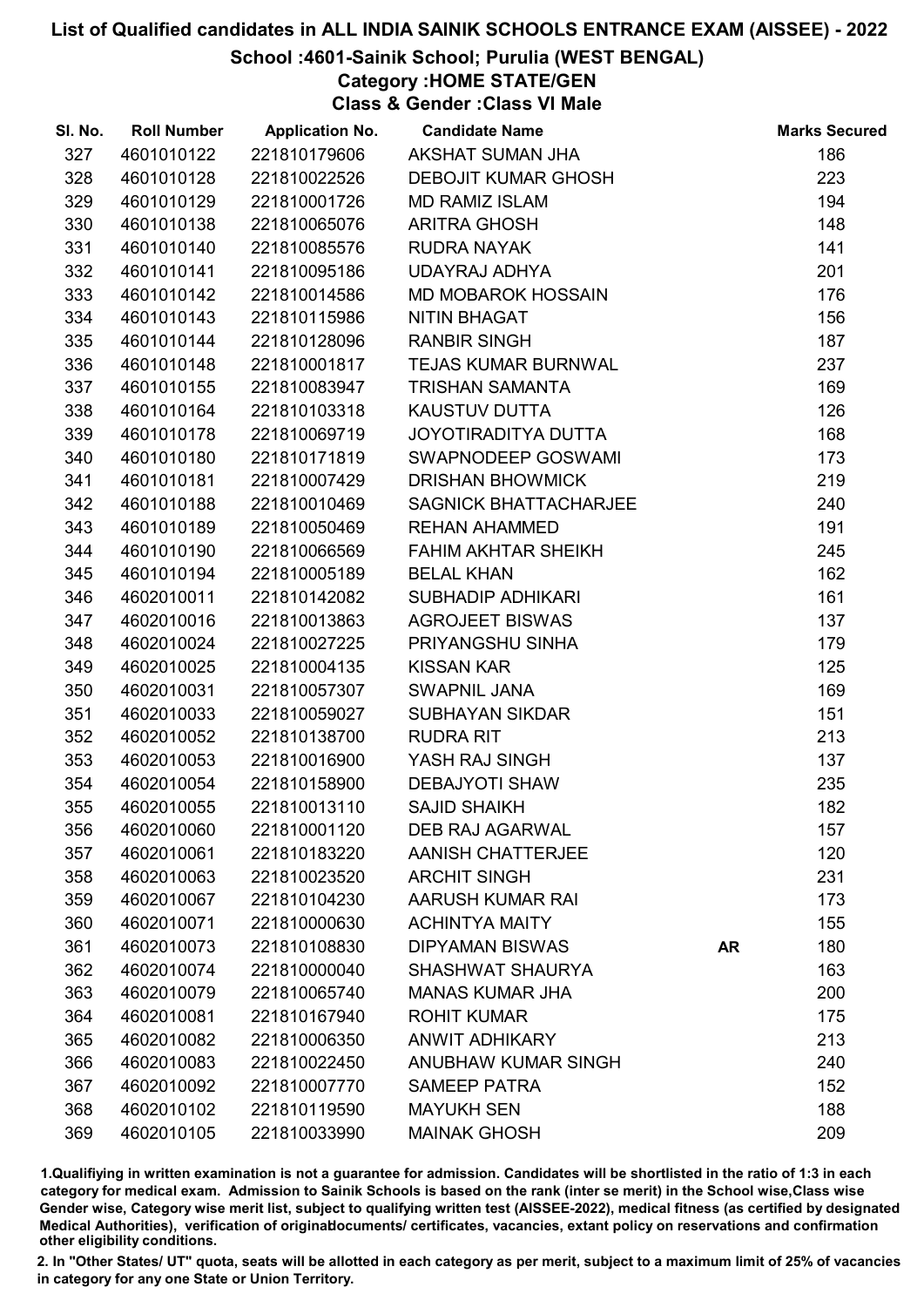# School :4601-Sainik School; Purulia (WEST BENGAL)

Category :HOME STATE/GEN

Class & Gender :Class VI Male

| SI. No. | <b>Roll Number</b> | <b>Application No.</b> | <b>Candidate Name</b>        |           | <b>Marks Secured</b> |
|---------|--------------------|------------------------|------------------------------|-----------|----------------------|
| 327     | 4601010122         | 221810179606           | AKSHAT SUMAN JHA             |           | 186                  |
| 328     | 4601010128         | 221810022526           | <b>DEBOJIT KUMAR GHOSH</b>   |           | 223                  |
| 329     | 4601010129         | 221810001726           | <b>MD RAMIZ ISLAM</b>        |           | 194                  |
| 330     | 4601010138         | 221810065076           | <b>ARITRA GHOSH</b>          |           | 148                  |
| 331     | 4601010140         | 221810085576           | <b>RUDRA NAYAK</b>           |           | 141                  |
| 332     | 4601010141         | 221810095186           | UDAYRAJ ADHYA                |           | 201                  |
| 333     | 4601010142         | 221810014586           | <b>MD MOBAROK HOSSAIN</b>    |           | 176                  |
| 334     | 4601010143         | 221810115986           | <b>NITIN BHAGAT</b>          |           | 156                  |
| 335     | 4601010144         | 221810128096           | <b>RANBIR SINGH</b>          |           | 187                  |
| 336     | 4601010148         | 221810001817           | <b>TEJAS KUMAR BURNWAL</b>   |           | 237                  |
| 337     | 4601010155         | 221810083947           | <b>TRISHAN SAMANTA</b>       |           | 169                  |
| 338     | 4601010164         | 221810103318           | <b>KAUSTUV DUTTA</b>         |           | 126                  |
| 339     | 4601010178         | 221810069719           | JOYOTIRADITYA DUTTA          |           | 168                  |
| 340     | 4601010180         | 221810171819           | SWAPNODEEP GOSWAMI           |           | 173                  |
| 341     | 4601010181         | 221810007429           | <b>DRISHAN BHOWMICK</b>      |           | 219                  |
| 342     | 4601010188         | 221810010469           | <b>SAGNICK BHATTACHARJEE</b> |           | 240                  |
| 343     | 4601010189         | 221810050469           | <b>REHAN AHAMMED</b>         |           | 191                  |
| 344     | 4601010190         | 221810066569           | <b>FAHIM AKHTAR SHEIKH</b>   |           | 245                  |
| 345     | 4601010194         | 221810005189           | <b>BELAL KHAN</b>            |           | 162                  |
| 346     | 4602010011         | 221810142082           | <b>SUBHADIP ADHIKARI</b>     |           | 161                  |
| 347     | 4602010016         | 221810013863           | <b>AGROJEET BISWAS</b>       |           | 137                  |
| 348     | 4602010024         | 221810027225           | PRIYANGSHU SINHA             |           | 179                  |
| 349     | 4602010025         | 221810004135           | <b>KISSAN KAR</b>            |           | 125                  |
| 350     | 4602010031         | 221810057307           | SWAPNIL JANA                 |           | 169                  |
| 351     | 4602010033         | 221810059027           | <b>SUBHAYAN SIKDAR</b>       |           | 151                  |
| 352     | 4602010052         | 221810138700           | <b>RUDRA RIT</b>             |           | 213                  |
| 353     | 4602010053         | 221810016900           | YASH RAJ SINGH               |           | 137                  |
| 354     | 4602010054         | 221810158900           | <b>DEBAJYOTI SHAW</b>        |           | 235                  |
| 355     | 4602010055         | 221810013110           | <b>SAJID SHAIKH</b>          |           | 182                  |
| 356     | 4602010060         | 221810001120           | <b>DEB RAJ AGARWAL</b>       |           | 157                  |
| 357     | 4602010061         | 221810183220           | <b>AANISH CHATTERJEE</b>     |           | 120                  |
| 358     | 4602010063         | 221810023520           | <b>ARCHIT SINGH</b>          |           | 231                  |
| 359     | 4602010067         | 221810104230           | AARUSH KUMAR RAI             |           | 173                  |
| 360     | 4602010071         | 221810000630           | <b>ACHINTYA MAITY</b>        |           | 155                  |
| 361     | 4602010073         | 221810108830           | <b>DIPYAMAN BISWAS</b>       | <b>AR</b> | 180                  |
| 362     | 4602010074         | 221810000040           | <b>SHASHWAT SHAURYA</b>      |           | 163                  |
| 363     | 4602010079         | 221810065740           | <b>MANAS KUMAR JHA</b>       |           | 200                  |
| 364     | 4602010081         | 221810167940           | <b>ROHIT KUMAR</b>           |           | 175                  |
| 365     | 4602010082         | 221810006350           | <b>ANWIT ADHIKARY</b>        |           | 213                  |
| 366     | 4602010083         | 221810022450           | <b>ANUBHAW KUMAR SINGH</b>   |           | 240                  |
| 367     | 4602010092         | 221810007770           | <b>SAMEEP PATRA</b>          |           | 152                  |
| 368     | 4602010102         | 221810119590           | <b>MAYUKH SEN</b>            |           | 188                  |
| 369     | 4602010105         | 221810033990           | <b>MAINAK GHOSH</b>          |           | 209                  |

1.Qualifiying in written examination is not a guarantee for admission. Candidates will be shortlisted in the ratio of 1:3 in each category for medical exam. Admission to Sainik Schools is based on the rank (inter se merit) in the School wise,Class wise Gender wise, Category wise merit list, subject to qualifying written test (AISSEE-2022), medical fitness (as certified by designated Medical Authorities), verification of originablocuments/ certificates, vacancies, extant policy on reservations and confirmation other eligibility conditions.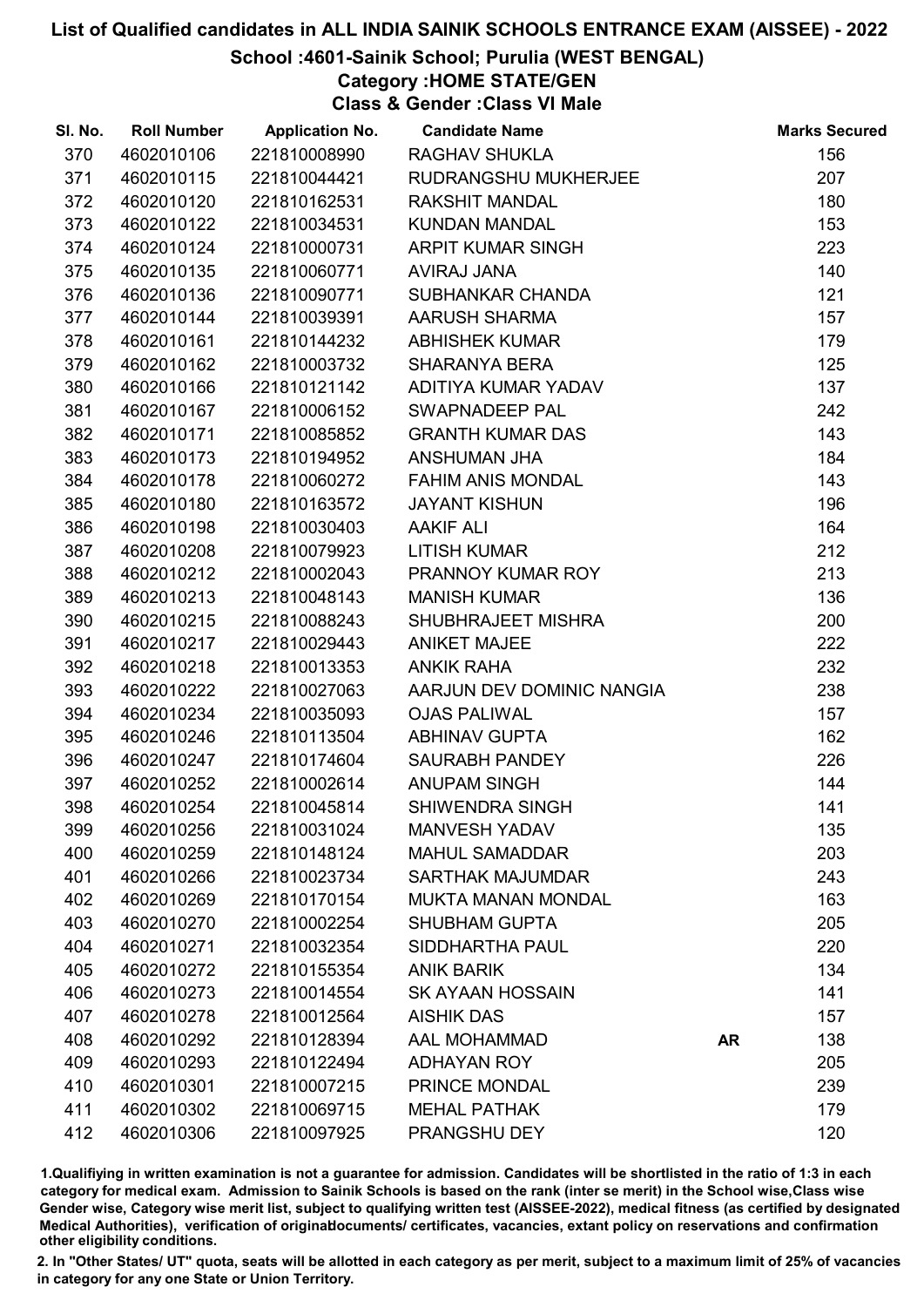# School :4601-Sainik School; Purulia (WEST BENGAL)

Category :HOME STATE/GEN

Class & Gender :Class VI Male

| SI. No. | <b>Roll Number</b> | <b>Application No.</b> | <b>Candidate Name</b>     |           | <b>Marks Secured</b> |
|---------|--------------------|------------------------|---------------------------|-----------|----------------------|
| 370     | 4602010106         | 221810008990           | <b>RAGHAV SHUKLA</b>      |           | 156                  |
| 371     | 4602010115         | 221810044421           | RUDRANGSHU MUKHERJEE      |           | 207                  |
| 372     | 4602010120         | 221810162531           | <b>RAKSHIT MANDAL</b>     |           | 180                  |
| 373     | 4602010122         | 221810034531           | <b>KUNDAN MANDAL</b>      |           | 153                  |
| 374     | 4602010124         | 221810000731           | <b>ARPIT KUMAR SINGH</b>  |           | 223                  |
| 375     | 4602010135         | 221810060771           | AVIRAJ JANA               |           | 140                  |
| 376     | 4602010136         | 221810090771           | SUBHANKAR CHANDA          |           | 121                  |
| 377     | 4602010144         | 221810039391           | <b>AARUSH SHARMA</b>      |           | 157                  |
| 378     | 4602010161         | 221810144232           | <b>ABHISHEK KUMAR</b>     |           | 179                  |
| 379     | 4602010162         | 221810003732           | <b>SHARANYA BERA</b>      |           | 125                  |
| 380     | 4602010166         | 221810121142           | ADITIYA KUMAR YADAV       |           | 137                  |
| 381     | 4602010167         | 221810006152           | SWAPNADEEP PAL            |           | 242                  |
| 382     | 4602010171         | 221810085852           | <b>GRANTH KUMAR DAS</b>   |           | 143                  |
| 383     | 4602010173         | 221810194952           | ANSHUMAN JHA              |           | 184                  |
| 384     | 4602010178         | 221810060272           | <b>FAHIM ANIS MONDAL</b>  |           | 143                  |
| 385     | 4602010180         | 221810163572           | <b>JAYANT KISHUN</b>      |           | 196                  |
| 386     | 4602010198         | 221810030403           | <b>AAKIF ALI</b>          |           | 164                  |
| 387     | 4602010208         | 221810079923           | <b>LITISH KUMAR</b>       |           | 212                  |
| 388     | 4602010212         | 221810002043           | PRANNOY KUMAR ROY         |           | 213                  |
| 389     | 4602010213         | 221810048143           | <b>MANISH KUMAR</b>       |           | 136                  |
| 390     | 4602010215         | 221810088243           | SHUBHRAJEET MISHRA        |           | 200                  |
| 391     | 4602010217         | 221810029443           | <b>ANIKET MAJEE</b>       |           | 222                  |
| 392     | 4602010218         | 221810013353           | <b>ANKIK RAHA</b>         |           | 232                  |
| 393     | 4602010222         | 221810027063           | AARJUN DEV DOMINIC NANGIA |           | 238                  |
| 394     | 4602010234         | 221810035093           | <b>OJAS PALIWAL</b>       |           | 157                  |
| 395     | 4602010246         | 221810113504           | <b>ABHINAV GUPTA</b>      |           | 162                  |
| 396     | 4602010247         | 221810174604           | SAURABH PANDEY            |           | 226                  |
| 397     | 4602010252         | 221810002614           | <b>ANUPAM SINGH</b>       |           | 144                  |
| 398     | 4602010254         | 221810045814           | <b>SHIWENDRA SINGH</b>    |           | 141                  |
| 399     | 4602010256         | 221810031024           | <b>MANVESH YADAV</b>      |           | 135                  |
| 400     | 4602010259         | 221810148124           | <b>MAHUL SAMADDAR</b>     |           | 203                  |
| 401     | 4602010266         | 221810023734           | <b>SARTHAK MAJUMDAR</b>   |           | 243                  |
| 402     | 4602010269         | 221810170154           | <b>MUKTA MANAN MONDAL</b> |           | 163                  |
| 403     | 4602010270         | 221810002254           | <b>SHUBHAM GUPTA</b>      |           | 205                  |
| 404     | 4602010271         | 221810032354           | SIDDHARTHA PAUL           |           | 220                  |
| 405     | 4602010272         | 221810155354           | <b>ANIK BARIK</b>         |           | 134                  |
| 406     | 4602010273         | 221810014554           | <b>SK AYAAN HOSSAIN</b>   |           | 141                  |
| 407     | 4602010278         | 221810012564           | <b>AISHIK DAS</b>         |           | 157                  |
| 408     | 4602010292         | 221810128394           | <b>AAL MOHAMMAD</b>       | <b>AR</b> | 138                  |
| 409     | 4602010293         | 221810122494           | <b>ADHAYAN ROY</b>        |           | 205                  |
| 410     | 4602010301         | 221810007215           | PRINCE MONDAL             |           | 239                  |
| 411     | 4602010302         | 221810069715           | <b>MEHAL PATHAK</b>       |           | 179                  |
| 412     | 4602010306         | 221810097925           | PRANGSHU DEY              |           | 120                  |

1.Qualifiying in written examination is not a guarantee for admission. Candidates will be shortlisted in the ratio of 1:3 in each category for medical exam. Admission to Sainik Schools is based on the rank (inter se merit) in the School wise,Class wise Gender wise, Category wise merit list, subject to qualifying written test (AISSEE-2022), medical fitness (as certified by designated Medical Authorities), verification of originablocuments/ certificates, vacancies, extant policy on reservations and confirmation other eligibility conditions.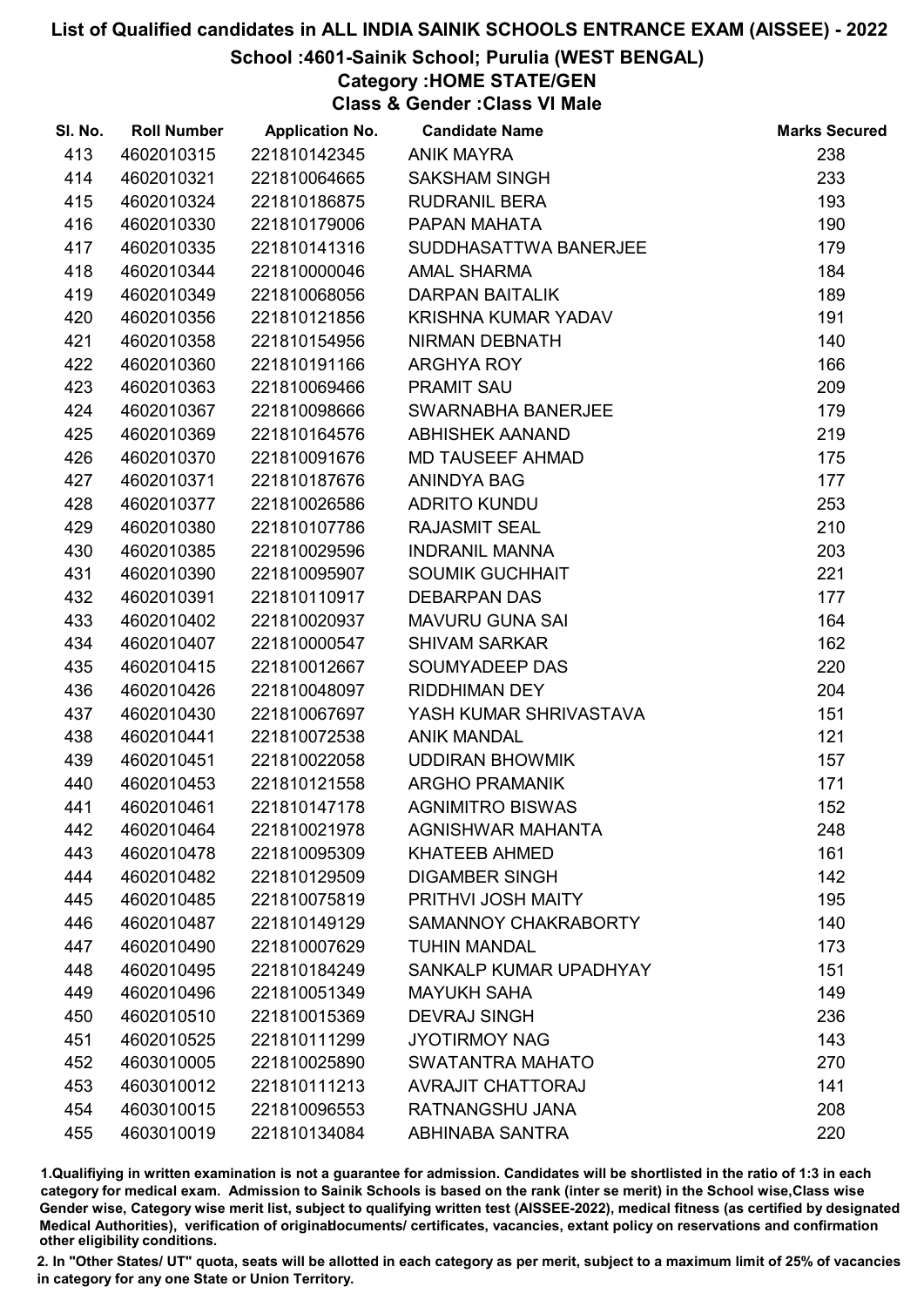#### School :4601-Sainik School; Purulia (WEST BENGAL)

# Category :HOME STATE/GEN

Class & Gender :Class VI Male

| SI. No. | <b>Roll Number</b> | <b>Application No.</b> | <b>Candidate Name</b>    | <b>Marks Secured</b> |
|---------|--------------------|------------------------|--------------------------|----------------------|
| 413     | 4602010315         | 221810142345           | <b>ANIK MAYRA</b>        | 238                  |
| 414     | 4602010321         | 221810064665           | <b>SAKSHAM SINGH</b>     | 233                  |
| 415     | 4602010324         | 221810186875           | <b>RUDRANIL BERA</b>     | 193                  |
| 416     | 4602010330         | 221810179006           | PAPAN MAHATA             | 190                  |
| 417     | 4602010335         | 221810141316           | SUDDHASATTWA BANERJEE    | 179                  |
| 418     | 4602010344         | 221810000046           | <b>AMAL SHARMA</b>       | 184                  |
| 419     | 4602010349         | 221810068056           | <b>DARPAN BAITALIK</b>   | 189                  |
| 420     | 4602010356         | 221810121856           | KRISHNA KUMAR YADAV      | 191                  |
| 421     | 4602010358         | 221810154956           | NIRMAN DEBNATH           | 140                  |
| 422     | 4602010360         | 221810191166           | <b>ARGHYA ROY</b>        | 166                  |
| 423     | 4602010363         | 221810069466           | <b>PRAMIT SAU</b>        | 209                  |
| 424     | 4602010367         | 221810098666           | SWARNABHA BANERJEE       | 179                  |
| 425     | 4602010369         | 221810164576           | <b>ABHISHEK AANAND</b>   | 219                  |
| 426     | 4602010370         | 221810091676           | <b>MD TAUSEEF AHMAD</b>  | 175                  |
| 427     | 4602010371         | 221810187676           | ANINDYA BAG              | 177                  |
| 428     | 4602010377         | 221810026586           | <b>ADRITO KUNDU</b>      | 253                  |
| 429     | 4602010380         | 221810107786           | <b>RAJASMIT SEAL</b>     | 210                  |
| 430     | 4602010385         | 221810029596           | <b>INDRANIL MANNA</b>    | 203                  |
| 431     | 4602010390         | 221810095907           | <b>SOUMIK GUCHHAIT</b>   | 221                  |
| 432     | 4602010391         | 221810110917           | <b>DEBARPAN DAS</b>      | 177                  |
| 433     | 4602010402         | 221810020937           | <b>MAVURU GUNA SAI</b>   | 164                  |
| 434     | 4602010407         | 221810000547           | <b>SHIVAM SARKAR</b>     | 162                  |
| 435     | 4602010415         | 221810012667           | SOUMYADEEP DAS           | 220                  |
| 436     | 4602010426         | 221810048097           | <b>RIDDHIMAN DEY</b>     | 204                  |
| 437     | 4602010430         | 221810067697           | YASH KUMAR SHRIVASTAVA   | 151                  |
| 438     | 4602010441         | 221810072538           | <b>ANIK MANDAL</b>       | 121                  |
| 439     | 4602010451         | 221810022058           | <b>UDDIRAN BHOWMIK</b>   | 157                  |
| 440     | 4602010453         | 221810121558           | <b>ARGHO PRAMANIK</b>    | 171                  |
| 441     | 4602010461         | 221810147178           | <b>AGNIMITRO BISWAS</b>  | 152                  |
| 442     | 4602010464         | 221810021978           | AGNISHWAR MAHANTA        | 248                  |
| 443     | 4602010478         | 221810095309           | <b>KHATEEB AHMED</b>     | 161                  |
| 444     | 4602010482         | 221810129509           | <b>DIGAMBER SINGH</b>    | 142                  |
| 445     | 4602010485         | 221810075819           | PRITHVI JOSH MAITY       | 195                  |
| 446     | 4602010487         | 221810149129           | SAMANNOY CHAKRABORTY     | 140                  |
| 447     | 4602010490         | 221810007629           | <b>TUHIN MANDAL</b>      | 173                  |
| 448     | 4602010495         | 221810184249           | SANKALP KUMAR UPADHYAY   | 151                  |
| 449     | 4602010496         | 221810051349           | <b>MAYUKH SAHA</b>       | 149                  |
| 450     | 4602010510         | 221810015369           | <b>DEVRAJ SINGH</b>      | 236                  |
| 451     | 4602010525         | 221810111299           | <b>JYOTIRMOY NAG</b>     | 143                  |
| 452     | 4603010005         | 221810025890           | <b>SWATANTRA MAHATO</b>  | 270                  |
| 453     | 4603010012         | 221810111213           | <b>AVRAJIT CHATTORAJ</b> | 141                  |
| 454     | 4603010015         | 221810096553           | RATNANGSHU JANA          | 208                  |
| 455     | 4603010019         | 221810134084           | ABHINABA SANTRA          | 220                  |

1.Qualifiying in written examination is not a guarantee for admission. Candidates will be shortlisted in the ratio of 1:3 in each category for medical exam. Admission to Sainik Schools is based on the rank (inter se merit) in the School wise,Class wise Gender wise, Category wise merit list, subject to qualifying written test (AISSEE-2022), medical fitness (as certified by designated Medical Authorities), verification of originablocuments/ certificates, vacancies, extant policy on reservations and confirmation other eligibility conditions.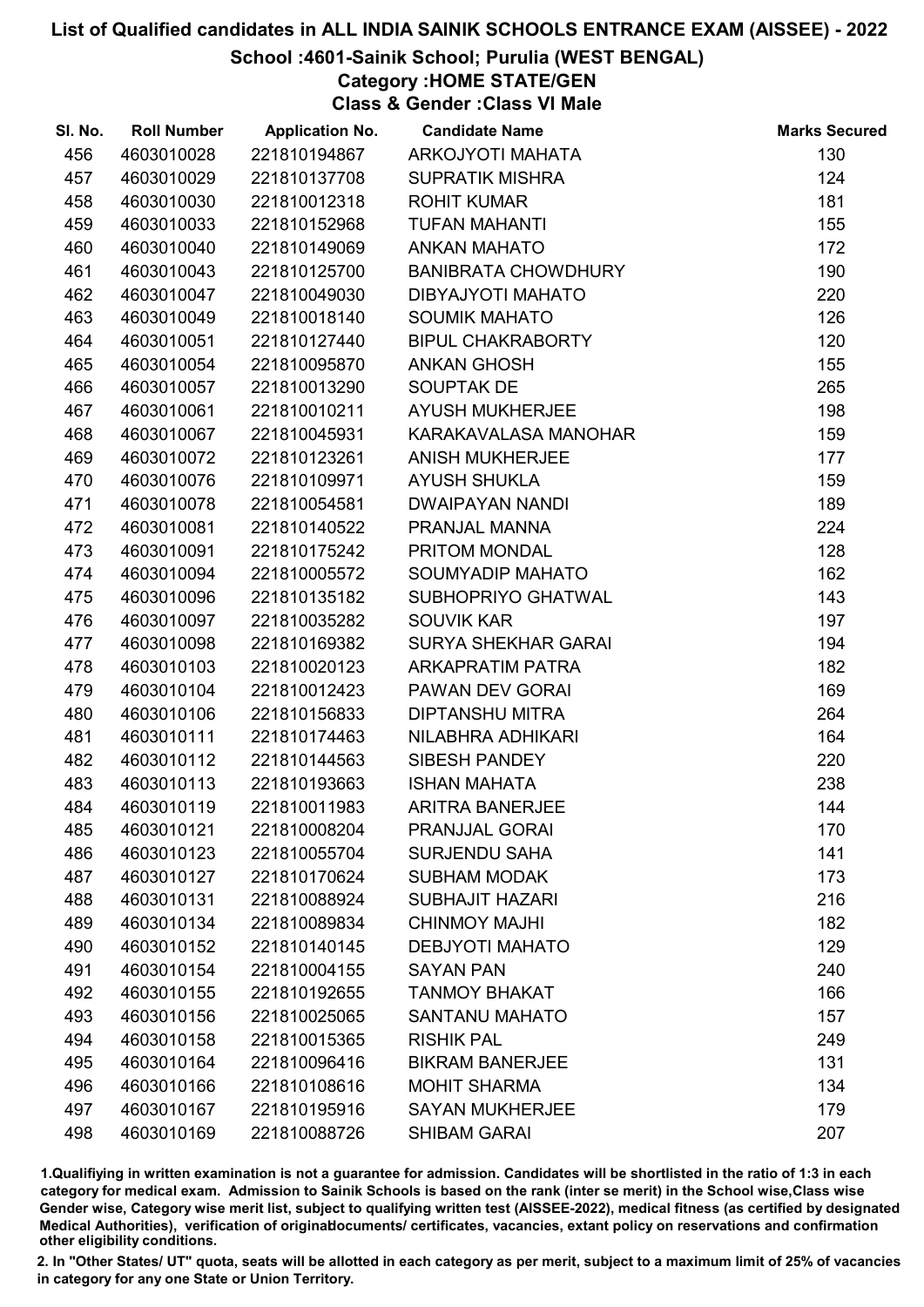### School :4601-Sainik School; Purulia (WEST BENGAL)

Category :HOME STATE/GEN

Class & Gender :Class VI Male

| SI. No. | <b>Roll Number</b> | <b>Application No.</b> | <b>Candidate Name</b>      | <b>Marks Secured</b> |
|---------|--------------------|------------------------|----------------------------|----------------------|
| 456     | 4603010028         | 221810194867           | ARKOJYOTI MAHATA           | 130                  |
| 457     | 4603010029         | 221810137708           | <b>SUPRATIK MISHRA</b>     | 124                  |
| 458     | 4603010030         | 221810012318           | <b>ROHIT KUMAR</b>         | 181                  |
| 459     | 4603010033         | 221810152968           | <b>TUFAN MAHANTI</b>       | 155                  |
| 460     | 4603010040         | 221810149069           | <b>ANKAN MAHATO</b>        | 172                  |
| 461     | 4603010043         | 221810125700           | <b>BANIBRATA CHOWDHURY</b> | 190                  |
| 462     | 4603010047         | 221810049030           | DIBYAJYOTI MAHATO          | 220                  |
| 463     | 4603010049         | 221810018140           | <b>SOUMIK MAHATO</b>       | 126                  |
| 464     | 4603010051         | 221810127440           | <b>BIPUL CHAKRABORTY</b>   | 120                  |
| 465     | 4603010054         | 221810095870           | <b>ANKAN GHOSH</b>         | 155                  |
| 466     | 4603010057         | 221810013290           | <b>SOUPTAK DE</b>          | 265                  |
| 467     | 4603010061         | 221810010211           | <b>AYUSH MUKHERJEE</b>     | 198                  |
| 468     | 4603010067         | 221810045931           | KARAKAVALASA MANOHAR       | 159                  |
| 469     | 4603010072         | 221810123261           | <b>ANISH MUKHERJEE</b>     | 177                  |
| 470     | 4603010076         | 221810109971           | <b>AYUSH SHUKLA</b>        | 159                  |
| 471     | 4603010078         | 221810054581           | <b>DWAIPAYAN NANDI</b>     | 189                  |
| 472     | 4603010081         | 221810140522           | PRANJAL MANNA              | 224                  |
| 473     | 4603010091         | 221810175242           | PRITOM MONDAL              | 128                  |
| 474     | 4603010094         | 221810005572           | SOUMYADIP MAHATO           | 162                  |
| 475     | 4603010096         | 221810135182           | SUBHOPRIYO GHATWAL         | 143                  |
| 476     | 4603010097         | 221810035282           | <b>SOUVIK KAR</b>          | 197                  |
| 477     | 4603010098         | 221810169382           | <b>SURYA SHEKHAR GARAI</b> | 194                  |
| 478     | 4603010103         | 221810020123           | <b>ARKAPRATIM PATRA</b>    | 182                  |
| 479     | 4603010104         | 221810012423           | PAWAN DEV GORAI            | 169                  |
| 480     | 4603010106         | 221810156833           | <b>DIPTANSHU MITRA</b>     | 264                  |
| 481     | 4603010111         | 221810174463           | NILABHRA ADHIKARI          | 164                  |
| 482     | 4603010112         | 221810144563           | SIBESH PANDEY              | 220                  |
| 483     | 4603010113         | 221810193663           | <b>ISHAN MAHATA</b>        | 238                  |
| 484     | 4603010119         | 221810011983           | <b>ARITRA BANERJEE</b>     | 144                  |
| 485     | 4603010121         | 221810008204           | <b>PRANJJAL GORAI</b>      | 170                  |
| 486     | 4603010123         | 221810055704           | <b>SURJENDU SAHA</b>       | 141                  |
| 487     | 4603010127         | 221810170624           | <b>SUBHAM MODAK</b>        | 173                  |
| 488     | 4603010131         | 221810088924           | <b>SUBHAJIT HAZARI</b>     | 216                  |
| 489     | 4603010134         | 221810089834           | <b>CHINMOY MAJHI</b>       | 182                  |
| 490     | 4603010152         | 221810140145           | <b>DEBJYOTI MAHATO</b>     | 129                  |
| 491     | 4603010154         | 221810004155           | <b>SAYAN PAN</b>           | 240                  |
| 492     | 4603010155         | 221810192655           | <b>TANMOY BHAKAT</b>       | 166                  |
| 493     | 4603010156         | 221810025065           | <b>SANTANU MAHATO</b>      | 157                  |
| 494     | 4603010158         | 221810015365           | <b>RISHIK PAL</b>          | 249                  |
| 495     | 4603010164         | 221810096416           | <b>BIKRAM BANERJEE</b>     | 131                  |
| 496     | 4603010166         | 221810108616           | <b>MOHIT SHARMA</b>        | 134                  |
| 497     | 4603010167         | 221810195916           | <b>SAYAN MUKHERJEE</b>     | 179                  |
| 498     | 4603010169         | 221810088726           | <b>SHIBAM GARAI</b>        | 207                  |

1.Qualifiying in written examination is not a guarantee for admission. Candidates will be shortlisted in the ratio of 1:3 in each category for medical exam. Admission to Sainik Schools is based on the rank (inter se merit) in the School wise,Class wise Gender wise, Category wise merit list, subject to qualifying written test (AISSEE-2022), medical fitness (as certified by designated Medical Authorities), verification of originablocuments/ certificates, vacancies, extant policy on reservations and confirmation other eligibility conditions.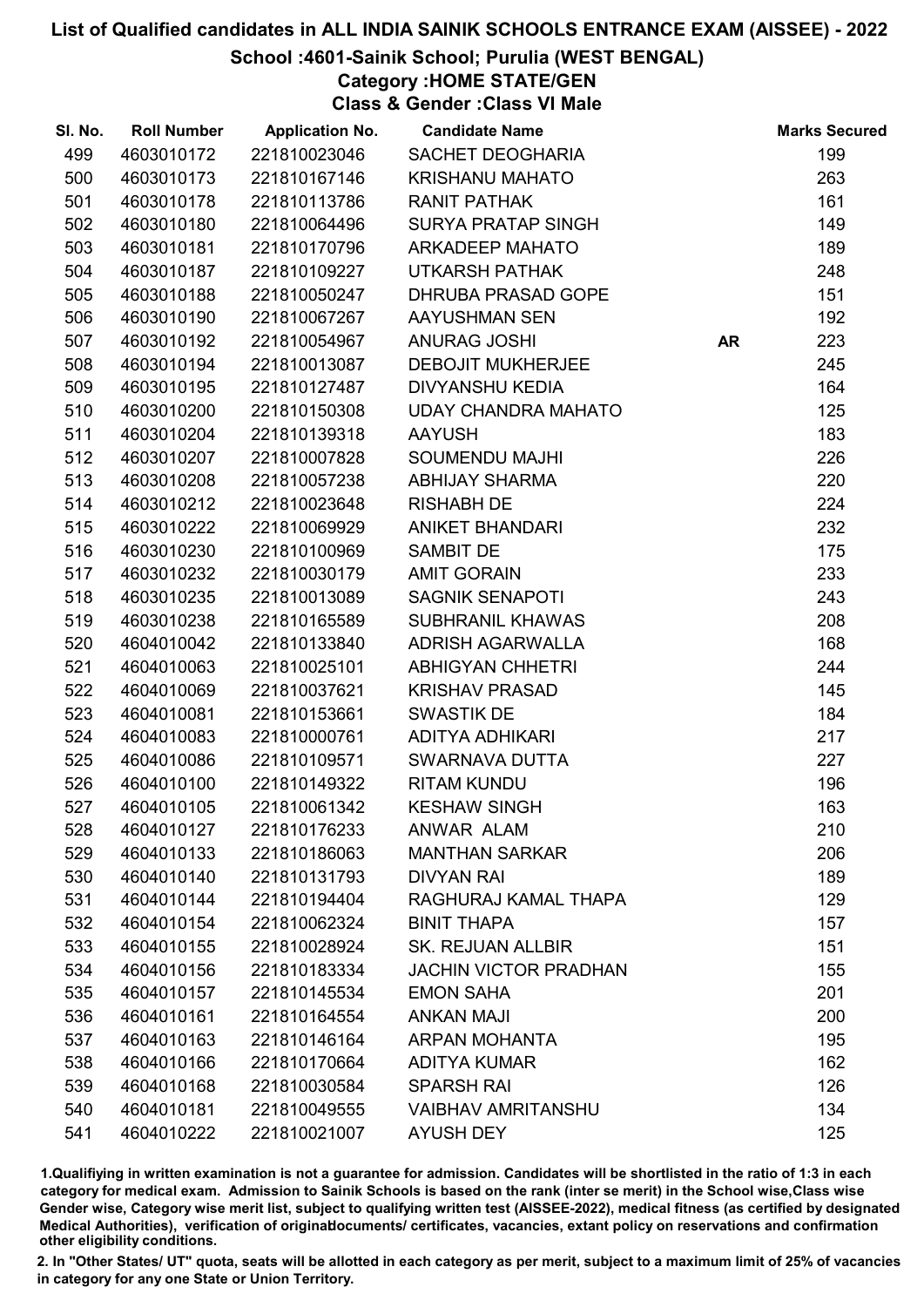### School :4601-Sainik School; Purulia (WEST BENGAL)

Category :HOME STATE/GEN

Class & Gender :Class VI Male

| SI. No. | <b>Roll Number</b> | <b>Application No.</b> | <b>Candidate Name</b>        |           | <b>Marks Secured</b> |
|---------|--------------------|------------------------|------------------------------|-----------|----------------------|
| 499     | 4603010172         | 221810023046           | SACHET DEOGHARIA             |           | 199                  |
| 500     | 4603010173         | 221810167146           | <b>KRISHANU MAHATO</b>       |           | 263                  |
| 501     | 4603010178         | 221810113786           | <b>RANIT PATHAK</b>          |           | 161                  |
| 502     | 4603010180         | 221810064496           | <b>SURYA PRATAP SINGH</b>    |           | 149                  |
| 503     | 4603010181         | 221810170796           | <b>ARKADEEP MAHATO</b>       |           | 189                  |
| 504     | 4603010187         | 221810109227           | <b>UTKARSH PATHAK</b>        |           | 248                  |
| 505     | 4603010188         | 221810050247           | DHRUBA PRASAD GOPE           |           | 151                  |
| 506     | 4603010190         | 221810067267           | AAYUSHMAN SEN                |           | 192                  |
| 507     | 4603010192         | 221810054967           | <b>ANURAG JOSHI</b>          | <b>AR</b> | 223                  |
| 508     | 4603010194         | 221810013087           | <b>DEBOJIT MUKHERJEE</b>     |           | 245                  |
| 509     | 4603010195         | 221810127487           | <b>DIVYANSHU KEDIA</b>       |           | 164                  |
| 510     | 4603010200         | 221810150308           | <b>UDAY CHANDRA MAHATO</b>   |           | 125                  |
| 511     | 4603010204         | 221810139318           | <b>AAYUSH</b>                |           | 183                  |
| 512     | 4603010207         | 221810007828           | <b>SOUMENDU MAJHI</b>        |           | 226                  |
| 513     | 4603010208         | 221810057238           | <b>ABHIJAY SHARMA</b>        |           | 220                  |
| 514     | 4603010212         | 221810023648           | <b>RISHABH DE</b>            |           | 224                  |
| 515     | 4603010222         | 221810069929           | <b>ANIKET BHANDARI</b>       |           | 232                  |
| 516     | 4603010230         | 221810100969           | <b>SAMBIT DE</b>             |           | 175                  |
| 517     | 4603010232         | 221810030179           | <b>AMIT GORAIN</b>           |           | 233                  |
| 518     | 4603010235         | 221810013089           | <b>SAGNIK SENAPOTI</b>       |           | 243                  |
| 519     | 4603010238         | 221810165589           | <b>SUBHRANIL KHAWAS</b>      |           | 208                  |
| 520     | 4604010042         | 221810133840           | <b>ADRISH AGARWALLA</b>      |           | 168                  |
| 521     | 4604010063         | 221810025101           | <b>ABHIGYAN CHHETRI</b>      |           | 244                  |
| 522     | 4604010069         | 221810037621           | <b>KRISHAV PRASAD</b>        |           | 145                  |
| 523     | 4604010081         | 221810153661           | <b>SWASTIK DE</b>            |           | 184                  |
| 524     | 4604010083         | 221810000761           | <b>ADITYA ADHIKARI</b>       |           | 217                  |
| 525     | 4604010086         | 221810109571           | SWARNAVA DUTTA               |           | 227                  |
| 526     | 4604010100         | 221810149322           | <b>RITAM KUNDU</b>           |           | 196                  |
| 527     | 4604010105         | 221810061342           | <b>KESHAW SINGH</b>          |           | 163                  |
| 528     | 4604010127         | 221810176233           | ANWAR ALAM                   |           | 210                  |
| 529     | 4604010133         | 221810186063           | <b>MANTHAN SARKAR</b>        |           | 206                  |
| 530     | 4604010140         | 221810131793           | <b>DIVYAN RAI</b>            |           | 189                  |
| 531     | 4604010144         | 221810194404           | RAGHURAJ KAMAL THAPA         |           | 129                  |
| 532     | 4604010154         | 221810062324           | <b>BINIT THAPA</b>           |           | 157                  |
| 533     | 4604010155         | 221810028924           | <b>SK. REJUAN ALLBIR</b>     |           | 151                  |
| 534     | 4604010156         | 221810183334           | <b>JACHIN VICTOR PRADHAN</b> |           | 155                  |
| 535     | 4604010157         | 221810145534           | <b>EMON SAHA</b>             |           | 201                  |
| 536     | 4604010161         | 221810164554           | <b>ANKAN MAJI</b>            |           | 200                  |
| 537     | 4604010163         | 221810146164           | <b>ARPAN MOHANTA</b>         |           | 195                  |
| 538     | 4604010166         | 221810170664           | <b>ADITYA KUMAR</b>          |           | 162                  |
| 539     | 4604010168         | 221810030584           | <b>SPARSH RAI</b>            |           | 126                  |
| 540     | 4604010181         | 221810049555           | <b>VAIBHAV AMRITANSHU</b>    |           | 134                  |
| 541     | 4604010222         | 221810021007           | <b>AYUSH DEY</b>             |           | 125                  |

1.Qualifiying in written examination is not a guarantee for admission. Candidates will be shortlisted in the ratio of 1:3 in each category for medical exam. Admission to Sainik Schools is based on the rank (inter se merit) in the School wise,Class wise Gender wise, Category wise merit list, subject to qualifying written test (AISSEE-2022), medical fitness (as certified by designated Medical Authorities), verification of originablocuments/ certificates, vacancies, extant policy on reservations and confirmation other eligibility conditions.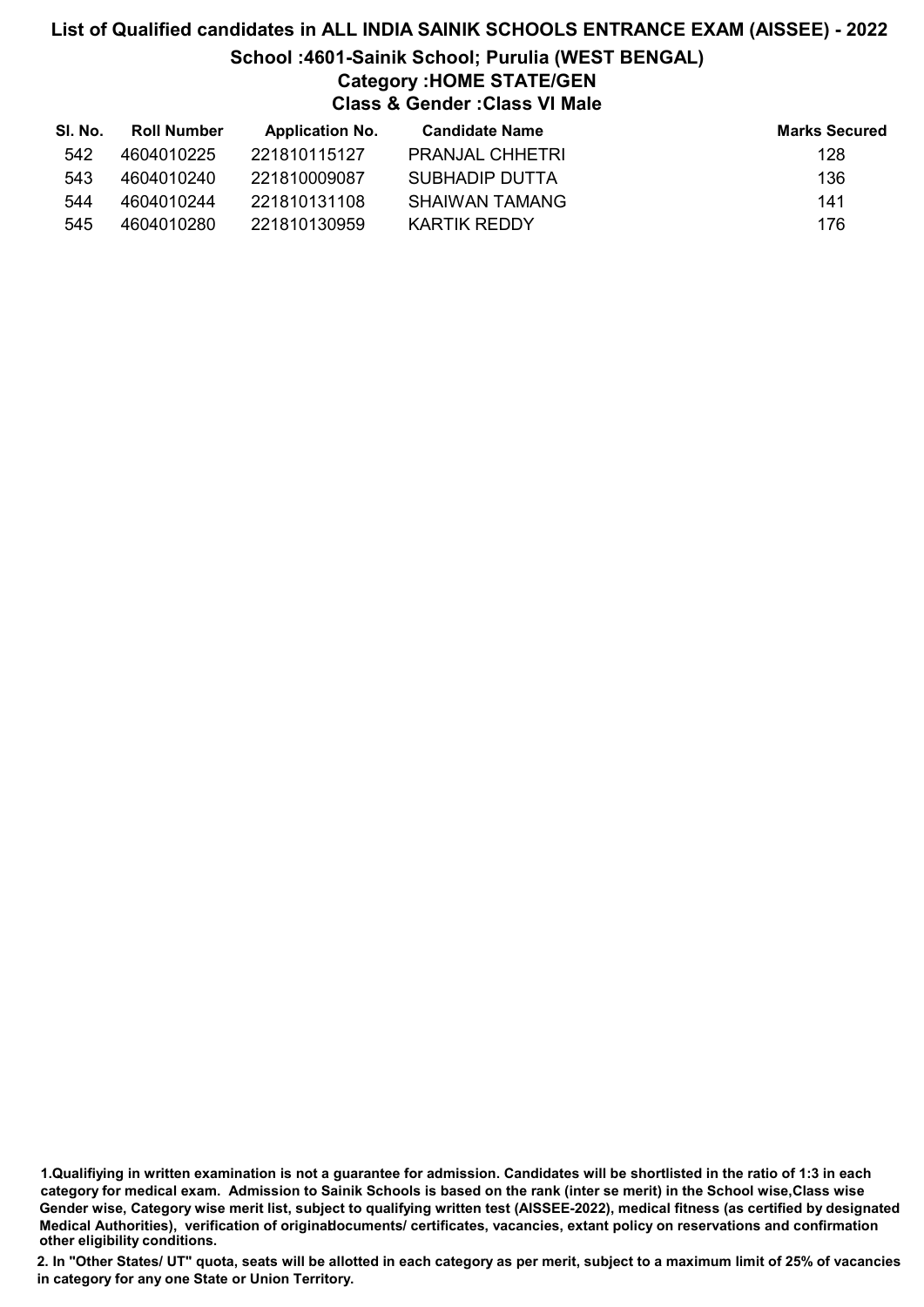# List of Qualified candidates in ALL INDIA SAINIK SCHOOLS ENTRANCE EXAM (AISSEE) - 2022 School :4601-Sainik School; Purulia (WEST BENGAL) Category :HOME STATE/GEN Class & Gender :Class VI Male

| SI. No. | <b>Roll Number</b> | <b>Application No.</b> | <b>Candidate Name</b>  | <b>Marks Secured</b> |
|---------|--------------------|------------------------|------------------------|----------------------|
| 542     | 4604010225         | 221810115127           | <b>PRANJAL CHHETRI</b> | 128                  |
| 543     | 4604010240         | 221810009087           | SUBHADIP DUTTA         | 136                  |
| 544     | 4604010244         | 221810131108           | SHAIWAN TAMANG         | 141                  |
| 545     | 4604010280         | 221810130959           | KARTIK REDDY           | 176                  |

<sup>1.</sup>Qualifiying in written examination is not a guarantee for admission. Candidates will be shortlisted in the ratio of 1:3 in each category for medical exam. Admission to Sainik Schools is based on the rank (inter se merit) in the School wise,Class wise Gender wise, Category wise merit list, subject to qualifying written test (AISSEE-2022), medical fitness (as certified by designated Medical Authorities), verification of originablocuments/ certificates, vacancies, extant policy on reservations and confirmation other eligibility conditions.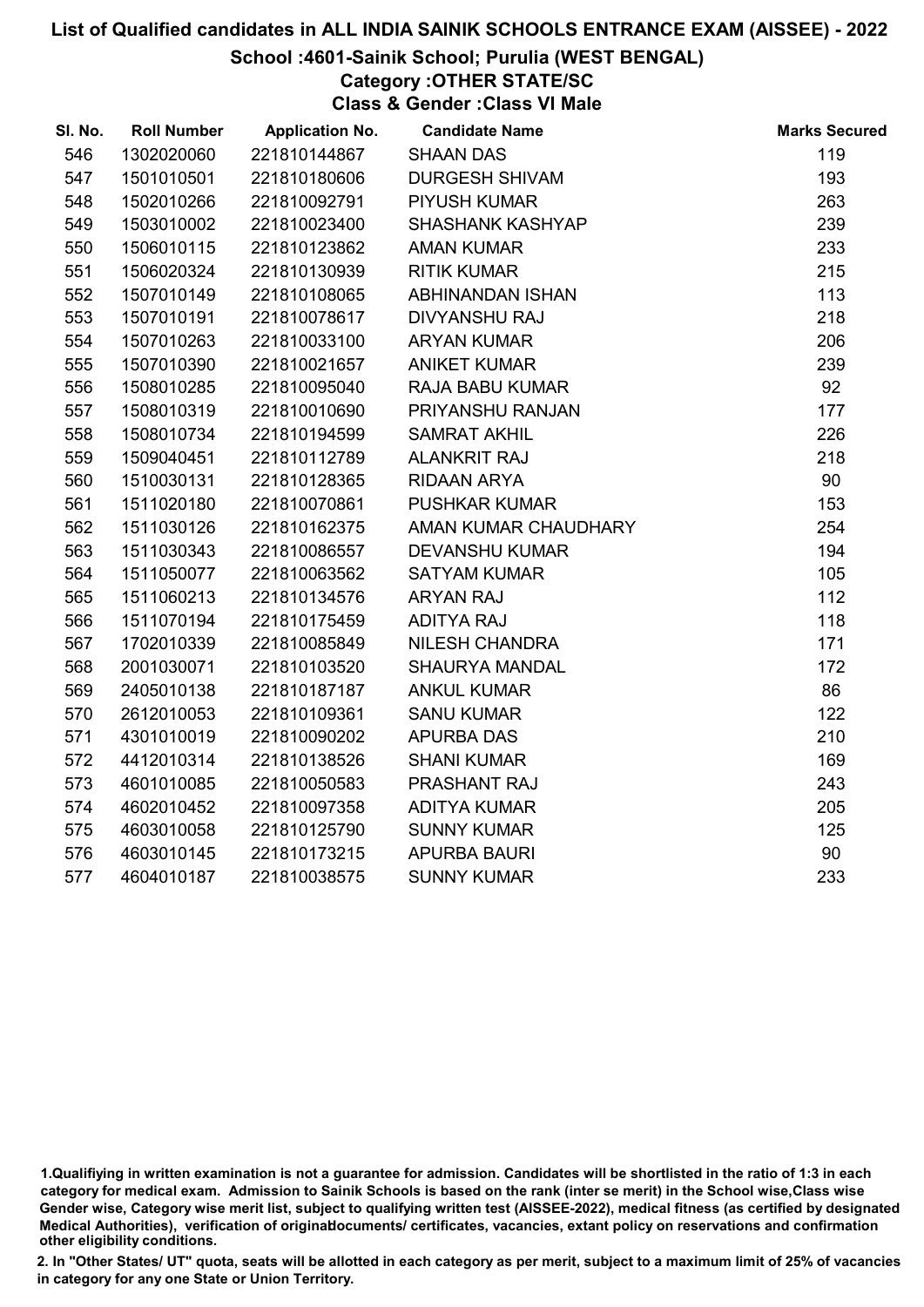# School :4601-Sainik School; Purulia (WEST BENGAL)

Category :OTHER STATE/SC

Class & Gender :Class VI Male

| SI. No. | <b>Roll Number</b> | <b>Application No.</b> | <b>Candidate Name</b>   | <b>Marks Secured</b> |
|---------|--------------------|------------------------|-------------------------|----------------------|
| 546     | 1302020060         | 221810144867           | <b>SHAAN DAS</b>        | 119                  |
| 547     | 1501010501         | 221810180606           | <b>DURGESH SHIVAM</b>   | 193                  |
| 548     | 1502010266         | 221810092791           | <b>PIYUSH KUMAR</b>     | 263                  |
| 549     | 1503010002         | 221810023400           | <b>SHASHANK KASHYAP</b> | 239                  |
| 550     | 1506010115         | 221810123862           | <b>AMAN KUMAR</b>       | 233                  |
| 551     | 1506020324         | 221810130939           | <b>RITIK KUMAR</b>      | 215                  |
| 552     | 1507010149         | 221810108065           | ABHINANDAN ISHAN        | 113                  |
| 553     | 1507010191         | 221810078617           | <b>DIVYANSHU RAJ</b>    | 218                  |
| 554     | 1507010263         | 221810033100           | <b>ARYAN KUMAR</b>      | 206                  |
| 555     | 1507010390         | 221810021657           | <b>ANIKET KUMAR</b>     | 239                  |
| 556     | 1508010285         | 221810095040           | RAJA BABU KUMAR         | 92                   |
| 557     | 1508010319         | 221810010690           | PRIYANSHU RANJAN        | 177                  |
| 558     | 1508010734         | 221810194599           | <b>SAMRAT AKHIL</b>     | 226                  |
| 559     | 1509040451         | 221810112789           | <b>ALANKRIT RAJ</b>     | 218                  |
| 560     | 1510030131         | 221810128365           | RIDAAN ARYA             | 90                   |
| 561     | 1511020180         | 221810070861           | <b>PUSHKAR KUMAR</b>    | 153                  |
| 562     | 1511030126         | 221810162375           | AMAN KUMAR CHAUDHARY    | 254                  |
| 563     | 1511030343         | 221810086557           | <b>DEVANSHU KUMAR</b>   | 194                  |
| 564     | 1511050077         | 221810063562           | <b>SATYAM KUMAR</b>     | 105                  |
| 565     | 1511060213         | 221810134576           | <b>ARYAN RAJ</b>        | 112                  |
| 566     | 1511070194         | 221810175459           | <b>ADITYA RAJ</b>       | 118                  |
| 567     | 1702010339         | 221810085849           | NILESH CHANDRA          | 171                  |
| 568     | 2001030071         | 221810103520           | <b>SHAURYA MANDAL</b>   | 172                  |
| 569     | 2405010138         | 221810187187           | <b>ANKUL KUMAR</b>      | 86                   |
| 570     | 2612010053         | 221810109361           | <b>SANU KUMAR</b>       | 122                  |
| 571     | 4301010019         | 221810090202           | <b>APURBA DAS</b>       | 210                  |
| 572     | 4412010314         | 221810138526           | <b>SHANI KUMAR</b>      | 169                  |
| 573     | 4601010085         | 221810050583           | PRASHANT RAJ            | 243                  |
| 574     | 4602010452         | 221810097358           | <b>ADITYA KUMAR</b>     | 205                  |
| 575     | 4603010058         | 221810125790           | <b>SUNNY KUMAR</b>      | 125                  |
| 576     | 4603010145         | 221810173215           | <b>APURBA BAURI</b>     | 90                   |
| 577     | 4604010187         | 221810038575           | <b>SUNNY KUMAR</b>      | 233                  |

<sup>1.</sup>Qualifiying in written examination is not a guarantee for admission. Candidates will be shortlisted in the ratio of 1:3 in each category for medical exam. Admission to Sainik Schools is based on the rank (inter se merit) in the School wise,Class wise Gender wise, Category wise merit list, subject to qualifying written test (AISSEE-2022), medical fitness (as certified by designated Medical Authorities), verification of originablocuments/ certificates, vacancies, extant policy on reservations and confirmation other eligibility conditions.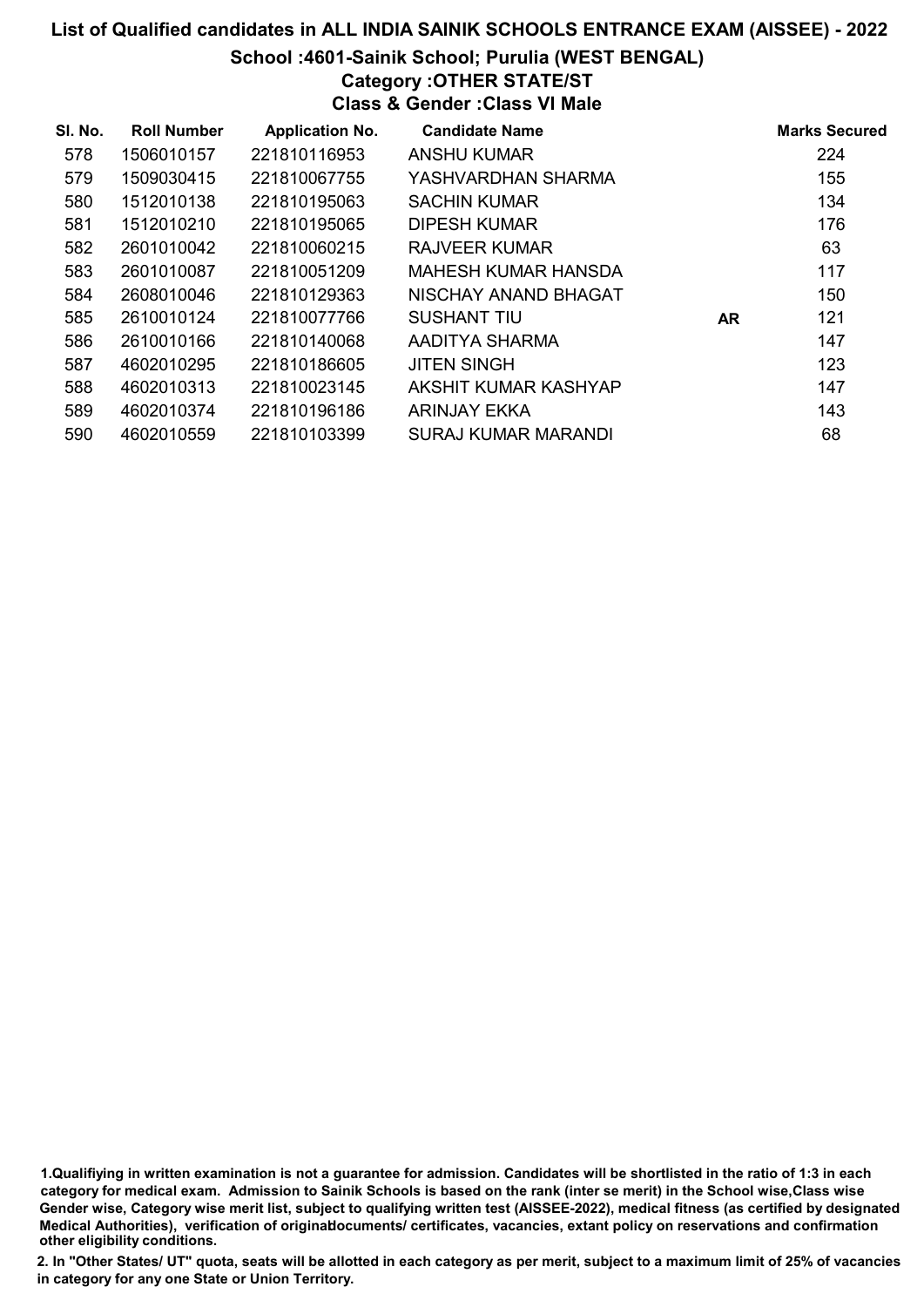# List of Qualified candidates in ALL INDIA SAINIK SCHOOLS ENTRANCE EXAM (AISSEE) - 2022 School :4601-Sainik School; Purulia (WEST BENGAL) Category :OTHER STATE/ST Class & Gender :Class VI Male

| SI. No. | <b>Roll Number</b> | <b>Application No.</b> | <b>Candidate Name</b> |     | <b>Marks Secured</b> |
|---------|--------------------|------------------------|-----------------------|-----|----------------------|
| 578     | 1506010157         | 221810116953           | <b>ANSHU KUMAR</b>    |     | 224                  |
| 579     | 1509030415         | 221810067755           | YASHVARDHAN SHARMA    |     | 155                  |
| 580     | 1512010138         | 221810195063           | <b>SACHIN KUMAR</b>   |     | 134                  |
| 581     | 1512010210         | 221810195065           | <b>DIPESH KUMAR</b>   |     | 176                  |
| 582     | 2601010042         | 221810060215           | RAJVEER KUMAR         |     | 63                   |
| 583     | 2601010087         | 221810051209           | MAHESH KUMAR HANSDA   |     | 117                  |
| 584     | 2608010046         | 221810129363           | NISCHAY ANAND BHAGAT  |     | 150                  |
| 585     | 2610010124         | 221810077766           | SUSHANT TIU           | AR. | 121                  |
| 586     | 2610010166         | 221810140068           | AADITYA SHARMA        |     | 147                  |
| 587     | 4602010295         | 221810186605           | <b>JITEN SINGH</b>    |     | 123                  |
| 588     | 4602010313         | 221810023145           | AKSHIT KUMAR KASHYAP  |     | 147                  |
| 589     | 4602010374         | 221810196186           | <b>ARINJAY EKKA</b>   |     | 143                  |
| 590     | 4602010559         | 221810103399           | SURAJ KUMAR MARANDI   |     | 68                   |

1.Qualifiying in written examination is not a guarantee for admission. Candidates will be shortlisted in the ratio of 1:3 in each category for medical exam. Admission to Sainik Schools is based on the rank (inter se merit) in the School wise,Class wise Gender wise, Category wise merit list, subject to qualifying written test (AISSEE-2022), medical fitness (as certified by designated Medical Authorities), verification of originablocuments/ certificates, vacancies, extant policy on reservations and confirmation other eligibility conditions.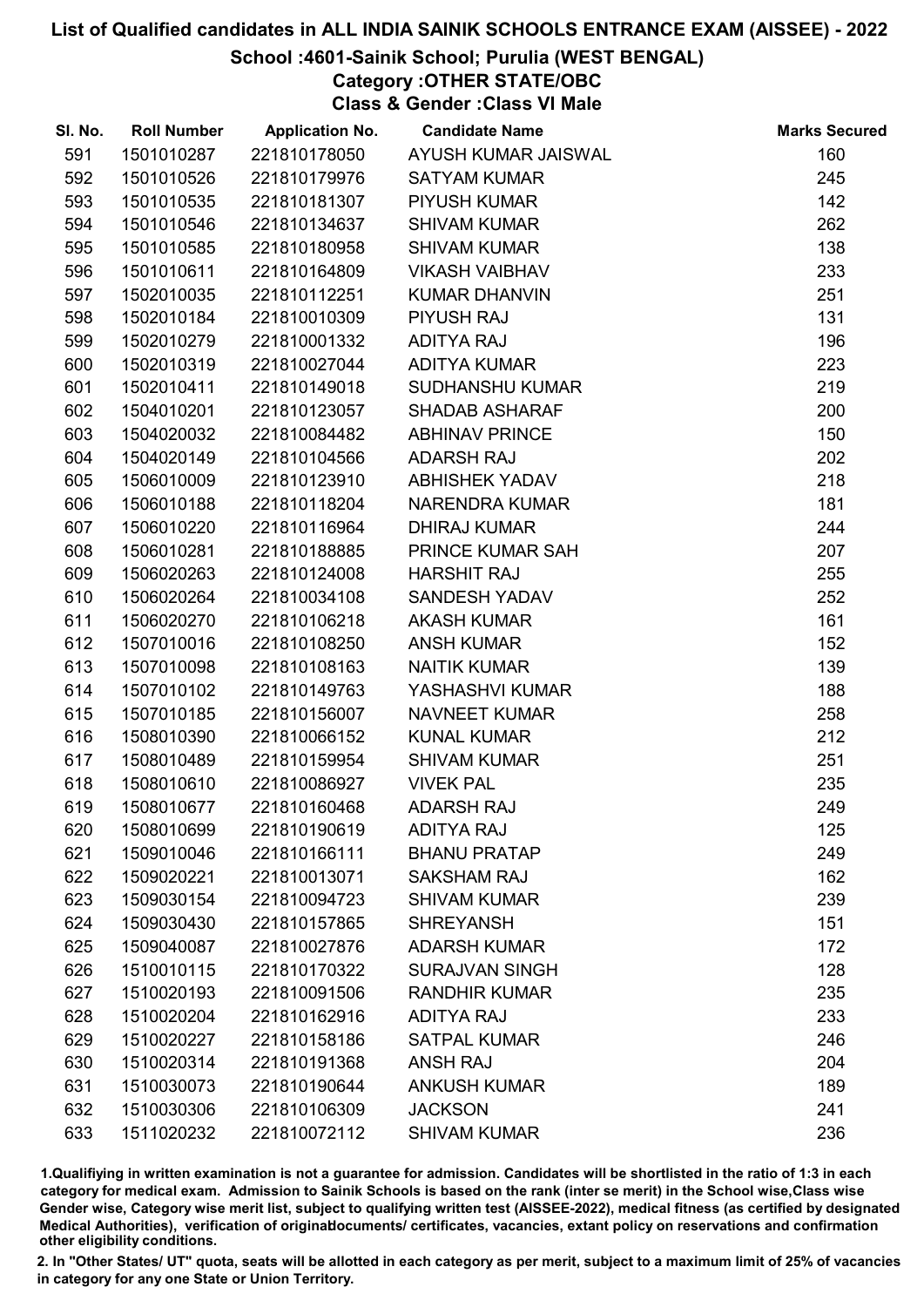# School :4601-Sainik School; Purulia (WEST BENGAL)

Category :OTHER STATE/OBC Class & Gender :Class VI Male

| SI. No. | <b>Roll Number</b> | <b>Application No.</b> | <b>Candidate Name</b>  | <b>Marks Secured</b> |
|---------|--------------------|------------------------|------------------------|----------------------|
| 591     | 1501010287         | 221810178050           | AYUSH KUMAR JAISWAL    | 160                  |
| 592     | 1501010526         | 221810179976           | <b>SATYAM KUMAR</b>    | 245                  |
| 593     | 1501010535         | 221810181307           | <b>PIYUSH KUMAR</b>    | 142                  |
| 594     | 1501010546         | 221810134637           | <b>SHIVAM KUMAR</b>    | 262                  |
| 595     | 1501010585         | 221810180958           | <b>SHIVAM KUMAR</b>    | 138                  |
| 596     | 1501010611         | 221810164809           | <b>VIKASH VAIBHAV</b>  | 233                  |
| 597     | 1502010035         | 221810112251           | <b>KUMAR DHANVIN</b>   | 251                  |
| 598     | 1502010184         | 221810010309           | PIYUSH RAJ             | 131                  |
| 599     | 1502010279         | 221810001332           | <b>ADITYA RAJ</b>      | 196                  |
| 600     | 1502010319         | 221810027044           | <b>ADITYA KUMAR</b>    | 223                  |
| 601     | 1502010411         | 221810149018           | <b>SUDHANSHU KUMAR</b> | 219                  |
| 602     | 1504010201         | 221810123057           | <b>SHADAB ASHARAF</b>  | 200                  |
| 603     | 1504020032         | 221810084482           | <b>ABHINAV PRINCE</b>  | 150                  |
| 604     | 1504020149         | 221810104566           | <b>ADARSH RAJ</b>      | 202                  |
| 605     | 1506010009         | 221810123910           | <b>ABHISHEK YADAV</b>  | 218                  |
| 606     | 1506010188         | 221810118204           | NARENDRA KUMAR         | 181                  |
| 607     | 1506010220         | 221810116964           | <b>DHIRAJ KUMAR</b>    | 244                  |
| 608     | 1506010281         | 221810188885           | PRINCE KUMAR SAH       | 207                  |
| 609     | 1506020263         | 221810124008           | <b>HARSHIT RAJ</b>     | 255                  |
| 610     | 1506020264         | 221810034108           | <b>SANDESH YADAV</b>   | 252                  |
| 611     | 1506020270         | 221810106218           | <b>AKASH KUMAR</b>     | 161                  |
| 612     | 1507010016         | 221810108250           | <b>ANSH KUMAR</b>      | 152                  |
| 613     | 1507010098         | 221810108163           | <b>NAITIK KUMAR</b>    | 139                  |
| 614     | 1507010102         | 221810149763           | YASHASHVI KUMAR        | 188                  |
| 615     | 1507010185         | 221810156007           | <b>NAVNEET KUMAR</b>   | 258                  |
| 616     | 1508010390         | 221810066152           | <b>KUNAL KUMAR</b>     | 212                  |
| 617     | 1508010489         | 221810159954           | <b>SHIVAM KUMAR</b>    | 251                  |
| 618     | 1508010610         | 221810086927           | <b>VIVEK PAL</b>       | 235                  |
| 619     | 1508010677         | 221810160468           | <b>ADARSH RAJ</b>      | 249                  |
| 620     | 1508010699         | 221810190619           | <b>ADITYA RAJ</b>      | 125                  |
| 621     | 1509010046         | 221810166111           | <b>BHANU PRATAP</b>    | 249                  |
| 622     | 1509020221         | 221810013071           | <b>SAKSHAM RAJ</b>     | 162                  |
| 623     | 1509030154         | 221810094723           | <b>SHIVAM KUMAR</b>    | 239                  |
| 624     | 1509030430         | 221810157865           | <b>SHREYANSH</b>       | 151                  |
| 625     | 1509040087         | 221810027876           | <b>ADARSH KUMAR</b>    | 172                  |
| 626     | 1510010115         | 221810170322           | <b>SURAJVAN SINGH</b>  | 128                  |
| 627     | 1510020193         | 221810091506           | <b>RANDHIR KUMAR</b>   | 235                  |
| 628     | 1510020204         | 221810162916           | <b>ADITYA RAJ</b>      | 233                  |
| 629     | 1510020227         | 221810158186           | <b>SATPAL KUMAR</b>    | 246                  |
| 630     | 1510020314         | 221810191368           | <b>ANSH RAJ</b>        | 204                  |
| 631     | 1510030073         | 221810190644           | <b>ANKUSH KUMAR</b>    | 189                  |
| 632     | 1510030306         | 221810106309           | <b>JACKSON</b>         | 241                  |
| 633     | 1511020232         | 221810072112           | <b>SHIVAM KUMAR</b>    | 236                  |

1.Qualifiying in written examination is not a guarantee for admission. Candidates will be shortlisted in the ratio of 1:3 in each category for medical exam. Admission to Sainik Schools is based on the rank (inter se merit) in the School wise,Class wise Gender wise, Category wise merit list, subject to qualifying written test (AISSEE-2022), medical fitness (as certified by designated Medical Authorities), verification of originablocuments/ certificates, vacancies, extant policy on reservations and confirmation other eligibility conditions.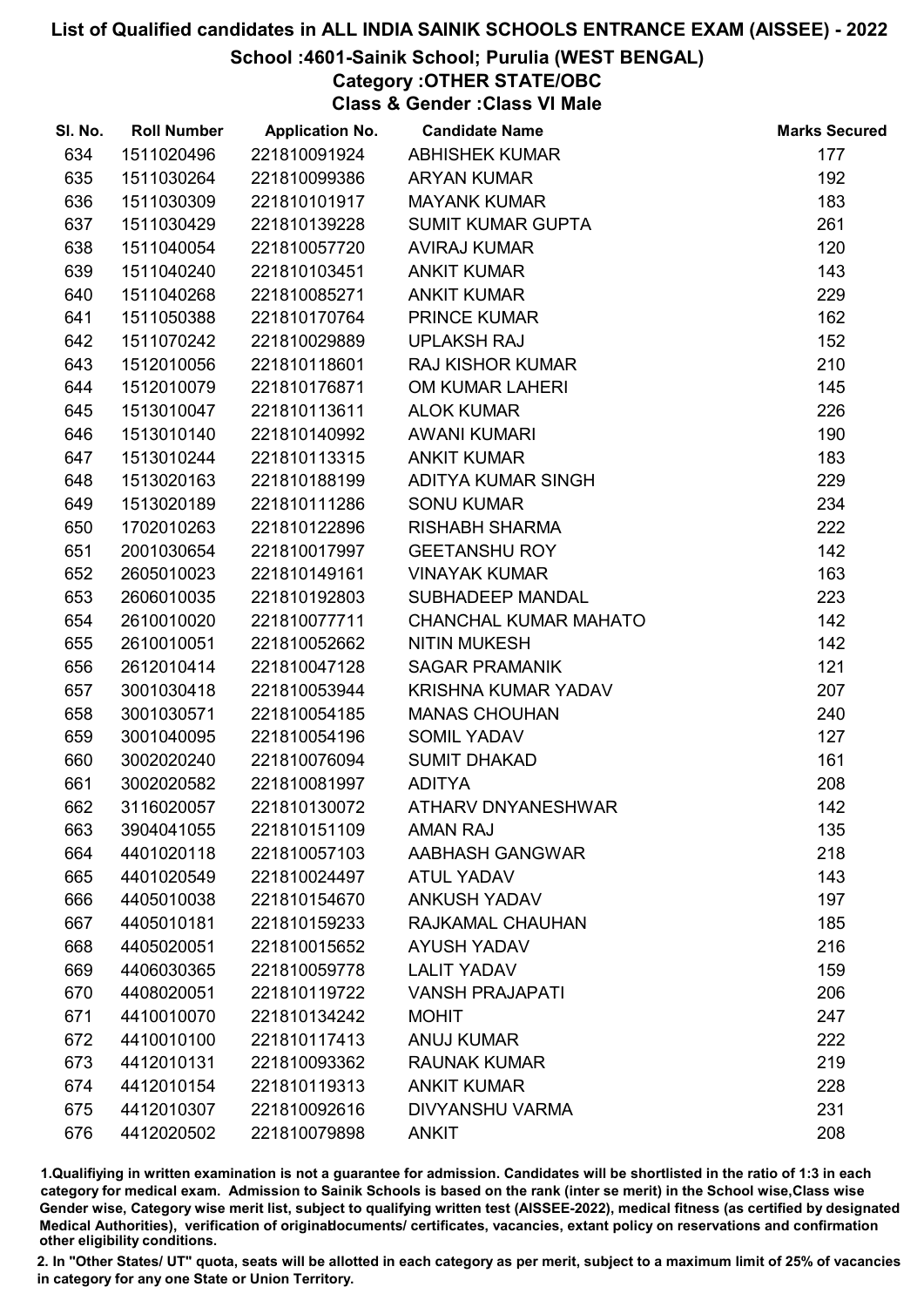# School :4601-Sainik School; Purulia (WEST BENGAL)

# Category :OTHER STATE/OBC

Class & Gender :Class VI Male

| SI. No. | <b>Roll Number</b> | <b>Application No.</b> | <b>Candidate Name</b>        | <b>Marks Secured</b> |
|---------|--------------------|------------------------|------------------------------|----------------------|
| 634     | 1511020496         | 221810091924           | <b>ABHISHEK KUMAR</b>        | 177                  |
| 635     | 1511030264         | 221810099386           | <b>ARYAN KUMAR</b>           | 192                  |
| 636     | 1511030309         | 221810101917           | <b>MAYANK KUMAR</b>          | 183                  |
| 637     | 1511030429         | 221810139228           | <b>SUMIT KUMAR GUPTA</b>     | 261                  |
| 638     | 1511040054         | 221810057720           | <b>AVIRAJ KUMAR</b>          | 120                  |
| 639     | 1511040240         | 221810103451           | <b>ANKIT KUMAR</b>           | 143                  |
| 640     | 1511040268         | 221810085271           | <b>ANKIT KUMAR</b>           | 229                  |
| 641     | 1511050388         | 221810170764           | <b>PRINCE KUMAR</b>          | 162                  |
| 642     | 1511070242         | 221810029889           | <b>UPLAKSH RAJ</b>           | 152                  |
| 643     | 1512010056         | 221810118601           | <b>RAJ KISHOR KUMAR</b>      | 210                  |
| 644     | 1512010079         | 221810176871           | OM KUMAR LAHERI              | 145                  |
| 645     | 1513010047         | 221810113611           | <b>ALOK KUMAR</b>            | 226                  |
| 646     | 1513010140         | 221810140992           | <b>AWANI KUMARI</b>          | 190                  |
| 647     | 1513010244         | 221810113315           | <b>ANKIT KUMAR</b>           | 183                  |
| 648     | 1513020163         | 221810188199           | ADITYA KUMAR SINGH           | 229                  |
| 649     | 1513020189         | 221810111286           | <b>SONU KUMAR</b>            | 234                  |
| 650     | 1702010263         | 221810122896           | <b>RISHABH SHARMA</b>        | 222                  |
| 651     | 2001030654         | 221810017997           | <b>GEETANSHU ROY</b>         | 142                  |
| 652     | 2605010023         | 221810149161           | <b>VINAYAK KUMAR</b>         | 163                  |
| 653     | 2606010035         | 221810192803           | SUBHADEEP MANDAL             | 223                  |
| 654     | 2610010020         | 221810077711           | <b>CHANCHAL KUMAR MAHATO</b> | 142                  |
| 655     | 2610010051         | 221810052662           | <b>NITIN MUKESH</b>          | 142                  |
| 656     | 2612010414         | 221810047128           | <b>SAGAR PRAMANIK</b>        | 121                  |
| 657     | 3001030418         | 221810053944           | KRISHNA KUMAR YADAV          | 207                  |
| 658     | 3001030571         | 221810054185           | <b>MANAS CHOUHAN</b>         | 240                  |
| 659     | 3001040095         | 221810054196           | <b>SOMIL YADAV</b>           | 127                  |
| 660     | 3002020240         | 221810076094           | <b>SUMIT DHAKAD</b>          | 161                  |
| 661     | 3002020582         | 221810081997           | <b>ADITYA</b>                | 208                  |
| 662     | 3116020057         | 221810130072           | <b>ATHARV DNYANESHWAR</b>    | 142                  |
| 663     | 3904041055         | 221810151109           | <b>AMAN RAJ</b>              | 135                  |
| 664     | 4401020118         | 221810057103           | AABHASH GANGWAR              | 218                  |
| 665     | 4401020549         | 221810024497           | <b>ATUL YADAV</b>            | 143                  |
| 666     | 4405010038         | 221810154670           | <b>ANKUSH YADAV</b>          | 197                  |
| 667     | 4405010181         | 221810159233           | RAJKAMAL CHAUHAN             | 185                  |
| 668     | 4405020051         | 221810015652           | <b>AYUSH YADAV</b>           | 216                  |
| 669     | 4406030365         | 221810059778           | <b>LALIT YADAV</b>           | 159                  |
| 670     | 4408020051         | 221810119722           | <b>VANSH PRAJAPATI</b>       | 206                  |
| 671     | 4410010070         | 221810134242           | <b>MOHIT</b>                 | 247                  |
| 672     | 4410010100         | 221810117413           | <b>ANUJ KUMAR</b>            | 222                  |
| 673     | 4412010131         | 221810093362           | <b>RAUNAK KUMAR</b>          | 219                  |
| 674     | 4412010154         | 221810119313           | <b>ANKIT KUMAR</b>           | 228                  |
| 675     | 4412010307         | 221810092616           | <b>DIVYANSHU VARMA</b>       | 231                  |
| 676     | 4412020502         | 221810079898           | <b>ANKIT</b>                 | 208                  |

1.Qualifiying in written examination is not a guarantee for admission. Candidates will be shortlisted in the ratio of 1:3 in each category for medical exam. Admission to Sainik Schools is based on the rank (inter se merit) in the School wise,Class wise Gender wise, Category wise merit list, subject to qualifying written test (AISSEE-2022), medical fitness (as certified by designated Medical Authorities), verification of originablocuments/ certificates, vacancies, extant policy on reservations and confirmation other eligibility conditions.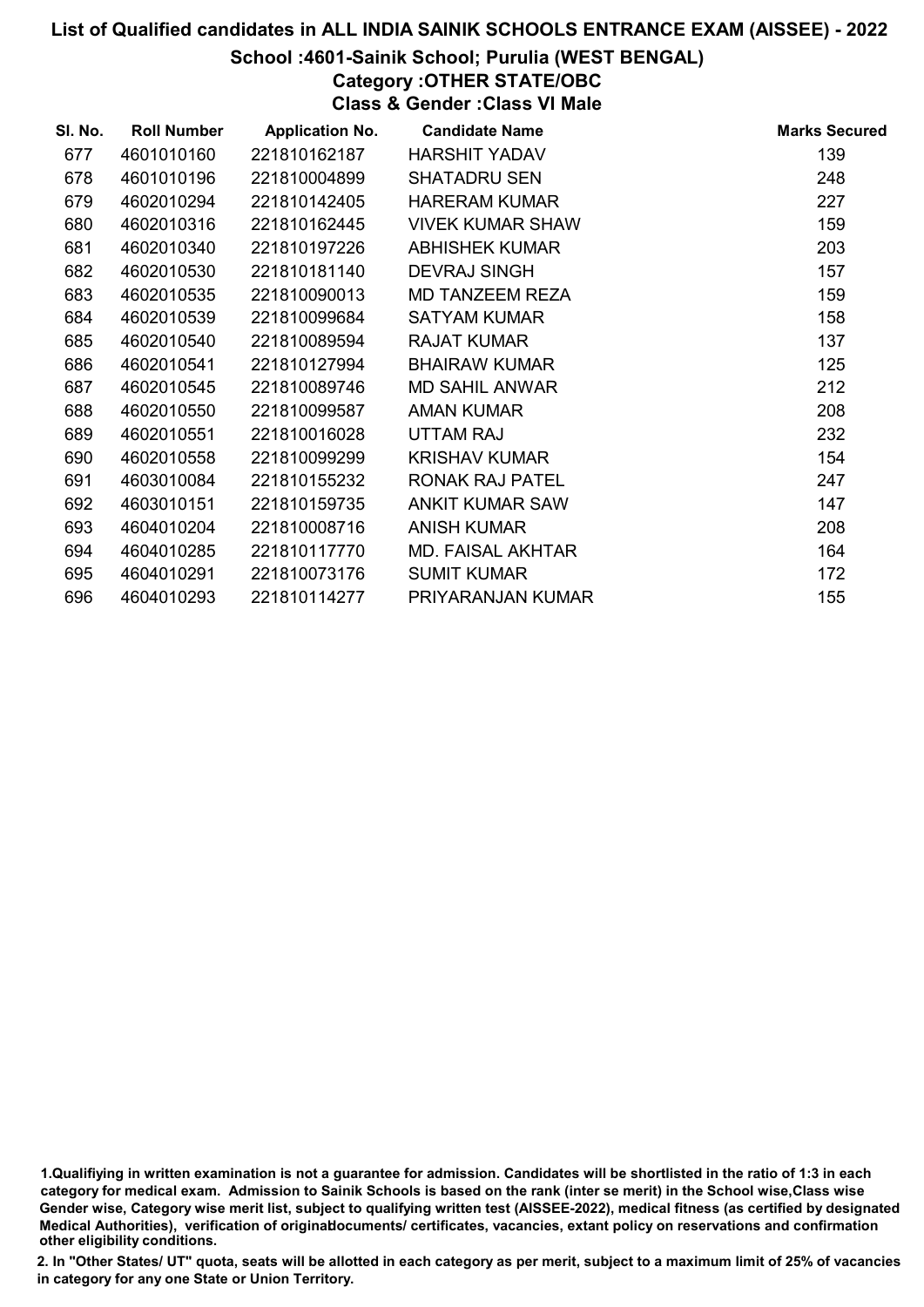### School :4601-Sainik School; Purulia (WEST BENGAL)

# Category :OTHER STATE/OBC

Class & Gender :Class VI Male

| SI. No. | <b>Roll Number</b> | <b>Application No.</b> | <b>Candidate Name</b>   | <b>Marks Secured</b> |
|---------|--------------------|------------------------|-------------------------|----------------------|
| 677     | 4601010160         | 221810162187           | <b>HARSHIT YADAV</b>    | 139                  |
| 678     | 4601010196         | 221810004899           | <b>SHATADRU SEN</b>     | 248                  |
| 679     | 4602010294         | 221810142405           | <b>HARERAM KUMAR</b>    | 227                  |
| 680     | 4602010316         | 221810162445           | <b>VIVEK KUMAR SHAW</b> | 159                  |
| 681     | 4602010340         | 221810197226           | <b>ABHISHEK KUMAR</b>   | 203                  |
| 682     | 4602010530         | 221810181140           | <b>DEVRAJ SINGH</b>     | 157                  |
| 683     | 4602010535         | 221810090013           | MD TANZEEM REZA         | 159                  |
| 684     | 4602010539         | 221810099684           | <b>SATYAM KUMAR</b>     | 158                  |
| 685     | 4602010540         | 221810089594           | <b>RAJAT KUMAR</b>      | 137                  |
| 686     | 4602010541         | 221810127994           | <b>BHAIRAW KUMAR</b>    | 125                  |
| 687     | 4602010545         | 221810089746           | <b>MD SAHIL ANWAR</b>   | 212                  |
| 688     | 4602010550         | 221810099587           | <b>AMAN KUMAR</b>       | 208                  |
| 689     | 4602010551         | 221810016028           | <b>UTTAM RAJ</b>        | 232                  |
| 690     | 4602010558         | 221810099299           | <b>KRISHAV KUMAR</b>    | 154                  |
| 691     | 4603010084         | 221810155232           | RONAK RAJ PATEL         | 247                  |
| 692     | 4603010151         | 221810159735           | <b>ANKIT KUMAR SAW</b>  | 147                  |
| 693     | 4604010204         | 221810008716           | <b>ANISH KUMAR</b>      | 208                  |
| 694     | 4604010285         | 221810117770           | MD. FAISAL AKHTAR       | 164                  |
| 695     | 4604010291         | 221810073176           | <b>SUMIT KUMAR</b>      | 172                  |
| 696     | 4604010293         | 221810114277           | PRIYARANJAN KUMAR       | 155                  |

1.Qualifiying in written examination is not a guarantee for admission. Candidates will be shortlisted in the ratio of 1:3 in each category for medical exam. Admission to Sainik Schools is based on the rank (inter se merit) in the School wise,Class wise Gender wise, Category wise merit list, subject to qualifying written test (AISSEE-2022), medical fitness (as certified by designated Medical Authorities), verification of originablocuments/ certificates, vacancies, extant policy on reservations and confirmation other eligibility conditions.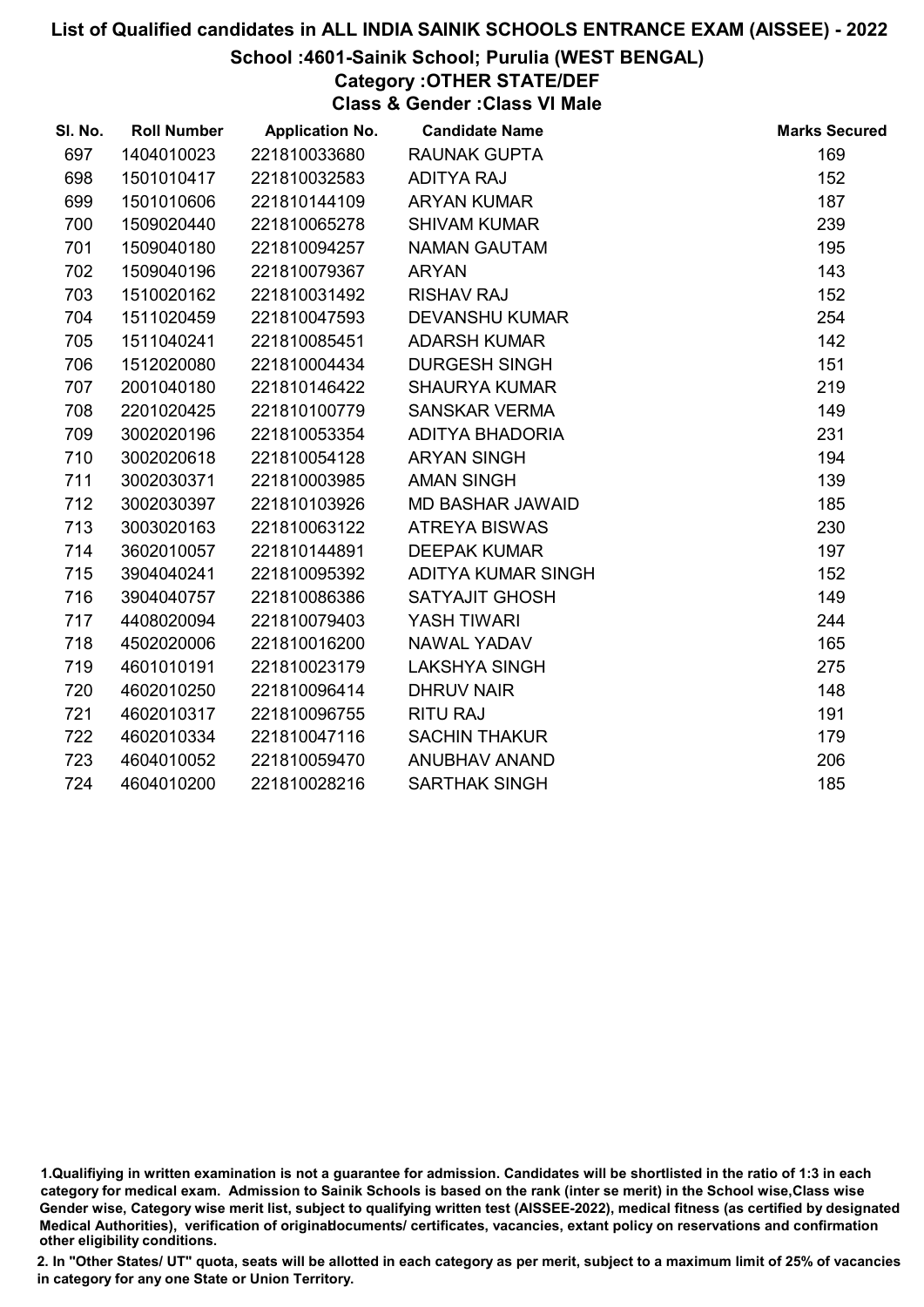# School :4601-Sainik School; Purulia (WEST BENGAL)

# Category :OTHER STATE/DEF

Class & Gender :Class VI Male

| SI. No. | <b>Roll Number</b> | <b>Application No.</b> | <b>Candidate Name</b>   | <b>Marks Secured</b> |
|---------|--------------------|------------------------|-------------------------|----------------------|
| 697     | 1404010023         | 221810033680           | <b>RAUNAK GUPTA</b>     | 169                  |
| 698     | 1501010417         | 221810032583           | <b>ADITYA RAJ</b>       | 152                  |
| 699     | 1501010606         | 221810144109           | <b>ARYAN KUMAR</b>      | 187                  |
| 700     | 1509020440         | 221810065278           | <b>SHIVAM KUMAR</b>     | 239                  |
| 701     | 1509040180         | 221810094257           | <b>NAMAN GAUTAM</b>     | 195                  |
| 702     | 1509040196         | 221810079367           | <b>ARYAN</b>            | 143                  |
| 703     | 1510020162         | 221810031492           | <b>RISHAV RAJ</b>       | 152                  |
| 704     | 1511020459         | 221810047593           | <b>DEVANSHU KUMAR</b>   | 254                  |
| 705     | 1511040241         | 221810085451           | <b>ADARSH KUMAR</b>     | 142                  |
| 706     | 1512020080         | 221810004434           | <b>DURGESH SINGH</b>    | 151                  |
| 707     | 2001040180         | 221810146422           | <b>SHAURYA KUMAR</b>    | 219                  |
| 708     | 2201020425         | 221810100779           | <b>SANSKAR VERMA</b>    | 149                  |
| 709     | 3002020196         | 221810053354           | ADITYA BHADORIA         | 231                  |
| 710     | 3002020618         | 221810054128           | <b>ARYAN SINGH</b>      | 194                  |
| 711     | 3002030371         | 221810003985           | <b>AMAN SINGH</b>       | 139                  |
| 712     | 3002030397         | 221810103926           | <b>MD BASHAR JAWAID</b> | 185                  |
| 713     | 3003020163         | 221810063122           | <b>ATREYA BISWAS</b>    | 230                  |
| 714     | 3602010057         | 221810144891           | <b>DEEPAK KUMAR</b>     | 197                  |
| 715     | 3904040241         | 221810095392           | ADITYA KUMAR SINGH      | 152                  |
| 716     | 3904040757         | 221810086386           | <b>SATYAJIT GHOSH</b>   | 149                  |
| 717     | 4408020094         | 221810079403           | <b>YASH TIWARI</b>      | 244                  |
| 718     | 4502020006         | 221810016200           | NAWAL YADAV             | 165                  |
| 719     | 4601010191         | 221810023179           | <b>LAKSHYA SINGH</b>    | 275                  |
| 720     | 4602010250         | 221810096414           | <b>DHRUV NAIR</b>       | 148                  |
| 721     | 4602010317         | 221810096755           | <b>RITU RAJ</b>         | 191                  |
| 722     | 4602010334         | 221810047116           | <b>SACHIN THAKUR</b>    | 179                  |
| 723     | 4604010052         | 221810059470           | ANUBHAV ANAND           | 206                  |
| 724     | 4604010200         | 221810028216           | <b>SARTHAK SINGH</b>    | 185                  |

<sup>1.</sup>Qualifiying in written examination is not a guarantee for admission. Candidates will be shortlisted in the ratio of 1:3 in each category for medical exam. Admission to Sainik Schools is based on the rank (inter se merit) in the School wise,Class wise Gender wise, Category wise merit list, subject to qualifying written test (AISSEE-2022), medical fitness (as certified by designated Medical Authorities), verification of originablocuments/ certificates, vacancies, extant policy on reservations and confirmation other eligibility conditions.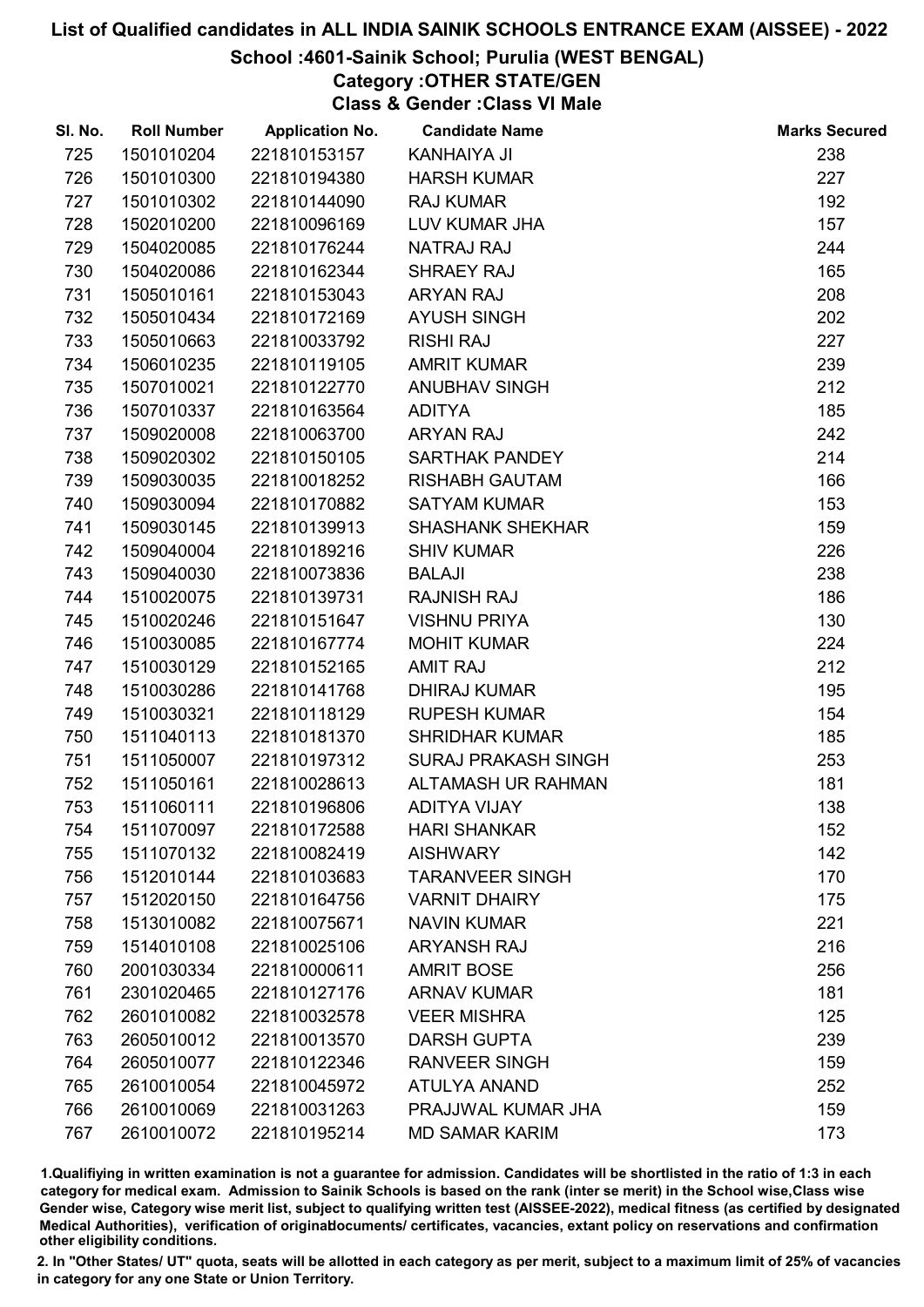#### School :4601-Sainik School; Purulia (WEST BENGAL)

# Category :OTHER STATE/GEN

Class & Gender :Class VI Male

| SI. No. | <b>Roll Number</b> | <b>Application No.</b> | <b>Candidate Name</b>      | <b>Marks Secured</b> |
|---------|--------------------|------------------------|----------------------------|----------------------|
| 725     | 1501010204         | 221810153157           | <b>KANHAIYA JI</b>         | 238                  |
| 726     | 1501010300         | 221810194380           | <b>HARSH KUMAR</b>         | 227                  |
| 727     | 1501010302         | 221810144090           | <b>RAJ KUMAR</b>           | 192                  |
| 728     | 1502010200         | 221810096169           | LUV KUMAR JHA              | 157                  |
| 729     | 1504020085         | 221810176244           | <b>NATRAJ RAJ</b>          | 244                  |
| 730     | 1504020086         | 221810162344           | SHRAEY RAJ                 | 165                  |
| 731     | 1505010161         | 221810153043           | <b>ARYAN RAJ</b>           | 208                  |
| 732     | 1505010434         | 221810172169           | <b>AYUSH SINGH</b>         | 202                  |
| 733     | 1505010663         | 221810033792           | <b>RISHI RAJ</b>           | 227                  |
| 734     | 1506010235         | 221810119105           | <b>AMRIT KUMAR</b>         | 239                  |
| 735     | 1507010021         | 221810122770           | <b>ANUBHAV SINGH</b>       | 212                  |
| 736     | 1507010337         | 221810163564           | <b>ADITYA</b>              | 185                  |
| 737     | 1509020008         | 221810063700           | <b>ARYAN RAJ</b>           | 242                  |
| 738     | 1509020302         | 221810150105           | <b>SARTHAK PANDEY</b>      | 214                  |
| 739     | 1509030035         | 221810018252           | <b>RISHABH GAUTAM</b>      | 166                  |
| 740     | 1509030094         | 221810170882           | <b>SATYAM KUMAR</b>        | 153                  |
| 741     | 1509030145         | 221810139913           | <b>SHASHANK SHEKHAR</b>    | 159                  |
| 742     | 1509040004         | 221810189216           | <b>SHIV KUMAR</b>          | 226                  |
| 743     | 1509040030         | 221810073836           | <b>BALAJI</b>              | 238                  |
| 744     | 1510020075         | 221810139731           | <b>RAJNISH RAJ</b>         | 186                  |
| 745     | 1510020246         | 221810151647           | <b>VISHNU PRIYA</b>        | 130                  |
| 746     | 1510030085         | 221810167774           | <b>MOHIT KUMAR</b>         | 224                  |
| 747     | 1510030129         | 221810152165           | <b>AMIT RAJ</b>            | 212                  |
| 748     | 1510030286         | 221810141768           | <b>DHIRAJ KUMAR</b>        | 195                  |
| 749     | 1510030321         | 221810118129           | <b>RUPESH KUMAR</b>        | 154                  |
| 750     | 1511040113         | 221810181370           | <b>SHRIDHAR KUMAR</b>      | 185                  |
| 751     | 1511050007         | 221810197312           | <b>SURAJ PRAKASH SINGH</b> | 253                  |
| 752     | 1511050161         | 221810028613           | <b>ALTAMASH UR RAHMAN</b>  | 181                  |
| 753     | 1511060111         | 221810196806           | <b>ADITYA VIJAY</b>        | 138                  |
| 754     | 1511070097         | 221810172588           | <b>HARI SHANKAR</b>        | 152                  |
| 755     | 1511070132         | 221810082419           | <b>AISHWARY</b>            | 142                  |
| 756     | 1512010144         | 221810103683           | <b>TARANVEER SINGH</b>     | 170                  |
| 757     | 1512020150         | 221810164756           | <b>VARNIT DHAIRY</b>       | 175                  |
| 758     | 1513010082         | 221810075671           | <b>NAVIN KUMAR</b>         | 221                  |
| 759     | 1514010108         | 221810025106           | <b>ARYANSH RAJ</b>         | 216                  |
| 760     | 2001030334         | 221810000611           | <b>AMRIT BOSE</b>          | 256                  |
| 761     | 2301020465         | 221810127176           | <b>ARNAV KUMAR</b>         | 181                  |
| 762     | 2601010082         | 221810032578           | <b>VEER MISHRA</b>         | 125                  |
| 763     | 2605010012         | 221810013570           | <b>DARSH GUPTA</b>         | 239                  |
| 764     | 2605010077         | 221810122346           | <b>RANVEER SINGH</b>       | 159                  |
| 765     | 2610010054         | 221810045972           | <b>ATULYA ANAND</b>        | 252                  |
| 766     | 2610010069         | 221810031263           | PRAJJWAL KUMAR JHA         | 159                  |
| 767     | 2610010072         | 221810195214           | <b>MD SAMAR KARIM</b>      | 173                  |

1.Qualifiying in written examination is not a guarantee for admission. Candidates will be shortlisted in the ratio of 1:3 in each category for medical exam. Admission to Sainik Schools is based on the rank (inter se merit) in the School wise,Class wise Gender wise, Category wise merit list, subject to qualifying written test (AISSEE-2022), medical fitness (as certified by designated Medical Authorities), verification of originablocuments/ certificates, vacancies, extant policy on reservations and confirmation other eligibility conditions.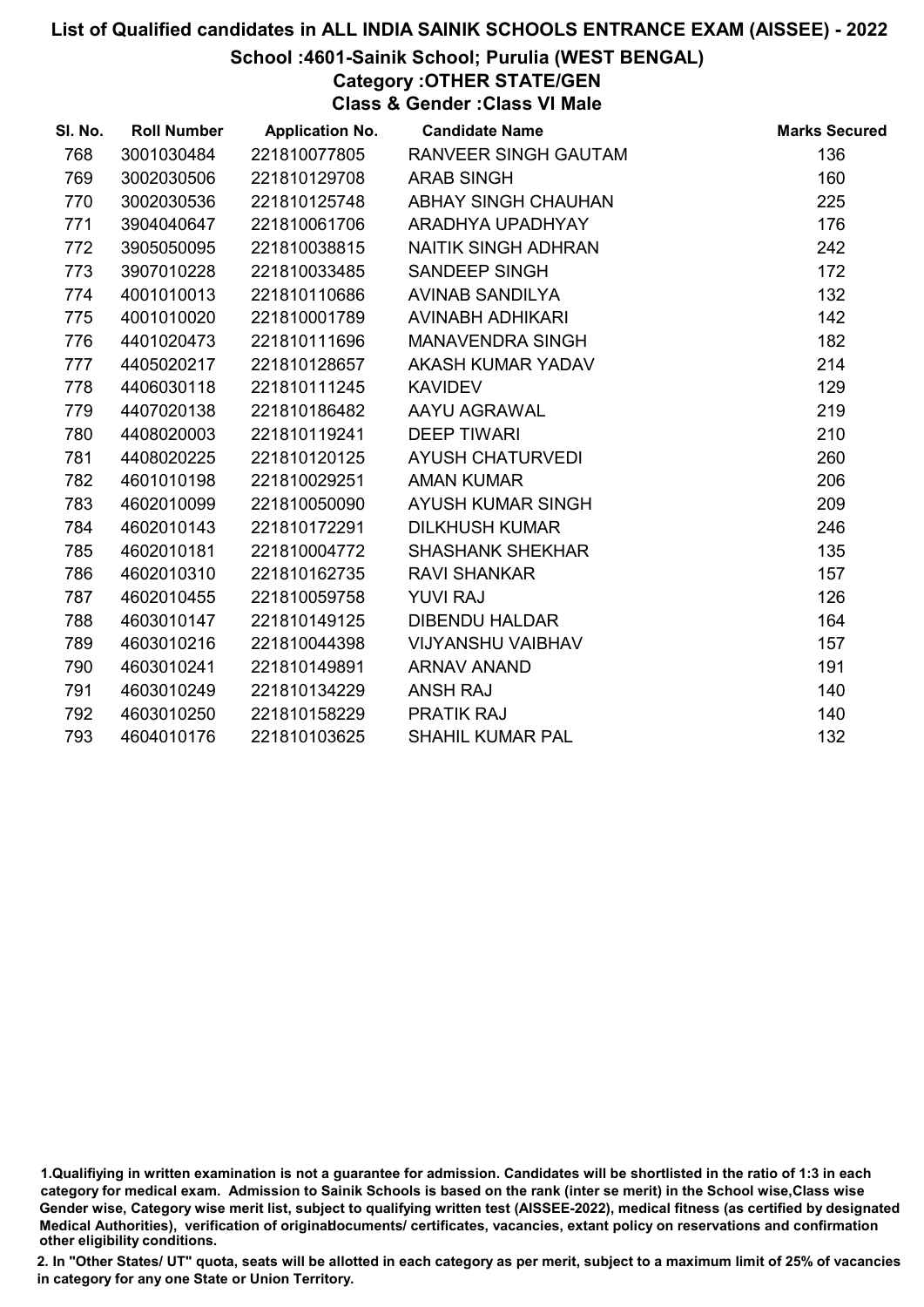# School :4601-Sainik School; Purulia (WEST BENGAL)

Category :OTHER STATE/GEN Class & Gender :Class VI Male

| SI. No. | <b>Roll Number</b> | <b>Application No.</b> | <b>Candidate Name</b>       | <b>Marks Secured</b> |
|---------|--------------------|------------------------|-----------------------------|----------------------|
| 768     | 3001030484         | 221810077805           | <b>RANVEER SINGH GAUTAM</b> | 136                  |
| 769     | 3002030506         | 221810129708           | <b>ARAB SINGH</b>           | 160                  |
| 770     | 3002030536         | 221810125748           | <b>ABHAY SINGH CHAUHAN</b>  | 225                  |
| 771     | 3904040647         | 221810061706           | ARADHYA UPADHYAY            | 176                  |
| 772     | 3905050095         | 221810038815           | NAITIK SINGH ADHRAN         | 242                  |
| 773     | 3907010228         | 221810033485           | SANDEEP SINGH               | 172                  |
| 774     | 4001010013         | 221810110686           | AVINAB SANDILYA             | 132                  |
| 775     | 4001010020         | 221810001789           | AVINABH ADHIKARI            | 142                  |
| 776     | 4401020473         | 221810111696           | <b>MANAVENDRA SINGH</b>     | 182                  |
| 777     | 4405020217         | 221810128657           | AKASH KUMAR YADAV           | 214                  |
| 778     | 4406030118         | 221810111245           | <b>KAVIDEV</b>              | 129                  |
| 779     | 4407020138         | 221810186482           | AAYU AGRAWAL                | 219                  |
| 780     | 4408020003         | 221810119241           | <b>DEEP TIWARI</b>          | 210                  |
| 781     | 4408020225         | 221810120125           | <b>AYUSH CHATURVEDI</b>     | 260                  |
| 782     | 4601010198         | 221810029251           | <b>AMAN KUMAR</b>           | 206                  |
| 783     | 4602010099         | 221810050090           | AYUSH KUMAR SINGH           | 209                  |
| 784     | 4602010143         | 221810172291           | <b>DILKHUSH KUMAR</b>       | 246                  |
| 785     | 4602010181         | 221810004772           | <b>SHASHANK SHEKHAR</b>     | 135                  |
| 786     | 4602010310         | 221810162735           | <b>RAVI SHANKAR</b>         | 157                  |
| 787     | 4602010455         | 221810059758           | <b>YUVI RAJ</b>             | 126                  |
| 788     | 4603010147         | 221810149125           | <b>DIBENDU HALDAR</b>       | 164                  |
| 789     | 4603010216         | 221810044398           | <b>VIJYANSHU VAIBHAV</b>    | 157                  |
| 790     | 4603010241         | 221810149891           | <b>ARNAV ANAND</b>          | 191                  |
| 791     | 4603010249         | 221810134229           | <b>ANSH RAJ</b>             | 140                  |
| 792     | 4603010250         | 221810158229           | <b>PRATIK RAJ</b>           | 140                  |
| 793     | 4604010176         | 221810103625           | <b>SHAHIL KUMAR PAL</b>     | 132                  |

<sup>1.</sup>Qualifiying in written examination is not a guarantee for admission. Candidates will be shortlisted in the ratio of 1:3 in each category for medical exam. Admission to Sainik Schools is based on the rank (inter se merit) in the School wise,Class wise Gender wise, Category wise merit list, subject to qualifying written test (AISSEE-2022), medical fitness (as certified by designated Medical Authorities), verification of originablocuments/ certificates, vacancies, extant policy on reservations and confirmation other eligibility conditions.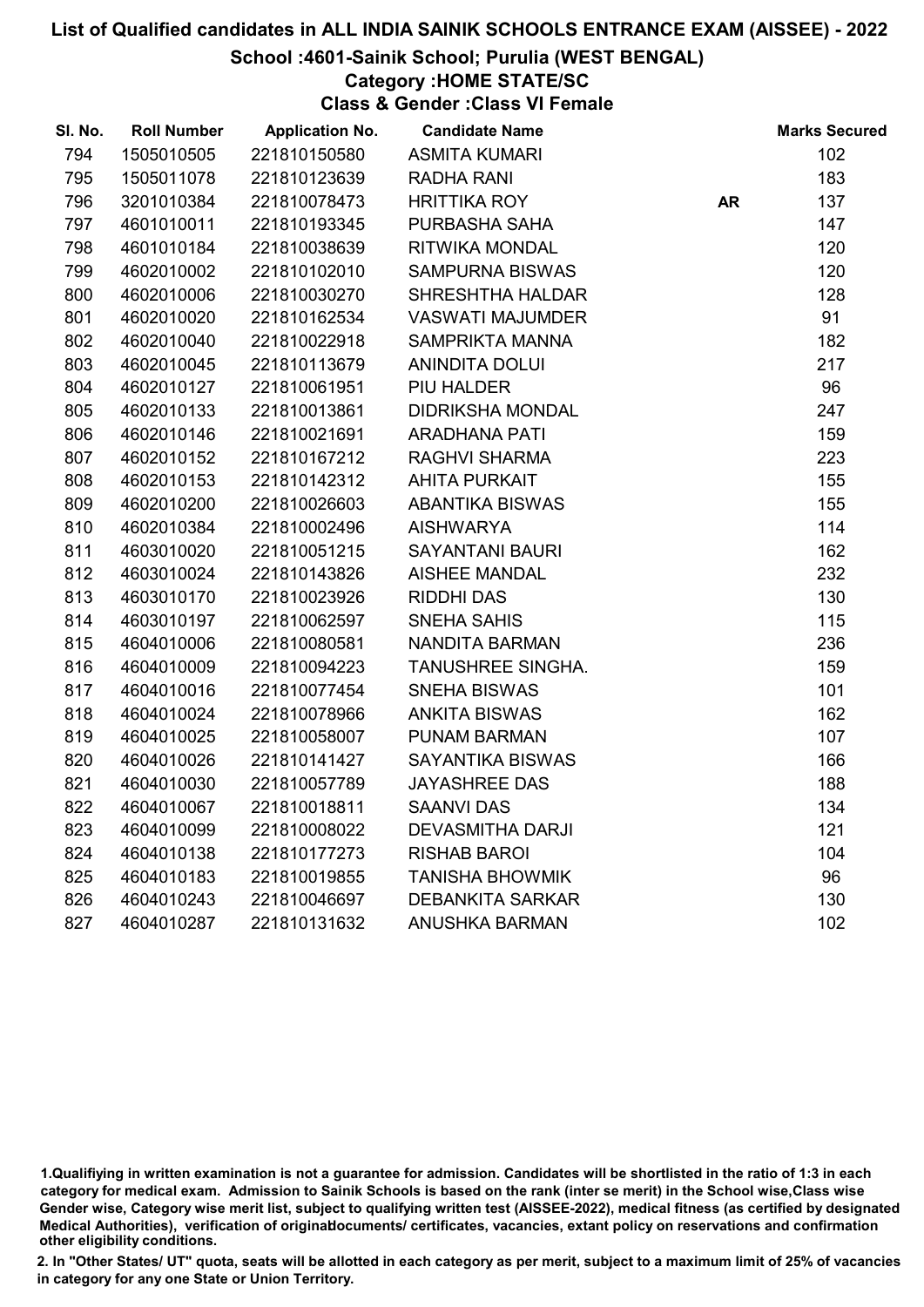# School :4601-Sainik School; Purulia (WEST BENGAL)

#### Category :HOME STATE/SC

Class & Gender :Class VI Female

| SI. No. | <b>Roll Number</b> | <b>Application No.</b> | <b>Candidate Name</b>   |           | <b>Marks Secured</b> |
|---------|--------------------|------------------------|-------------------------|-----------|----------------------|
| 794     | 1505010505         | 221810150580           | <b>ASMITA KUMARI</b>    |           | 102                  |
| 795     | 1505011078         | 221810123639           | <b>RADHA RANI</b>       |           | 183                  |
| 796     | 3201010384         | 221810078473           | <b>HRITTIKA ROY</b>     | <b>AR</b> | 137                  |
| 797     | 4601010011         | 221810193345           | PURBASHA SAHA           |           | 147                  |
| 798     | 4601010184         | 221810038639           | RITWIKA MONDAL          |           | 120                  |
| 799     | 4602010002         | 221810102010           | <b>SAMPURNA BISWAS</b>  |           | 120                  |
| 800     | 4602010006         | 221810030270           | <b>SHRESHTHA HALDAR</b> |           | 128                  |
| 801     | 4602010020         | 221810162534           | <b>VASWATI MAJUMDER</b> |           | 91                   |
| 802     | 4602010040         | 221810022918           | <b>SAMPRIKTA MANNA</b>  |           | 182                  |
| 803     | 4602010045         | 221810113679           | <b>ANINDITA DOLUI</b>   |           | 217                  |
| 804     | 4602010127         | 221810061951           | PIU HALDER              |           | 96                   |
| 805     | 4602010133         | 221810013861           | <b>DIDRIKSHA MONDAL</b> |           | 247                  |
| 806     | 4602010146         | 221810021691           | <b>ARADHANA PATI</b>    |           | 159                  |
| 807     | 4602010152         | 221810167212           | <b>RAGHVI SHARMA</b>    |           | 223                  |
| 808     | 4602010153         | 221810142312           | <b>AHITA PURKAIT</b>    |           | 155                  |
| 809     | 4602010200         | 221810026603           | <b>ABANTIKA BISWAS</b>  |           | 155                  |
| 810     | 4602010384         | 221810002496           | <b>AISHWARYA</b>        |           | 114                  |
| 811     | 4603010020         | 221810051215           | <b>SAYANTANI BAURI</b>  |           | 162                  |
| 812     | 4603010024         | 221810143826           | <b>AISHEE MANDAL</b>    |           | 232                  |
| 813     | 4603010170         | 221810023926           | <b>RIDDHI DAS</b>       |           | 130                  |
| 814     | 4603010197         | 221810062597           | <b>SNEHA SAHIS</b>      |           | 115                  |
| 815     | 4604010006         | 221810080581           | <b>NANDITA BARMAN</b>   |           | 236                  |
| 816     | 4604010009         | 221810094223           | TANUSHREE SINGHA.       |           | 159                  |
| 817     | 4604010016         | 221810077454           | <b>SNEHA BISWAS</b>     |           | 101                  |
| 818     | 4604010024         | 221810078966           | <b>ANKITA BISWAS</b>    |           | 162                  |
| 819     | 4604010025         | 221810058007           | PUNAM BARMAN            |           | 107                  |
| 820     | 4604010026         | 221810141427           | SAYANTIKA BISWAS        |           | 166                  |
| 821     | 4604010030         | 221810057789           | <b>JAYASHREE DAS</b>    |           | 188                  |
| 822     | 4604010067         | 221810018811           | <b>SAANVI DAS</b>       |           | 134                  |
| 823     | 4604010099         | 221810008022           | <b>DEVASMITHA DARJI</b> |           | 121                  |
| 824     | 4604010138         | 221810177273           | <b>RISHAB BAROI</b>     |           | 104                  |
| 825     | 4604010183         | 221810019855           | <b>TANISHA BHOWMIK</b>  |           | 96                   |
| 826     | 4604010243         | 221810046697           | <b>DEBANKITA SARKAR</b> |           | 130                  |
| 827     | 4604010287         | 221810131632           | <b>ANUSHKA BARMAN</b>   |           | 102                  |

<sup>1.</sup>Qualifiying in written examination is not a guarantee for admission. Candidates will be shortlisted in the ratio of 1:3 in each category for medical exam. Admission to Sainik Schools is based on the rank (inter se merit) in the School wise,Class wise Gender wise, Category wise merit list, subject to qualifying written test (AISSEE-2022), medical fitness (as certified by designated Medical Authorities), verification of originablocuments/ certificates, vacancies, extant policy on reservations and confirmation other eligibility conditions.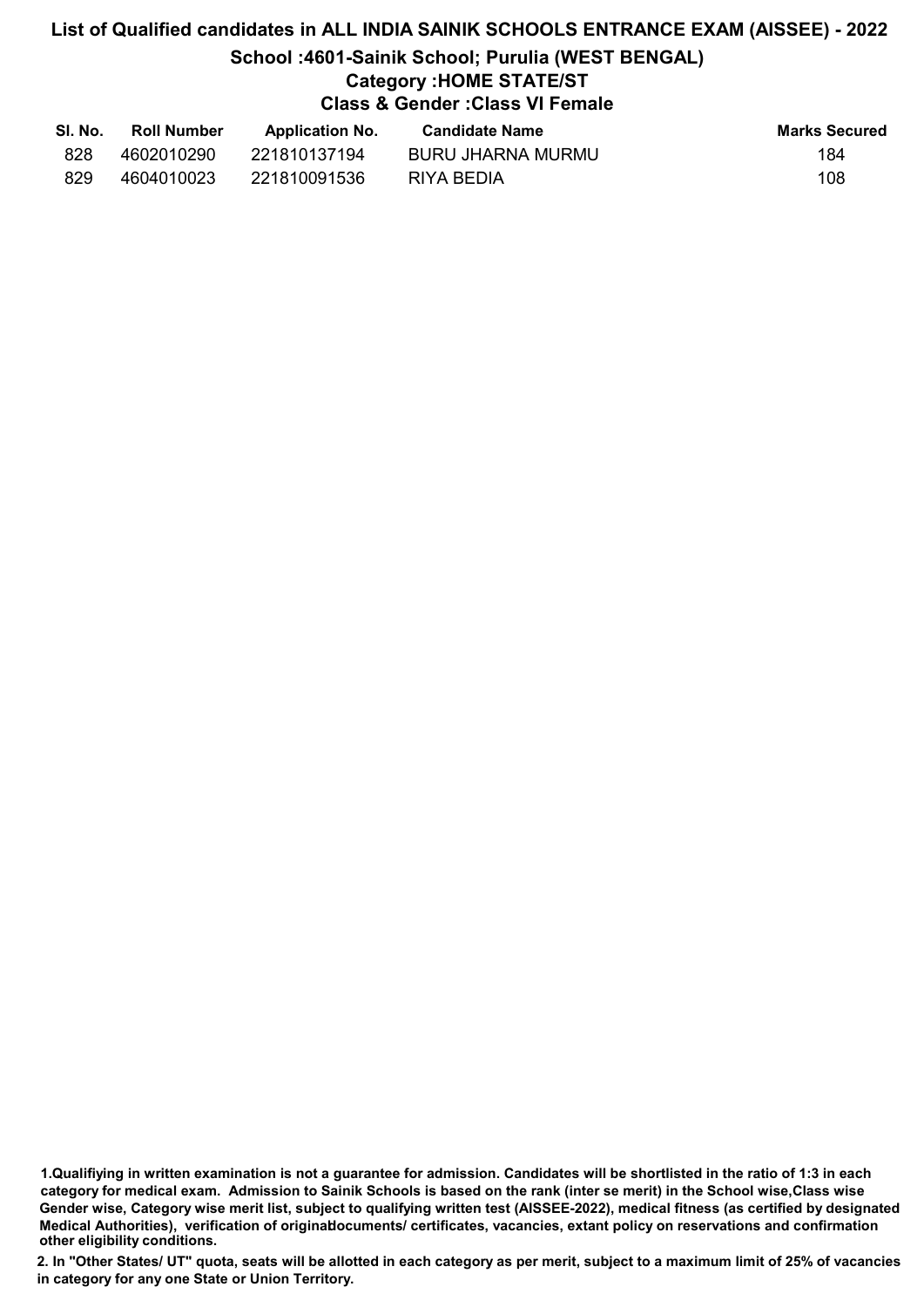# List of Qualified candidates in ALL INDIA SAINIK SCHOOLS ENTRANCE EXAM (AISSEE) - 2022 School :4601-Sainik School; Purulia (WEST BENGAL) Category :HOME STATE/ST Class & Gender :Class VI Female

| SI. No. | <b>Roll Number</b> | <b>Application No.</b> | <b>Candidate Name</b> | <b>Marks Secured</b> |
|---------|--------------------|------------------------|-----------------------|----------------------|
| 828     | 4602010290         | 221810137194           | BURU JHARNA MURMU     | 184                  |
| 829     | 4604010023         | 221810091536           | RIYA BEDIA            | 108                  |

<sup>1.</sup>Qualifiying in written examination is not a guarantee for admission. Candidates will be shortlisted in the ratio of 1:3 in each category for medical exam. Admission to Sainik Schools is based on the rank (inter se merit) in the School wise,Class wise Gender wise, Category wise merit list, subject to qualifying written test (AISSEE-2022), medical fitness (as certified by designated Medical Authorities), verification of originablocuments/ certificates, vacancies, extant policy on reservations and confirmation other eligibility conditions.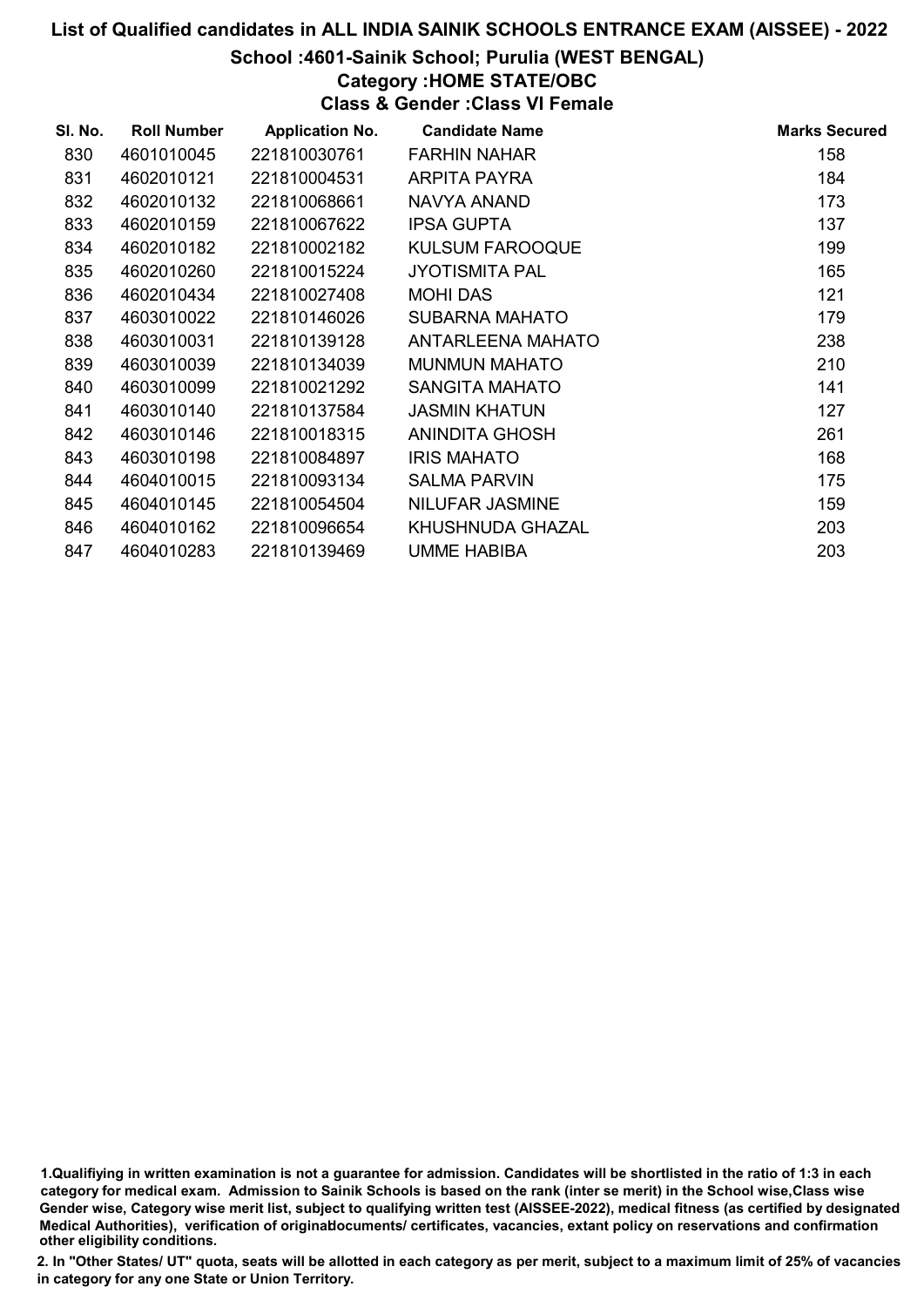#### School :4601-Sainik School; Purulia (WEST BENGAL)

#### Category :HOME STATE/OBC

Class & Gender :Class VI Female

| SI. No. | <b>Roll Number</b> | <b>Application No.</b> | <b>Candidate Name</b>  | <b>Marks Secured</b> |
|---------|--------------------|------------------------|------------------------|----------------------|
| 830     | 4601010045         | 221810030761           | <b>FARHIN NAHAR</b>    | 158                  |
| 831     | 4602010121         | 221810004531           | ARPITA PAYRA           | 184                  |
| 832     | 4602010132         | 221810068661           | NAVYA ANAND            | 173                  |
| 833     | 4602010159         | 221810067622           | <b>IPSA GUPTA</b>      | 137                  |
| 834     | 4602010182         | 221810002182           | <b>KULSUM FAROOQUE</b> | 199                  |
| 835     | 4602010260         | 221810015224           | <b>JYOTISMITA PAL</b>  | 165                  |
| 836     | 4602010434         | 221810027408           | <b>MOHI DAS</b>        | 121                  |
| 837     | 4603010022         | 221810146026           | <b>SUBARNA MAHATO</b>  | 179                  |
| 838     | 4603010031         | 221810139128           | ANTARLEENA MAHATO      | 238                  |
| 839     | 4603010039         | 221810134039           | <b>MUNMUN MAHATO</b>   | 210                  |
| 840     | 4603010099         | 221810021292           | SANGITA MAHATO         | 141                  |
| 841     | 4603010140         | 221810137584           | <b>JASMIN KHATUN</b>   | 127                  |
| 842     | 4603010146         | 221810018315           | <b>ANINDITA GHOSH</b>  | 261                  |
| 843     | 4603010198         | 221810084897           | <b>IRIS MAHATO</b>     | 168                  |
| 844     | 4604010015         | 221810093134           | <b>SALMA PARVIN</b>    | 175                  |
| 845     | 4604010145         | 221810054504           | <b>NILUFAR JASMINE</b> | 159                  |
| 846     | 4604010162         | 221810096654           | KHUSHNUDA GHAZAL       | 203                  |
| 847     | 4604010283         | 221810139469           | <b>UMME HABIBA</b>     | 203                  |

1.Qualifiying in written examination is not a guarantee for admission. Candidates will be shortlisted in the ratio of 1:3 in each category for medical exam. Admission to Sainik Schools is based on the rank (inter se merit) in the School wise,Class wise Gender wise, Category wise merit list, subject to qualifying written test (AISSEE-2022), medical fitness (as certified by designated Medical Authorities), verification of originablocuments/ certificates, vacancies, extant policy on reservations and confirmation other eligibility conditions.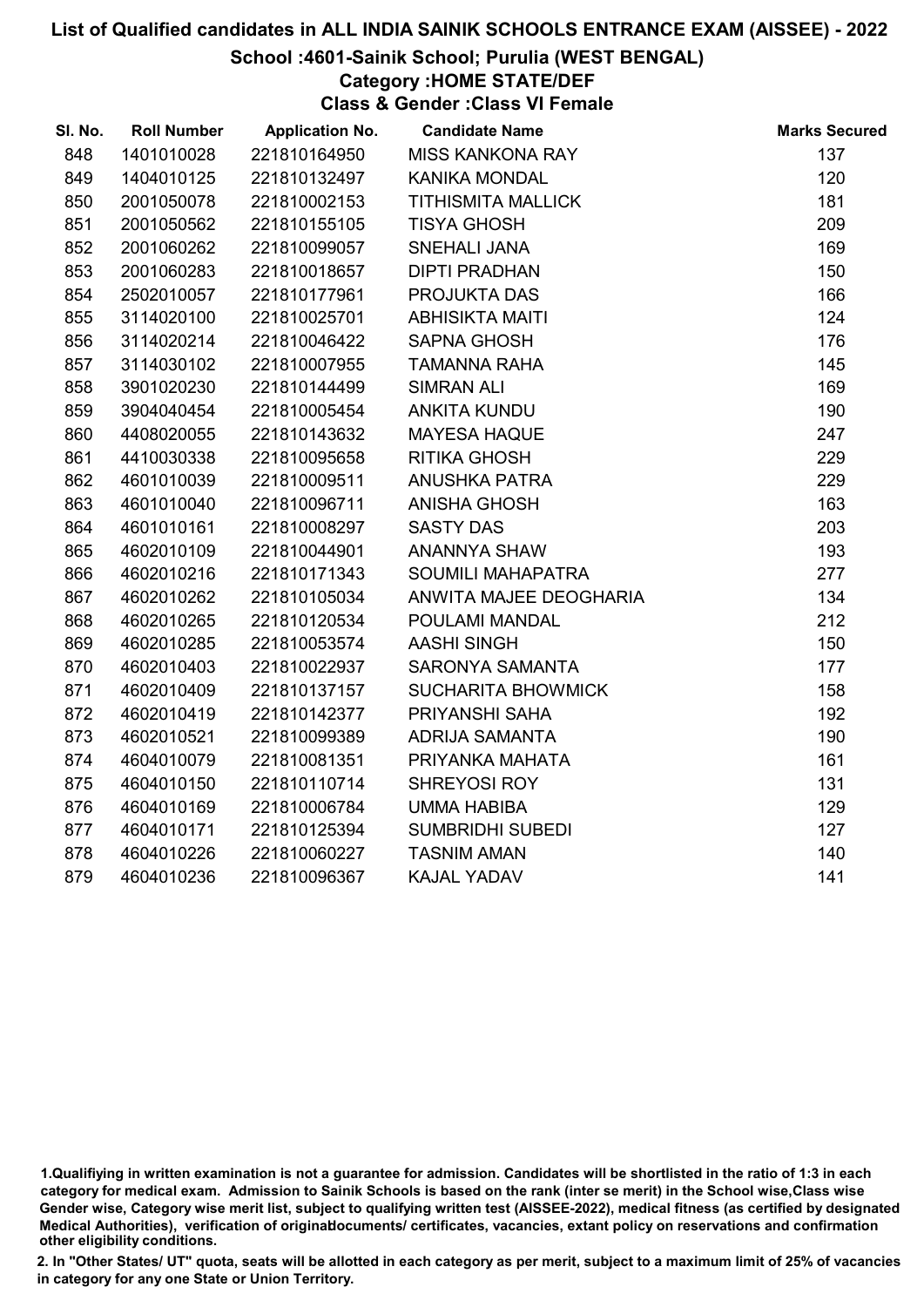# School :4601-Sainik School; Purulia (WEST BENGAL)

# Category :HOME STATE/DEF

Class & Gender :Class VI Female

| SI. No. | <b>Roll Number</b> | <b>Application No.</b> | <b>Candidate Name</b>     | <b>Marks Secured</b> |
|---------|--------------------|------------------------|---------------------------|----------------------|
| 848     | 1401010028         | 221810164950           | <b>MISS KANKONA RAY</b>   | 137                  |
| 849     | 1404010125         | 221810132497           | <b>KANIKA MONDAL</b>      | 120                  |
| 850     | 2001050078         | 221810002153           | <b>TITHISMITA MALLICK</b> | 181                  |
| 851     | 2001050562         | 221810155105           | <b>TISYA GHOSH</b>        | 209                  |
| 852     | 2001060262         | 221810099057           | <b>SNEHALI JANA</b>       | 169                  |
| 853     | 2001060283         | 221810018657           | <b>DIPTI PRADHAN</b>      | 150                  |
| 854     | 2502010057         | 221810177961           | PROJUKTA DAS              | 166                  |
| 855     | 3114020100         | 221810025701           | <b>ABHISIKTA MAITI</b>    | 124                  |
| 856     | 3114020214         | 221810046422           | <b>SAPNA GHOSH</b>        | 176                  |
| 857     | 3114030102         | 221810007955           | <b>TAMANNA RAHA</b>       | 145                  |
| 858     | 3901020230         | 221810144499           | <b>SIMRAN ALI</b>         | 169                  |
| 859     | 3904040454         | 221810005454           | <b>ANKITA KUNDU</b>       | 190                  |
| 860     | 4408020055         | 221810143632           | <b>MAYESA HAQUE</b>       | 247                  |
| 861     | 4410030338         | 221810095658           | <b>RITIKA GHOSH</b>       | 229                  |
| 862     | 4601010039         | 221810009511           | <b>ANUSHKA PATRA</b>      | 229                  |
| 863     | 4601010040         | 221810096711           | <b>ANISHA GHOSH</b>       | 163                  |
| 864     | 4601010161         | 221810008297           | <b>SASTY DAS</b>          | 203                  |
| 865     | 4602010109         | 221810044901           | ANANNYA SHAW              | 193                  |
| 866     | 4602010216         | 221810171343           | <b>SOUMILI MAHAPATRA</b>  | 277                  |
| 867     | 4602010262         | 221810105034           | ANWITA MAJEE DEOGHARIA    | 134                  |
| 868     | 4602010265         | 221810120534           | POULAMI MANDAL            | 212                  |
| 869     | 4602010285         | 221810053574           | <b>AASHI SINGH</b>        | 150                  |
| 870     | 4602010403         | 221810022937           | SARONYA SAMANTA           | 177                  |
| 871     | 4602010409         | 221810137157           | <b>SUCHARITA BHOWMICK</b> | 158                  |
| 872     | 4602010419         | 221810142377           | PRIYANSHI SAHA            | 192                  |
| 873     | 4602010521         | 221810099389           | <b>ADRIJA SAMANTA</b>     | 190                  |
| 874     | 4604010079         | 221810081351           | PRIYANKA MAHATA           | 161                  |
| 875     | 4604010150         | 221810110714           | SHREYOSI ROY              | 131                  |
| 876     | 4604010169         | 221810006784           | <b>UMMA HABIBA</b>        | 129                  |
| 877     | 4604010171         | 221810125394           | <b>SUMBRIDHI SUBEDI</b>   | 127                  |
| 878     | 4604010226         | 221810060227           | <b>TASNIM AMAN</b>        | 140                  |
| 879     | 4604010236         | 221810096367           | KAJAL YADAV               | 141                  |

<sup>1.</sup>Qualifiying in written examination is not a guarantee for admission. Candidates will be shortlisted in the ratio of 1:3 in each category for medical exam. Admission to Sainik Schools is based on the rank (inter se merit) in the School wise,Class wise Gender wise, Category wise merit list, subject to qualifying written test (AISSEE-2022), medical fitness (as certified by designated Medical Authorities), verification of originablocuments/ certificates, vacancies, extant policy on reservations and confirmation other eligibility conditions.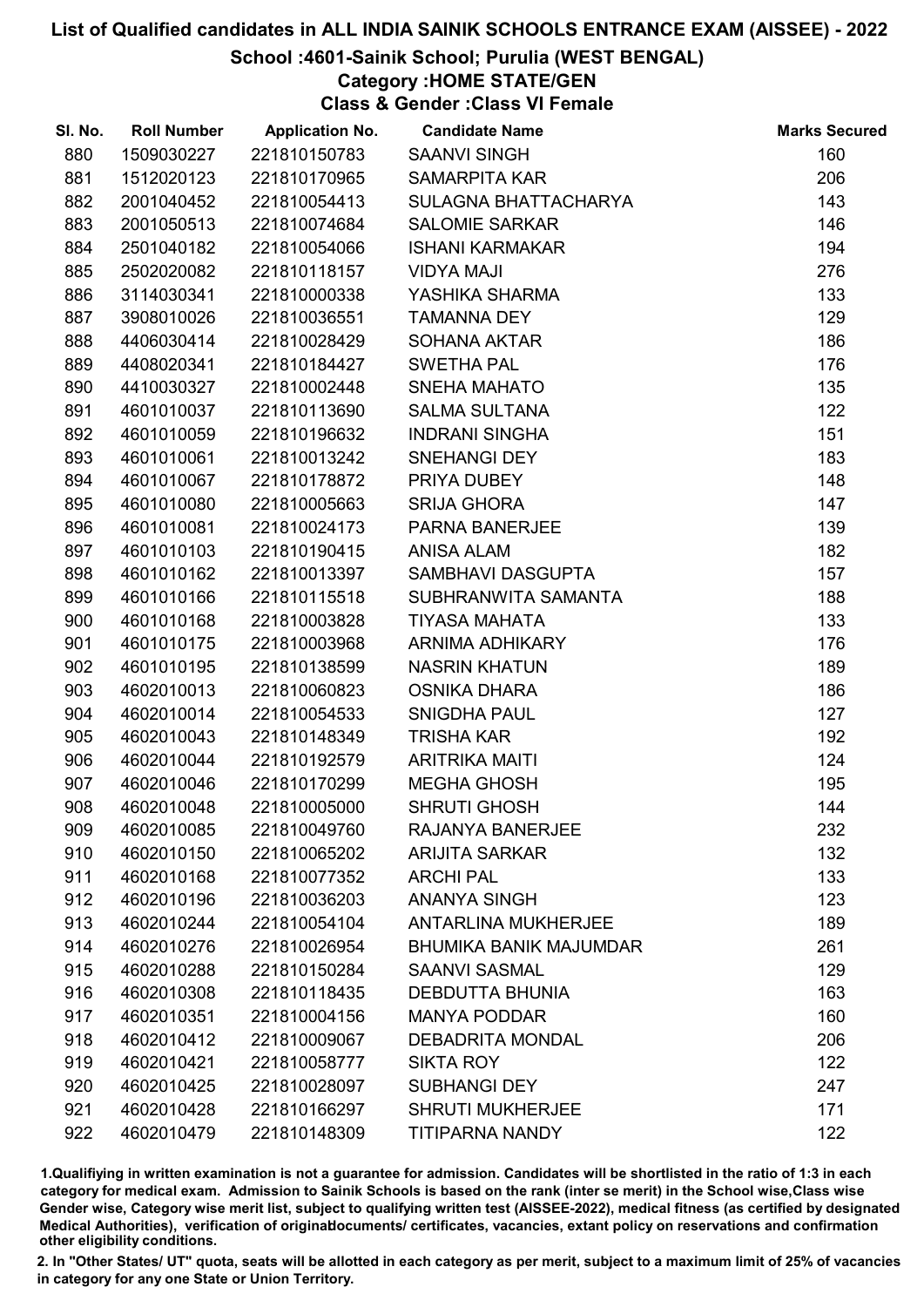# School :4601-Sainik School; Purulia (WEST BENGAL)

### Category :HOME STATE/GEN

Class & Gender :Class VI Female

| SI. No. | <b>Roll Number</b> | <b>Application No.</b> | <b>Candidate Name</b>         | <b>Marks Secured</b> |
|---------|--------------------|------------------------|-------------------------------|----------------------|
| 880     | 1509030227         | 221810150783           | <b>SAANVI SINGH</b>           | 160                  |
| 881     | 1512020123         | 221810170965           | <b>SAMARPITA KAR</b>          | 206                  |
| 882     | 2001040452         | 221810054413           | SULAGNA BHATTACHARYA          | 143                  |
| 883     | 2001050513         | 221810074684           | <b>SALOMIE SARKAR</b>         | 146                  |
| 884     | 2501040182         | 221810054066           | <b>ISHANI KARMAKAR</b>        | 194                  |
| 885     | 2502020082         | 221810118157           | <b>VIDYA MAJI</b>             | 276                  |
| 886     | 3114030341         | 221810000338           | YASHIKA SHARMA                | 133                  |
| 887     | 3908010026         | 221810036551           | <b>TAMANNA DEY</b>            | 129                  |
| 888     | 4406030414         | 221810028429           | <b>SOHANA AKTAR</b>           | 186                  |
| 889     | 4408020341         | 221810184427           | <b>SWETHA PAL</b>             | 176                  |
| 890     | 4410030327         | 221810002448           | <b>SNEHA MAHATO</b>           | 135                  |
| 891     | 4601010037         | 221810113690           | <b>SALMA SULTANA</b>          | 122                  |
| 892     | 4601010059         | 221810196632           | <b>INDRANI SINGHA</b>         | 151                  |
| 893     | 4601010061         | 221810013242           | <b>SNEHANGI DEY</b>           | 183                  |
| 894     | 4601010067         | 221810178872           | PRIYA DUBEY                   | 148                  |
| 895     | 4601010080         | 221810005663           | <b>SRIJA GHORA</b>            | 147                  |
| 896     | 4601010081         | 221810024173           | <b>PARNA BANERJEE</b>         | 139                  |
| 897     | 4601010103         | 221810190415           | <b>ANISA ALAM</b>             | 182                  |
| 898     | 4601010162         | 221810013397           | SAMBHAVI DASGUPTA             | 157                  |
| 899     | 4601010166         | 221810115518           | SUBHRANWITA SAMANTA           | 188                  |
| 900     | 4601010168         | 221810003828           | <b>TIYASA MAHATA</b>          | 133                  |
| 901     | 4601010175         | 221810003968           | <b>ARNIMA ADHIKARY</b>        | 176                  |
| 902     | 4601010195         | 221810138599           | <b>NASRIN KHATUN</b>          | 189                  |
| 903     | 4602010013         | 221810060823           | <b>OSNIKA DHARA</b>           | 186                  |
| 904     | 4602010014         | 221810054533           | <b>SNIGDHA PAUL</b>           | 127                  |
| 905     | 4602010043         | 221810148349           | <b>TRISHA KAR</b>             | 192                  |
| 906     | 4602010044         | 221810192579           | <b>ARITRIKA MAITI</b>         | 124                  |
| 907     | 4602010046         | 221810170299           | <b>MEGHA GHOSH</b>            | 195                  |
| 908     | 4602010048         | 221810005000           | <b>SHRUTI GHOSH</b>           | 144                  |
| 909     | 4602010085         | 221810049760           | RAJANYA BANERJEE              | 232                  |
| 910     | 4602010150         | 221810065202           | <b>ARIJITA SARKAR</b>         | 132                  |
| 911     | 4602010168         | 221810077352           | <b>ARCHI PAL</b>              | 133                  |
| 912     | 4602010196         | 221810036203           | <b>ANANYA SINGH</b>           | 123                  |
| 913     | 4602010244         | 221810054104           | <b>ANTARLINA MUKHERJEE</b>    | 189                  |
| 914     | 4602010276         | 221810026954           | <b>BHUMIKA BANIK MAJUMDAR</b> | 261                  |
| 915     | 4602010288         | 221810150284           | <b>SAANVI SASMAL</b>          | 129                  |
| 916     | 4602010308         | 221810118435           | <b>DEBDUTTA BHUNIA</b>        | 163                  |
| 917     | 4602010351         | 221810004156           | <b>MANYA PODDAR</b>           | 160                  |
| 918     | 4602010412         | 221810009067           | <b>DEBADRITA MONDAL</b>       | 206                  |
| 919     | 4602010421         | 221810058777           | <b>SIKTA ROY</b>              | 122                  |
| 920     | 4602010425         | 221810028097           | <b>SUBHANGI DEY</b>           | 247                  |
| 921     | 4602010428         | 221810166297           | <b>SHRUTI MUKHERJEE</b>       | 171                  |
| 922     | 4602010479         | 221810148309           | <b>TITIPARNA NANDY</b>        | 122                  |

1.Qualifiying in written examination is not a guarantee for admission. Candidates will be shortlisted in the ratio of 1:3 in each category for medical exam. Admission to Sainik Schools is based on the rank (inter se merit) in the School wise,Class wise Gender wise, Category wise merit list, subject to qualifying written test (AISSEE-2022), medical fitness (as certified by designated Medical Authorities), verification of originablocuments/ certificates, vacancies, extant policy on reservations and confirmation other eligibility conditions.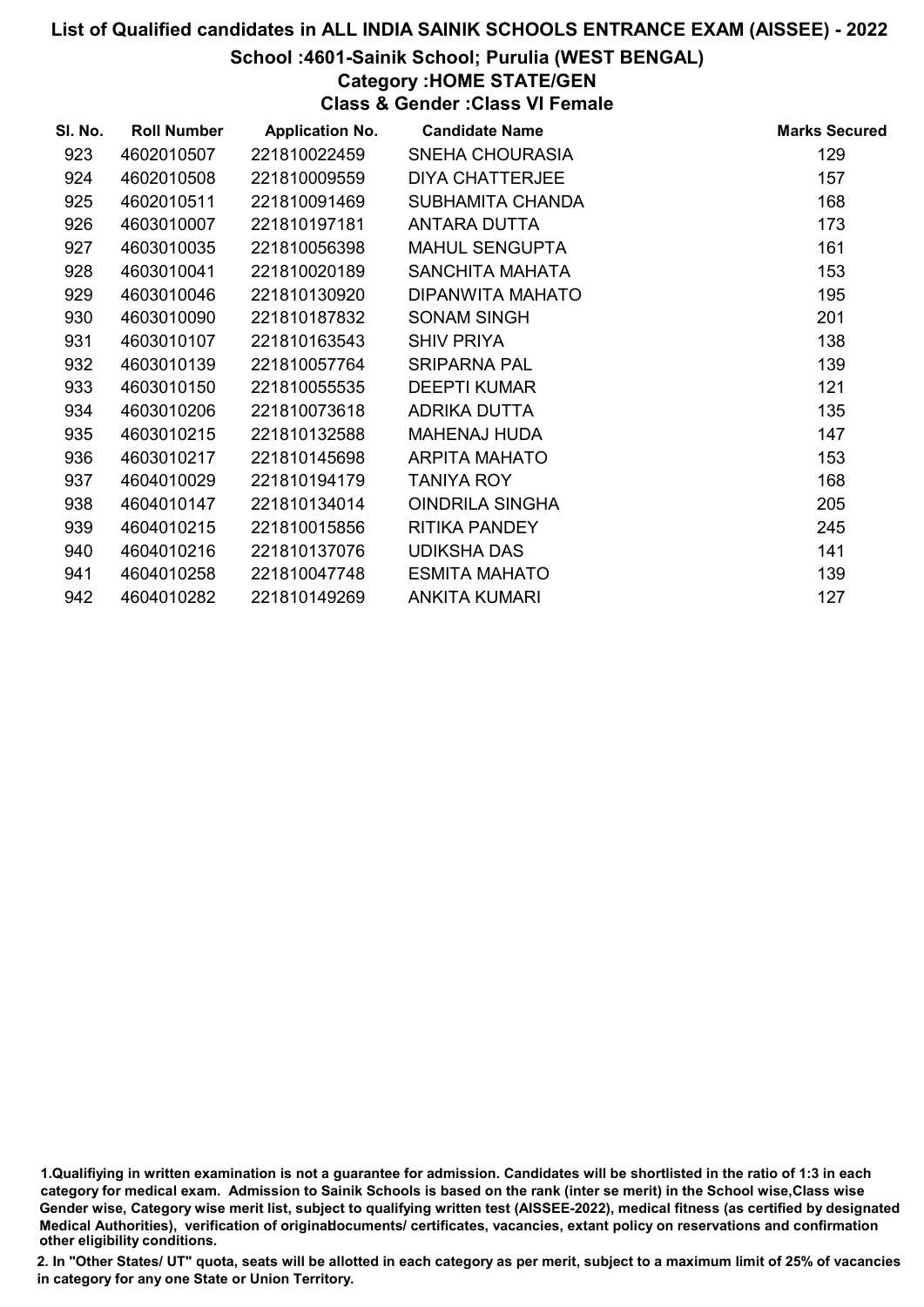# School :4601-Sainik School; Purulia (WEST BENGAL)

### Category :HOME STATE/GEN

Class & Gender :Class VI Female

| SI. No. | <b>Roll Number</b> | <b>Application No.</b> | <b>Candidate Name</b>  | <b>Marks Secured</b> |
|---------|--------------------|------------------------|------------------------|----------------------|
| 923     | 4602010507         | 221810022459           | SNEHA CHOURASIA        | 129                  |
| 924     | 4602010508         | 221810009559           | <b>DIYA CHATTERJEE</b> | 157                  |
| 925     | 4602010511         | 221810091469           | SUBHAMITA CHANDA       | 168                  |
| 926     | 4603010007         | 221810197181           | ANTARA DUTTA           | 173                  |
| 927     | 4603010035         | 221810056398           | <b>MAHUL SENGUPTA</b>  | 161                  |
| 928     | 4603010041         | 221810020189           | <b>SANCHITA MAHATA</b> | 153                  |
| 929     | 4603010046         | 221810130920           | DIPANWITA MAHATO       | 195                  |
| 930     | 4603010090         | 221810187832           | <b>SONAM SINGH</b>     | 201                  |
| 931     | 4603010107         | 221810163543           | <b>SHIV PRIYA</b>      | 138                  |
| 932     | 4603010139         | 221810057764           | <b>SRIPARNA PAL</b>    | 139                  |
| 933     | 4603010150         | 221810055535           | <b>DEEPTI KUMAR</b>    | 121                  |
| 934     | 4603010206         | 221810073618           | ADRIKA DUTTA           | 135                  |
| 935     | 4603010215         | 221810132588           | <b>MAHENAJ HUDA</b>    | 147                  |
| 936     | 4603010217         | 221810145698           | <b>ARPITA MAHATO</b>   | 153                  |
| 937     | 4604010029         | 221810194179           | <b>TANIYA ROY</b>      | 168                  |
| 938     | 4604010147         | 221810134014           | <b>OINDRILA SINGHA</b> | 205                  |
| 939     | 4604010215         | 221810015856           | <b>RITIKA PANDEY</b>   | 245                  |
| 940     | 4604010216         | 221810137076           | <b>UDIKSHA DAS</b>     | 141                  |
| 941     | 4604010258         | 221810047748           | <b>ESMITA MAHATO</b>   | 139                  |
| 942     | 4604010282         | 221810149269           | <b>ANKITA KUMARI</b>   | 127                  |

1.Qualifiying in written examination is not a guarantee for admission. Candidates will be shortlisted in the ratio of 1:3 in each category for medical exam. Admission to Sainik Schools is based on the rank (inter se merit) in the School wise,Class wise Gender wise, Category wise merit list, subject to qualifying written test (AISSEE-2022), medical fitness (as certified by designated Medical Authorities), verification of originablocuments/ certificates, vacancies, extant policy on reservations and confirmation other eligibility conditions.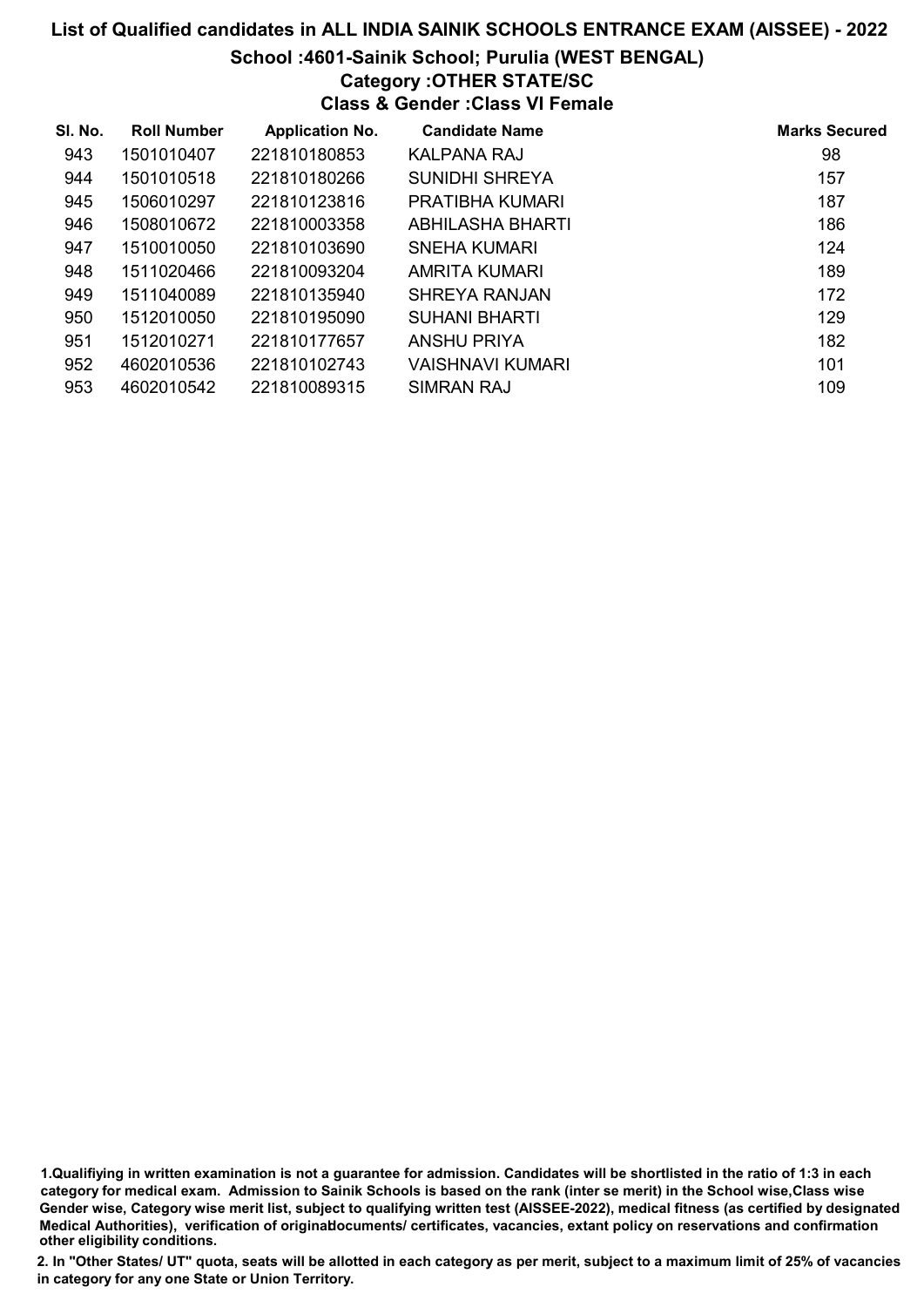#### School :4601-Sainik School; Purulia (WEST BENGAL) Category :OTHER STATE/SC

# Class & Gender :Class VI Female

| SI. No. | <b>Roll Number</b> | <b>Application No.</b> | <b>Candidate Name</b> | <b>Marks Secured</b> |
|---------|--------------------|------------------------|-----------------------|----------------------|
| 943     | 1501010407         | 221810180853           | KALPANA RAJ           | 98                   |
| 944     | 1501010518         | 221810180266           | <b>SUNIDHI SHREYA</b> | 157                  |
| 945     | 1506010297         | 221810123816           | PRATIBHA KUMARI       | 187                  |
| 946     | 1508010672         | 221810003358           | ABHILASHA BHARTI      | 186                  |
| 947     | 1510010050         | 221810103690           | SNEHA KUMARI          | 124                  |
| 948     | 1511020466         | 221810093204           | AMRITA KUMARI         | 189                  |
| 949     | 1511040089         | 221810135940           | SHREYA RANJAN         | 172                  |
| 950     | 1512010050         | 221810195090           | <b>SUHANI BHARTI</b>  | 129                  |
| 951     | 1512010271         | 221810177657           | <b>ANSHU PRIYA</b>    | 182                  |
| 952     | 4602010536         | 221810102743           | VAISHNAVI KUMARI      | 101                  |
| 953     | 4602010542         | 221810089315           | SIMRAN RAJ            | 109                  |

1.Qualifiying in written examination is not a guarantee for admission. Candidates will be shortlisted in the ratio of 1:3 in each category for medical exam. Admission to Sainik Schools is based on the rank (inter se merit) in the School wise,Class wise Gender wise, Category wise merit list, subject to qualifying written test (AISSEE-2022), medical fitness (as certified by designated Medical Authorities), verification of originablocuments/ certificates, vacancies, extant policy on reservations and confirmation other eligibility conditions.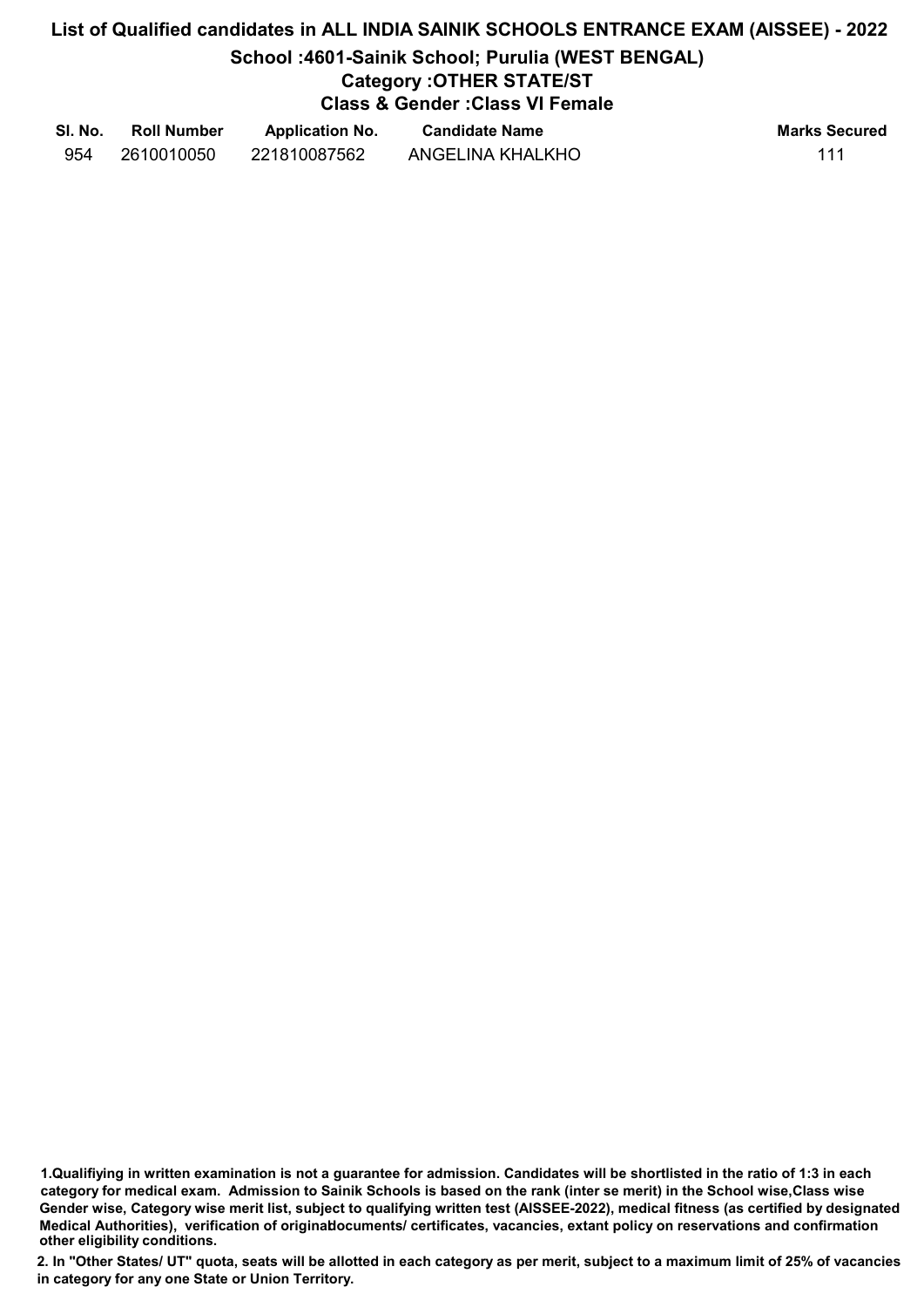# List of Qualified candidates in ALL INDIA SAINIK SCHOOLS ENTRANCE EXAM (AISSEE) - 2022 School :4601-Sainik School; Purulia (WEST BENGAL) Category :OTHER STATE/ST Class & Gender :Class VI Female

| SI. No. | <b>Roll Number</b> | <b>Application No.</b> | <b>Candidate Name</b> | <b>Marks Secured</b> |
|---------|--------------------|------------------------|-----------------------|----------------------|
| 954     | 2610010050         | 221810087562           | ANGELINA KHALKHO      | 111                  |

<sup>1.</sup>Qualifiying in written examination is not a guarantee for admission. Candidates will be shortlisted in the ratio of 1:3 in each category for medical exam. Admission to Sainik Schools is based on the rank (inter se merit) in the School wise,Class wise Gender wise, Category wise merit list, subject to qualifying written test (AISSEE-2022), medical fitness (as certified by designated Medical Authorities), verification of originablocuments/ certificates, vacancies, extant policy on reservations and confirmation other eligibility conditions.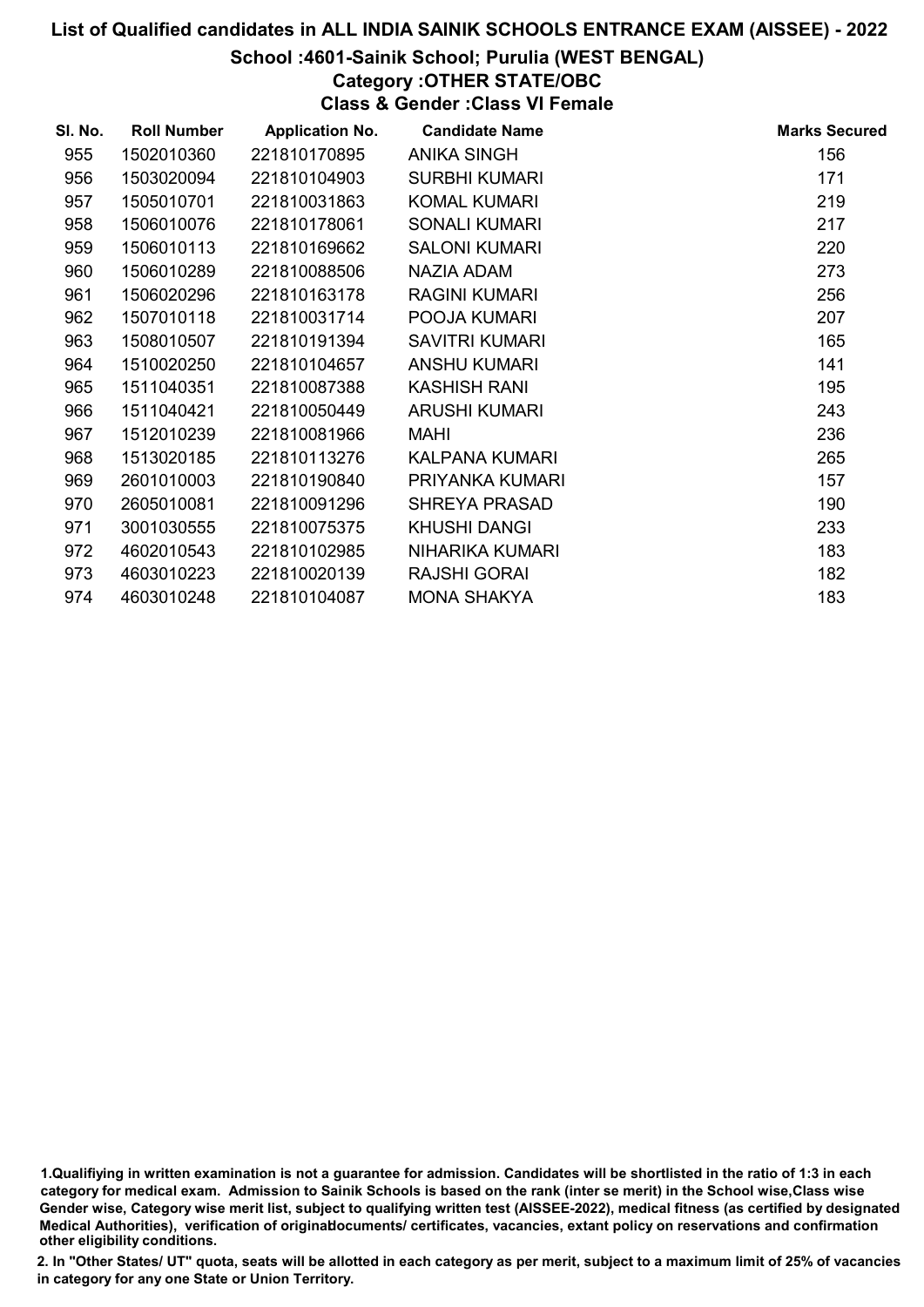# School :4601-Sainik School; Purulia (WEST BENGAL)

# Category :OTHER STATE/OBC

Class & Gender :Class VI Female

| SI. No. | <b>Roll Number</b> | <b>Application No.</b> | <b>Candidate Name</b> | <b>Marks Secured</b> |
|---------|--------------------|------------------------|-----------------------|----------------------|
| 955     | 1502010360         | 221810170895           | <b>ANIKA SINGH</b>    | 156                  |
| 956     | 1503020094         | 221810104903           | <b>SURBHI KUMARI</b>  | 171                  |
| 957     | 1505010701         | 221810031863           | <b>KOMAL KUMARI</b>   | 219                  |
| 958     | 1506010076         | 221810178061           | <b>SONALI KUMARI</b>  | 217                  |
| 959     | 1506010113         | 221810169662           | <b>SALONI KUMARI</b>  | 220                  |
| 960     | 1506010289         | 221810088506           | NAZIA ADAM            | 273                  |
| 961     | 1506020296         | 221810163178           | <b>RAGINI KUMARI</b>  | 256                  |
| 962     | 1507010118         | 221810031714           | POOJA KUMARI          | 207                  |
| 963     | 1508010507         | 221810191394           | <b>SAVITRI KUMARI</b> | 165                  |
| 964     | 1510020250         | 221810104657           | <b>ANSHU KUMARI</b>   | 141                  |
| 965     | 1511040351         | 221810087388           | <b>KASHISH RANI</b>   | 195                  |
| 966     | 1511040421         | 221810050449           | <b>ARUSHI KUMARI</b>  | 243                  |
| 967     | 1512010239         | 221810081966           | <b>MAHI</b>           | 236                  |
| 968     | 1513020185         | 221810113276           | <b>KALPANA KUMARI</b> | 265                  |
| 969     | 2601010003         | 221810190840           | PRIYANKA KUMARI       | 157                  |
| 970     | 2605010081         | 221810091296           | <b>SHREYA PRASAD</b>  | 190                  |
| 971     | 3001030555         | 221810075375           | <b>KHUSHI DANGI</b>   | 233                  |
| 972     | 4602010543         | 221810102985           | NIHARIKA KUMARI       | 183                  |
| 973     | 4603010223         | 221810020139           | <b>RAJSHI GORAI</b>   | 182                  |
| 974     | 4603010248         | 221810104087           | <b>MONA SHAKYA</b>    | 183                  |

1.Qualifiying in written examination is not a guarantee for admission. Candidates will be shortlisted in the ratio of 1:3 in each category for medical exam. Admission to Sainik Schools is based on the rank (inter se merit) in the School wise,Class wise Gender wise, Category wise merit list, subject to qualifying written test (AISSEE-2022), medical fitness (as certified by designated Medical Authorities), verification of originablocuments/ certificates, vacancies, extant policy on reservations and confirmation other eligibility conditions.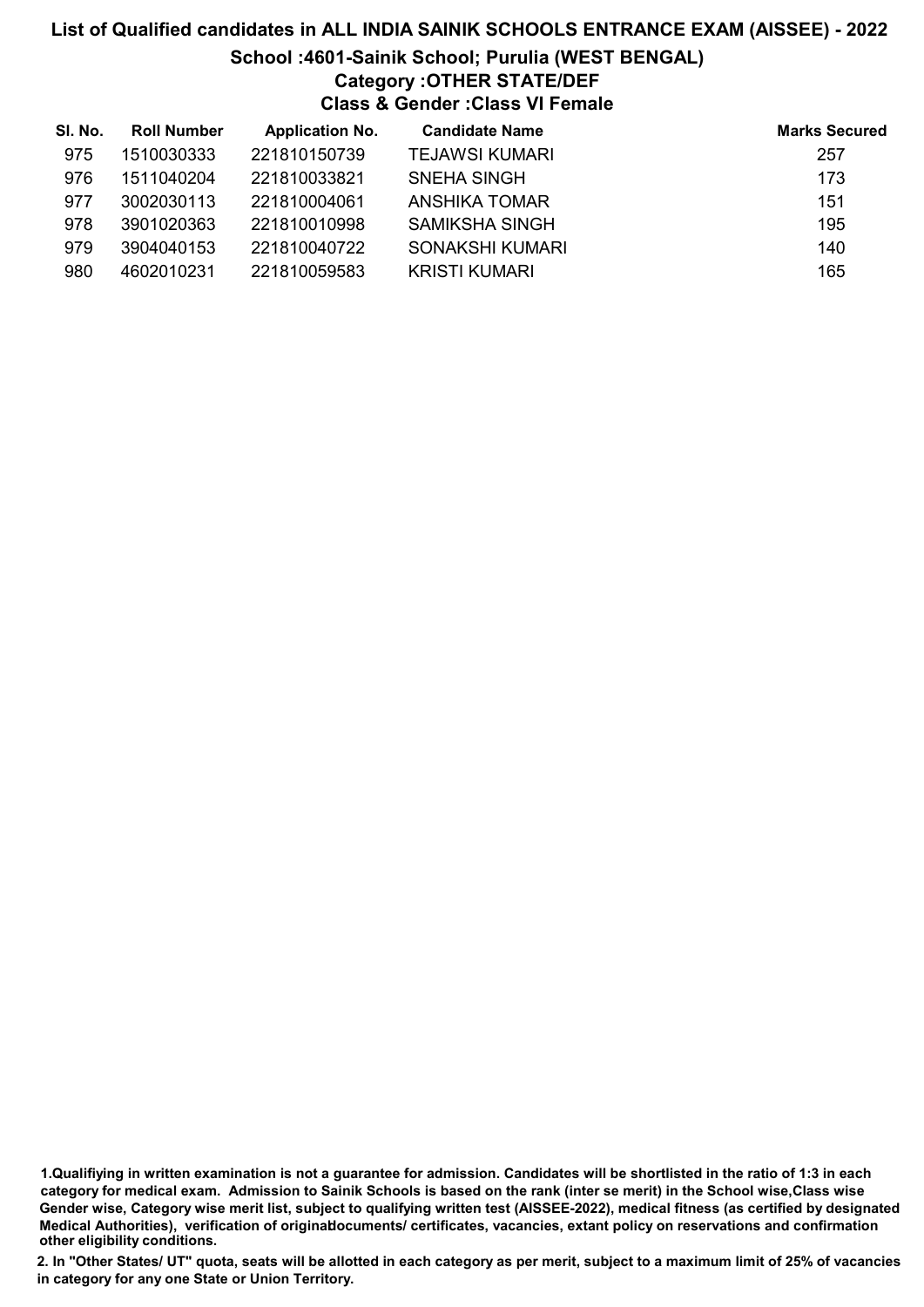# List of Qualified candidates in ALL INDIA SAINIK SCHOOLS ENTRANCE EXAM (AISSEE) - 2022 School :4601-Sainik School; Purulia (WEST BENGAL) Category :OTHER STATE/DEF Class & Gender :Class VI Female

| SI. No. | <b>Roll Number</b> | <b>Application No.</b> | <b>Candidate Name</b> | <b>Marks Secured</b> |
|---------|--------------------|------------------------|-----------------------|----------------------|
| 975     | 1510030333         | 221810150739           | <b>TEJAWSI KUMARI</b> | 257                  |
| 976     | 1511040204         | 221810033821           | SNEHA SINGH           | 173                  |
| 977     | 3002030113         | 221810004061           | ANSHIKA TOMAR         | 151                  |
| 978     | 3901020363         | 221810010998           | <b>SAMIKSHA SINGH</b> | 195                  |
| 979     | 3904040153         | 221810040722           | SONAKSHI KUMARI       | 140                  |
| 980     | 4602010231         | 221810059583           | KRISTI KUMARI         | 165                  |

1.Qualifiying in written examination is not a guarantee for admission. Candidates will be shortlisted in the ratio of 1:3 in each category for medical exam. Admission to Sainik Schools is based on the rank (inter se merit) in the School wise,Class wise Gender wise, Category wise merit list, subject to qualifying written test (AISSEE-2022), medical fitness (as certified by designated Medical Authorities), verification of originablocuments/ certificates, vacancies, extant policy on reservations and confirmation other eligibility conditions.